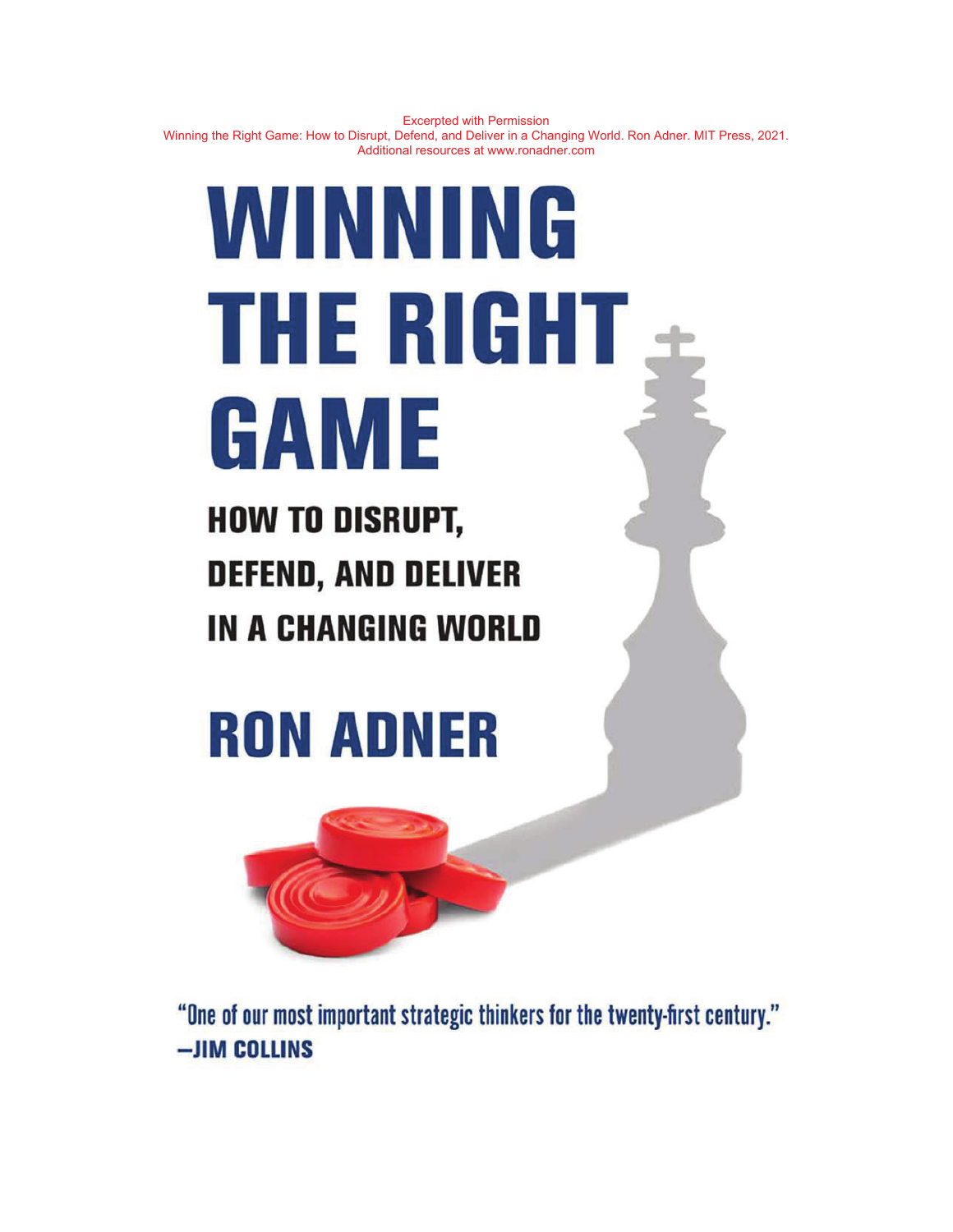# WINNING THE RIGHT GAME

**HOW TO DISRUPT, DEFEND, AND DELIVER IN A CHANGING WORLD** 

# **RON ADNER**



"One of our most important strategic thinkers for the twenty-first century." -JIM COLLINS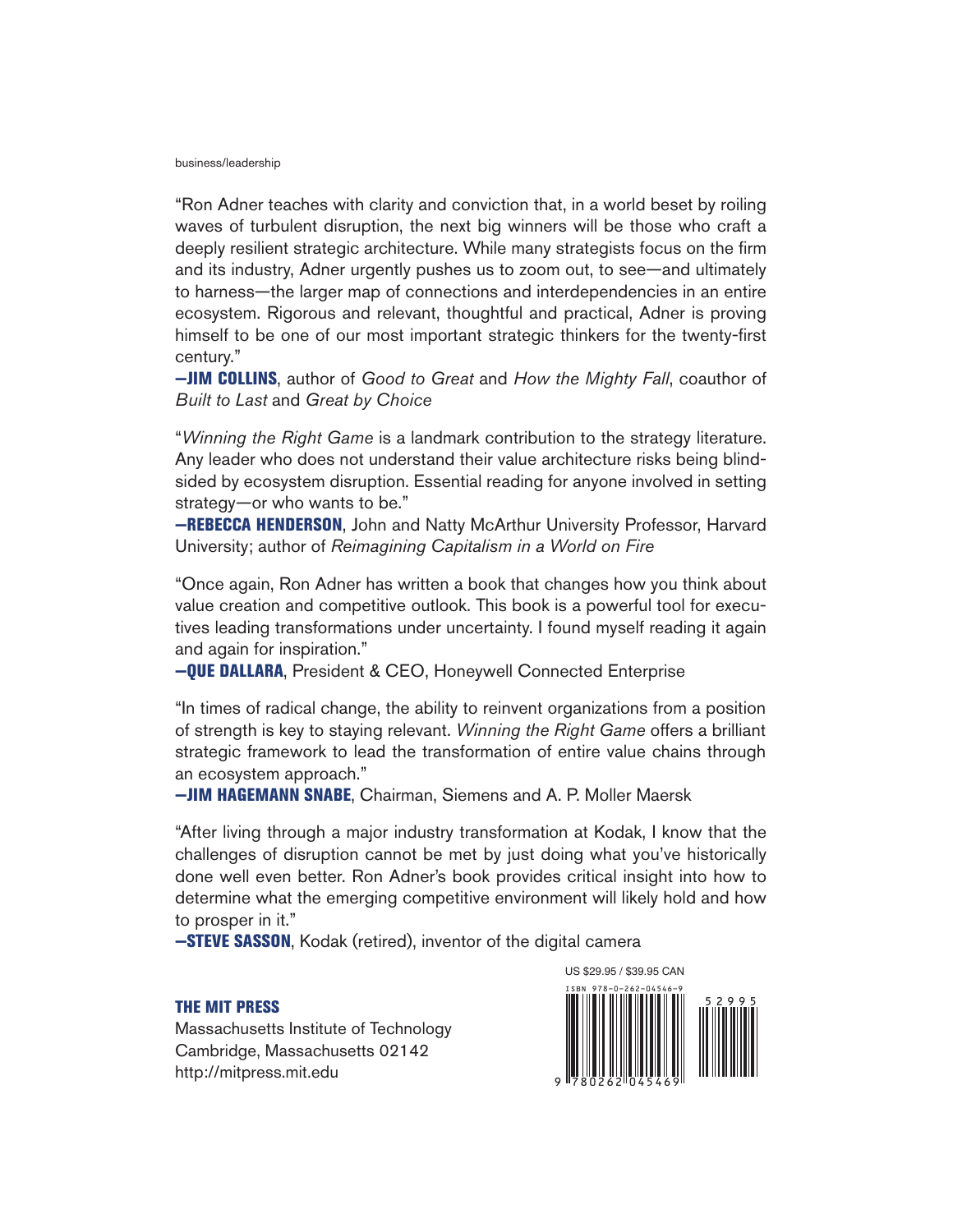#### business/leadership

"Ron Adner teaches with clarity and conviction that, in a world beset by roiling waves of turbulent disruption, the next big winners will be those who craft a deeply resilient strategic architecture. While many strategists focus on the firm and its industry, Adner urgently pushes us to zoom out, to see—and ultimately to harness—the larger map of connections and interdependencies in an entire ecosystem. Rigorous and relevant, thoughtful and practical, Adner is proving himself to be one of our most important strategic thinkers for the twenty-first century."

**—JIM COLLINS**, author of Good to Great and How the Mighty Fall, coauthor of Built to Last and Great by Choice

"Winning the Right Game is a landmark contribution to the strategy literature. Any leader who does not understand their value architecture risks being blindsided by ecosystem disruption. Essential reading for anyone involved in setting strategy—or who wants to be."

**—REBECCA HENDERSON**, John and Natty McArthur University Professor, Harvard University; author of Reimagining Capitalism in a World on Fire

"Once again, Ron Adner has written a book that changes how you think about value creation and competitive outlook. This book is a powerful tool for executives leading transformations under uncertainty. I found myself reading it again and again for inspiration."

**—QUE DALLARA**, President & CEO, Honeywell Connected Enterprise

"In times of radical change, the ability to reinvent organizations from a position of strength is key to staying relevant. Winning the Right Game offers a brilliant strategic framework to lead the transformation of entire value chains through an ecosystem approach."

**—JIM HAGEMANN SNABE**, Chairman, Siemens and A. P. Moller Maersk

"After living through a major industry transformation at Kodak, I know that the challenges of disruption cannot be met by just doing what you've historically done well even better. Ron Adner's book provides critical insight into how to determine what the emerging competitive environment will likely hold and how to prosper in it."

**—STEVE SASSON**, Kodak (retired), inventor of the digital camera

#### **THE MIT PRESS**

Massachusetts Institute of Technology Cambridge, Massachusetts 02142 http://mitpress.mit.edu

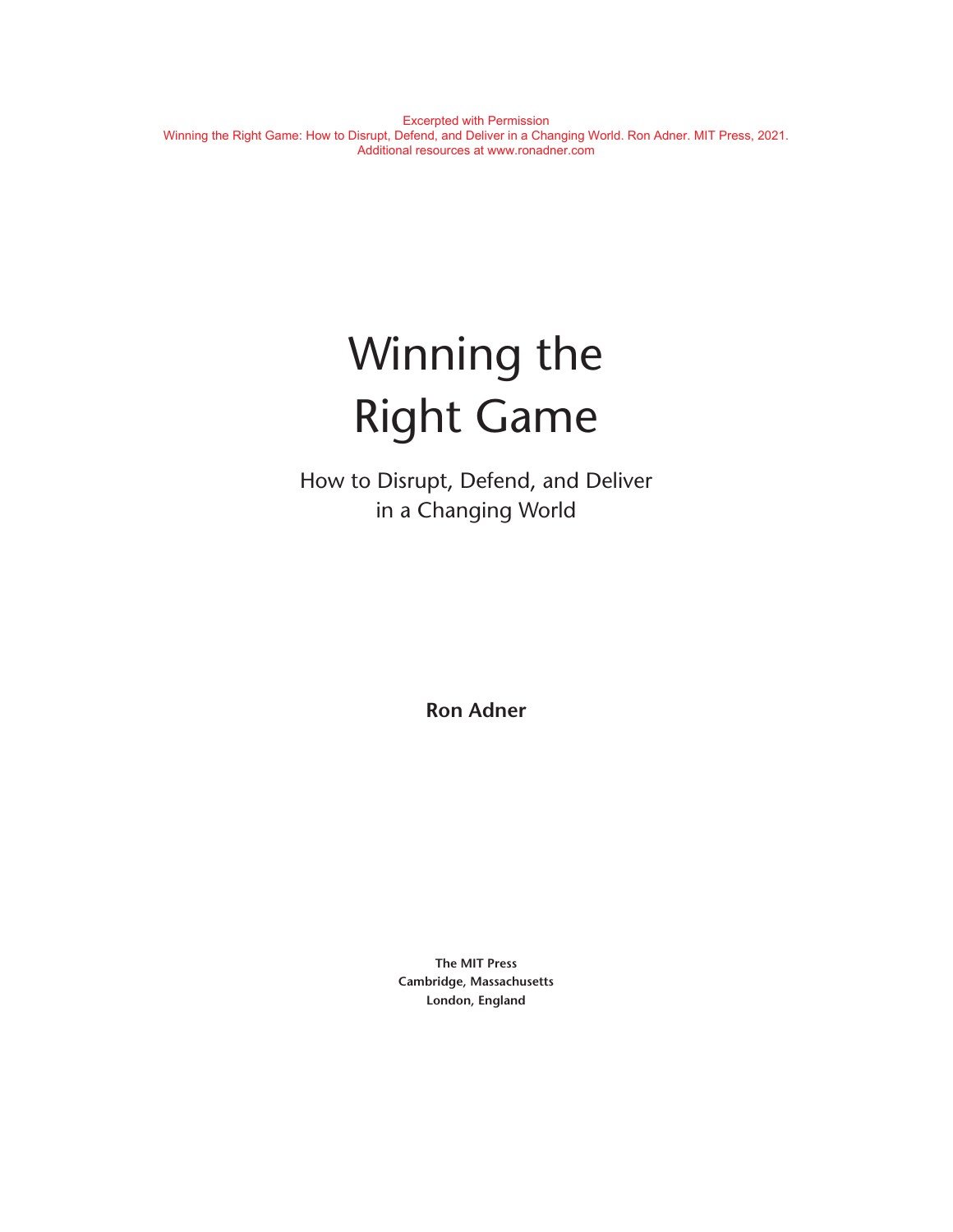# Winning the Right Game

How to Disrupt, Defend, and Deliver in a Changing World

**Ron Adner**

**The MIT Press Cambridge, Massachusetts London, England**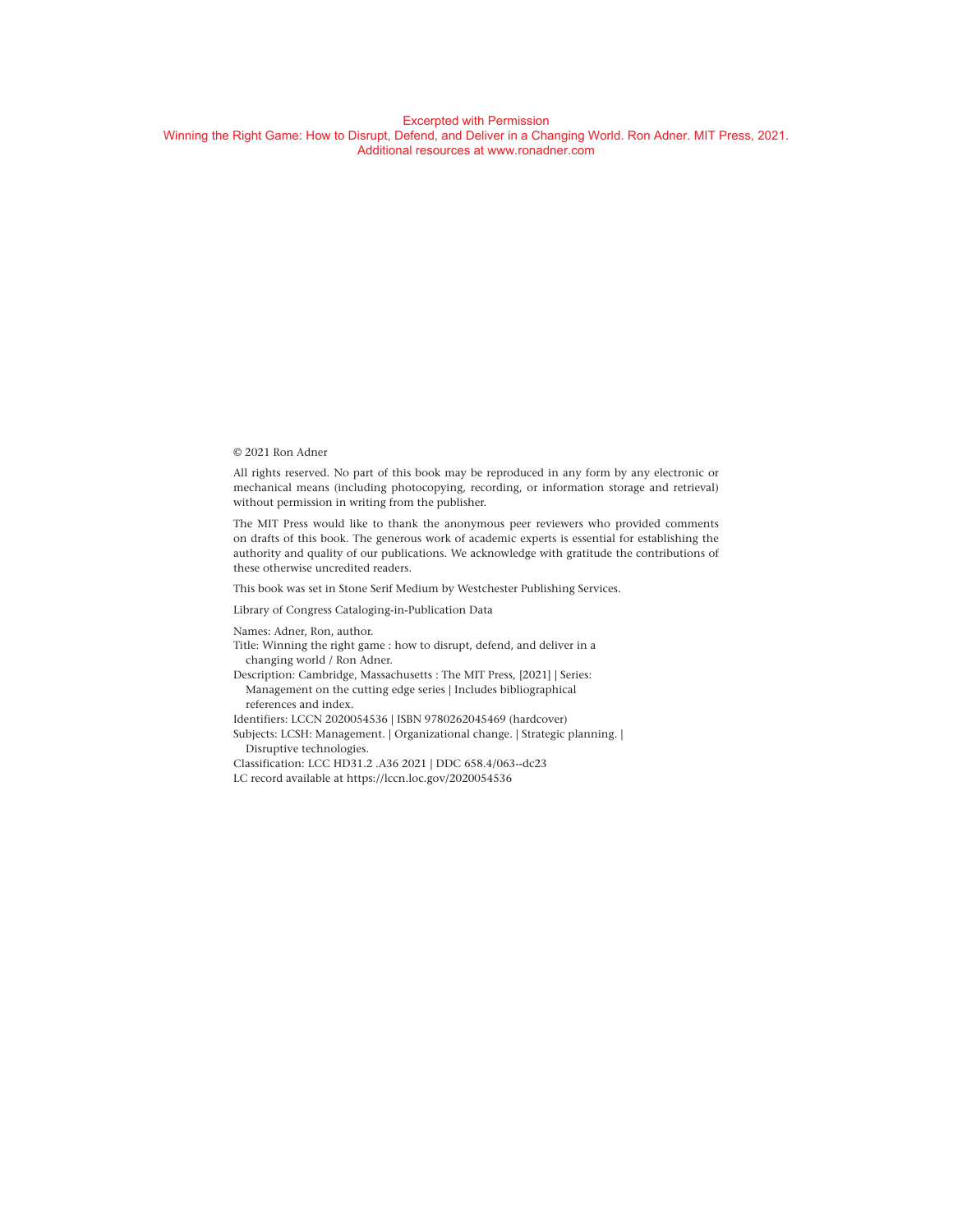#### © 2021 Ron Adner

All rights reserved. No part of this book may be reproduced in any form by any electronic or mechanical means (including photocopying, recording, or information storage and retrieval) without permission in writing from the publisher.

The MIT Press would like to thank the anonymous peer reviewers who provided comments on drafts of this book. The generous work of academic experts is essential for establishing the authority and quality of our publications. We acknowledge with gratitude the contributions of these otherwise uncredited readers.

This book was set in Stone Serif Medium by Westchester Publishing Services.

Library of Congress Cataloging-in-Publication Data

Names: Adner, Ron, author.

- Title: Winning the right game : how to disrupt, defend, and deliver in a changing world / Ron Adner.
- Description: Cambridge, Massachusetts : The MIT Press, [2021] | Series: Management on the cutting edge series | Includes bibliographical references and index.
- Identifiers: LCCN 2020054536 | ISBN 9780262045469 (hardcover)
- Subjects: LCSH: Management. | Organizational change. | Strategic planning. | Disruptive technologies.
- Classification: LCC HD31.2 .A36 2021 | DDC 658.4/063- dc23
- LC record available at https://lccn.loc.gov/2020054536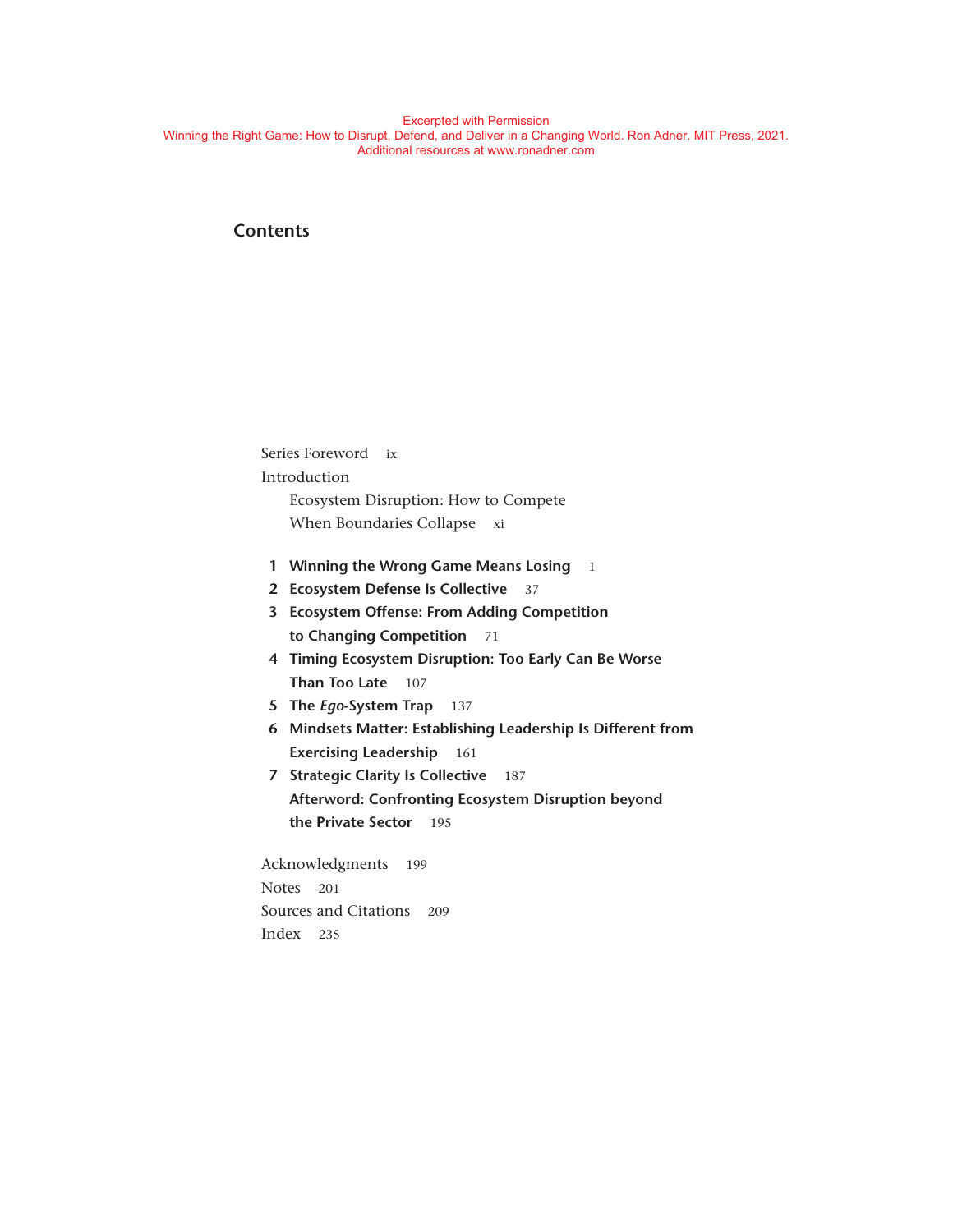### **Contents**

Series Foreword ix Introduction Ecosystem Disruption: How to Compete When Boundaries Collapse xi

- **1 Winning the Wrong Game Means Losing** 1
- **2 Ecosystem Defense Is Collective** 37
- **3 Ecosystem Offense: From Adding Competition to Changing Competition** 71
- **4 Timing Ecosystem Disruption: Too Early Can Be Worse Than Too Late** 107
- **5 The** *Ego***-System Trap** 137
- **6 Mindsets Matter: Establishing Leadership Is Different from Exercising Leadership** 161
- **7 Strategic Clarity Is Collective** 187 **Afterword: Confronting Ecosystem Disruption beyond the Private Sector** 195

Acknowledgments 199 Notes 201 Sources and Citations 209 Index 235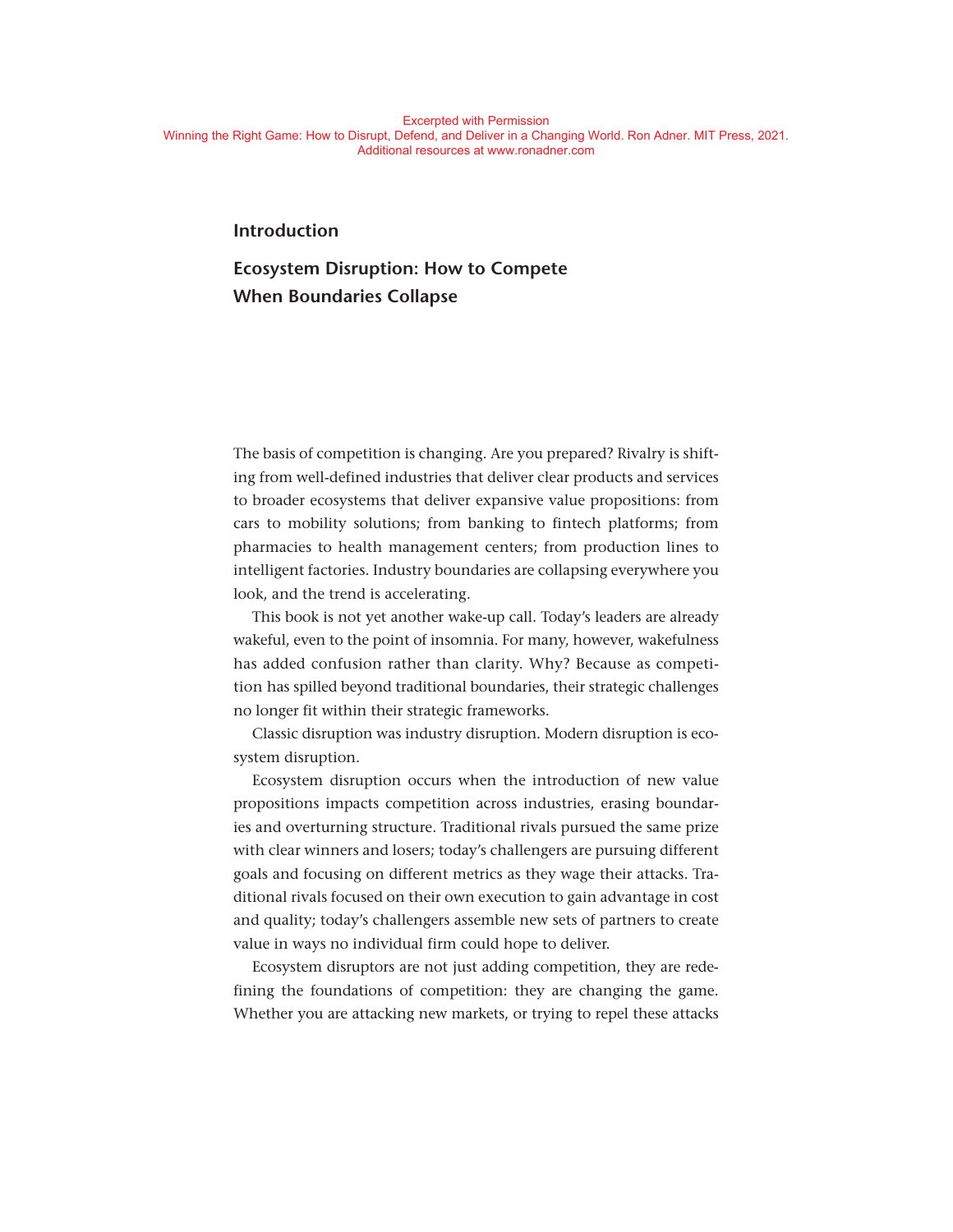#### **Introduction**

# **Ecosystem Disruption: How to Compete When Boundaries Collapse**

The basis of competition is changing. Are you prepared? Rivalry is shifting from well- defined industries that deliver clear products and services to broader ecosystems that deliver expansive value propositions: from cars to mobility solutions; from banking to fintech platforms; from pharmacies to health management centers; from production lines to intelligent factories. Industry boundaries are collapsing everywhere you look, and the trend is accelerating.

This book is not yet another wake-up call. Today's leaders are already wakeful, even to the point of insomnia. For many, however, wakefulness has added confusion rather than clarity. Why? Because as competition has spilled beyond traditional boundaries, their strategic challenges no longer fit within their strategic frameworks.

Classic disruption was industry disruption. Modern disruption is ecosystem disruption.

Ecosystem disruption occurs when the introduction of new value propositions impacts competition across industries, erasing boundaries and overturning structure. Traditional rivals pursued the same prize with clear winners and losers; today's challengers are pursuing different goals and focusing on different metrics as they wage their attacks. Traditional rivals focused on their own execution to gain advantage in cost and quality; today's challengers assemble new sets of partners to create value in ways no individual firm could hope to deliver.

Ecosystem disruptors are not just adding competition, they are redefining the foundations of competition: they are changing the game. Whether you are attacking new markets, or trying to repel these attacks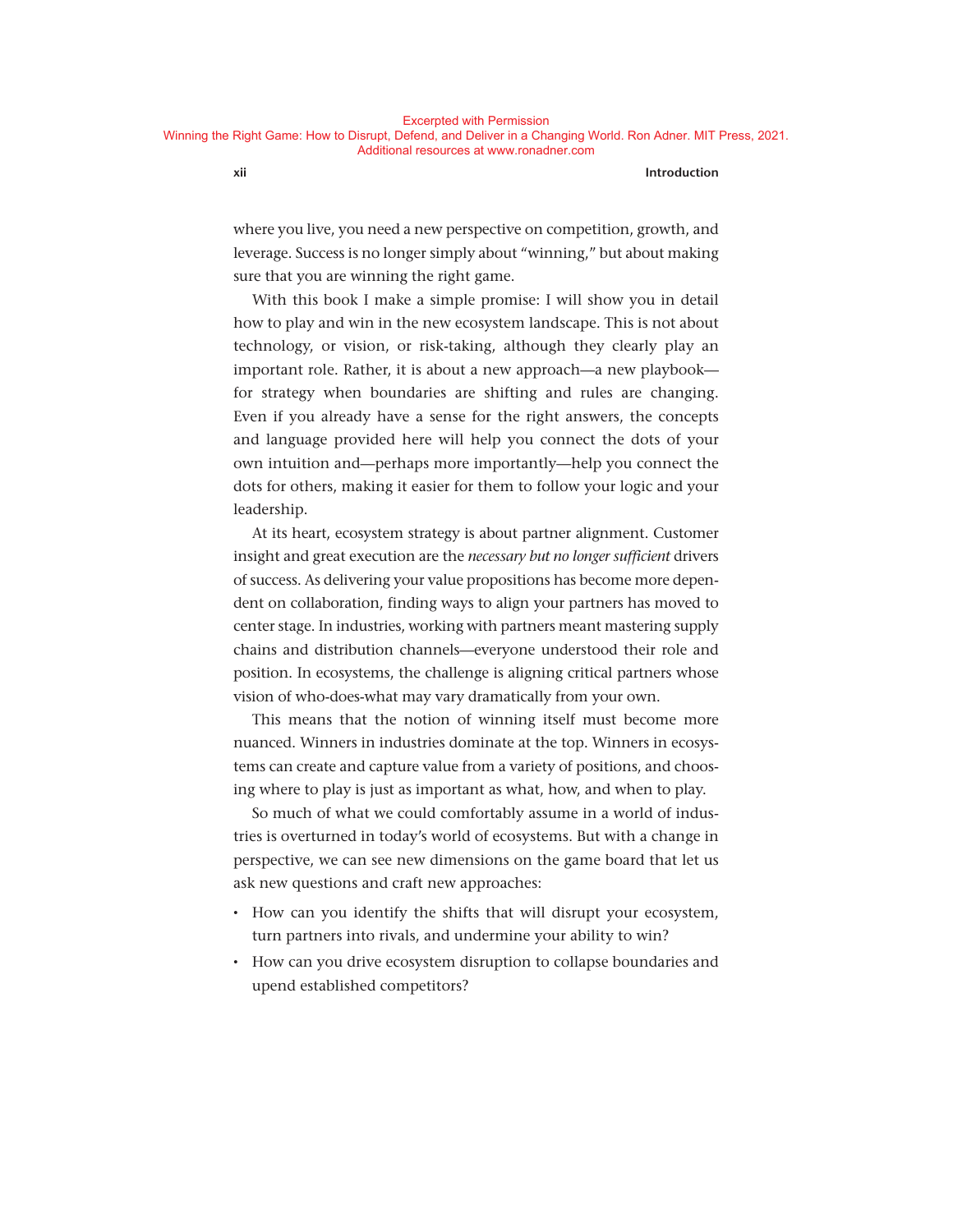#### **xii Introduction**

where you live, you need a new perspective on competition, growth, and leverage. Success is no longer simply about "winning," but about making sure that you are winning the right game.

With this book I make a simple promise: I will show you in detail how to play and win in the new ecosystem landscape. This is not about technology, or vision, or risk-taking, although they clearly play an important role. Rather, it is about a new approach—a new playbook for strategy when boundaries are shifting and rules are changing. Even if you already have a sense for the right answers, the concepts and language provided here will help you connect the dots of your own intuition and— perhaps more importantly— help you connect the dots for others, making it easier for them to follow your logic and your leadership.

At its heart, ecosystem strategy is about partner alignment. Customer insight and great execution are the *necessary but no longer sufficient* drivers of success. As delivering your value propositions has become more dependent on collaboration, finding ways to align your partners has moved to center stage. In industries, working with partners meant mastering supply chains and distribution channels— everyone understood their role and position. In ecosystems, the challenge is aligning critical partners whose vision of who-does-what may vary dramatically from your own.

This means that the notion of winning itself must become more nuanced. Winners in industries dominate at the top. Winners in ecosystems can create and capture value from a variety of positions, and choosing where to play is just as important as what, how, and when to play.

So much of what we could comfortably assume in a world of industries is overturned in today's world of ecosystems. But with a change in perspective, we can see new dimensions on the game board that let us ask new questions and craft new approaches:

- How can you identify the shifts that will disrupt your ecosystem, turn partners into rivals, and undermine your ability to win?
- How can you drive ecosystem disruption to collapse boundaries and upend established competitors?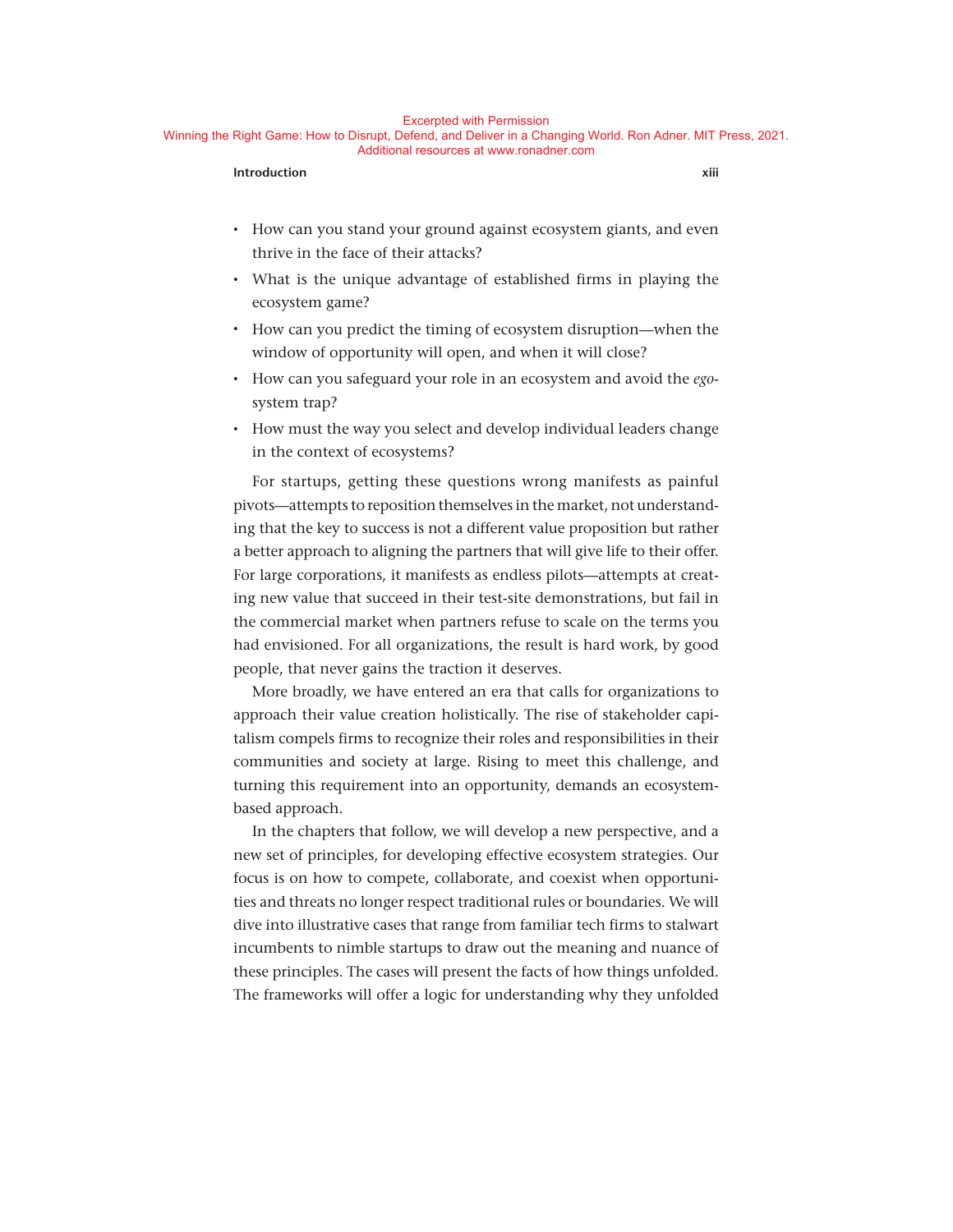#### Excerpted with Permission

Winning the Right Game: How to Disrupt, Defend, and Deliver in a Changing World. Ron Adner. MIT Press, 2021. Additional resources at www.ronadner.com

#### **Introduction** xiii

- How can you stand your ground against ecosystem giants, and even thrive in the face of their attacks?
- What is the unique advantage of established firms in playing the ecosystem game?
- How can you predict the timing of ecosystem disruption— when the window of opportunity will open, and when it will close?
- How can you safeguard your role in an ecosystem and avoid the *ego*system trap?
- How must the way you select and develop individual leaders change in the context of ecosystems?

For startups, getting these questions wrong manifests as painful pivots— attempts to reposition themselves in the market, not understanding that the key to success is not a different value proposition but rather a better approach to aligning the partners that will give life to their offer. For large corporations, it manifests as endless pilots— attempts at creating new value that succeed in their test-site demonstrations, but fail in the commercial market when partners refuse to scale on the terms you had envisioned. For all organizations, the result is hard work, by good people, that never gains the traction it deserves.

More broadly, we have entered an era that calls for organizations to approach their value creation holistically. The rise of stakeholder capitalism compels firms to recognize their roles and responsibilities in their communities and society at large. Rising to meet this challenge, and turning this requirement into an opportunity, demands an ecosystembased approach.

In the chapters that follow, we will develop a new perspective, and a new set of principles, for developing effective ecosystem strategies. Our focus is on how to compete, collaborate, and coexist when opportunities and threats no longer respect traditional rules or boundaries. We will dive into illustrative cases that range from familiar tech firms to stalwart incumbents to nimble startups to draw out the meaning and nuance of these principles. The cases will present the facts of how things unfolded. The frameworks will offer a logic for understanding why they unfolded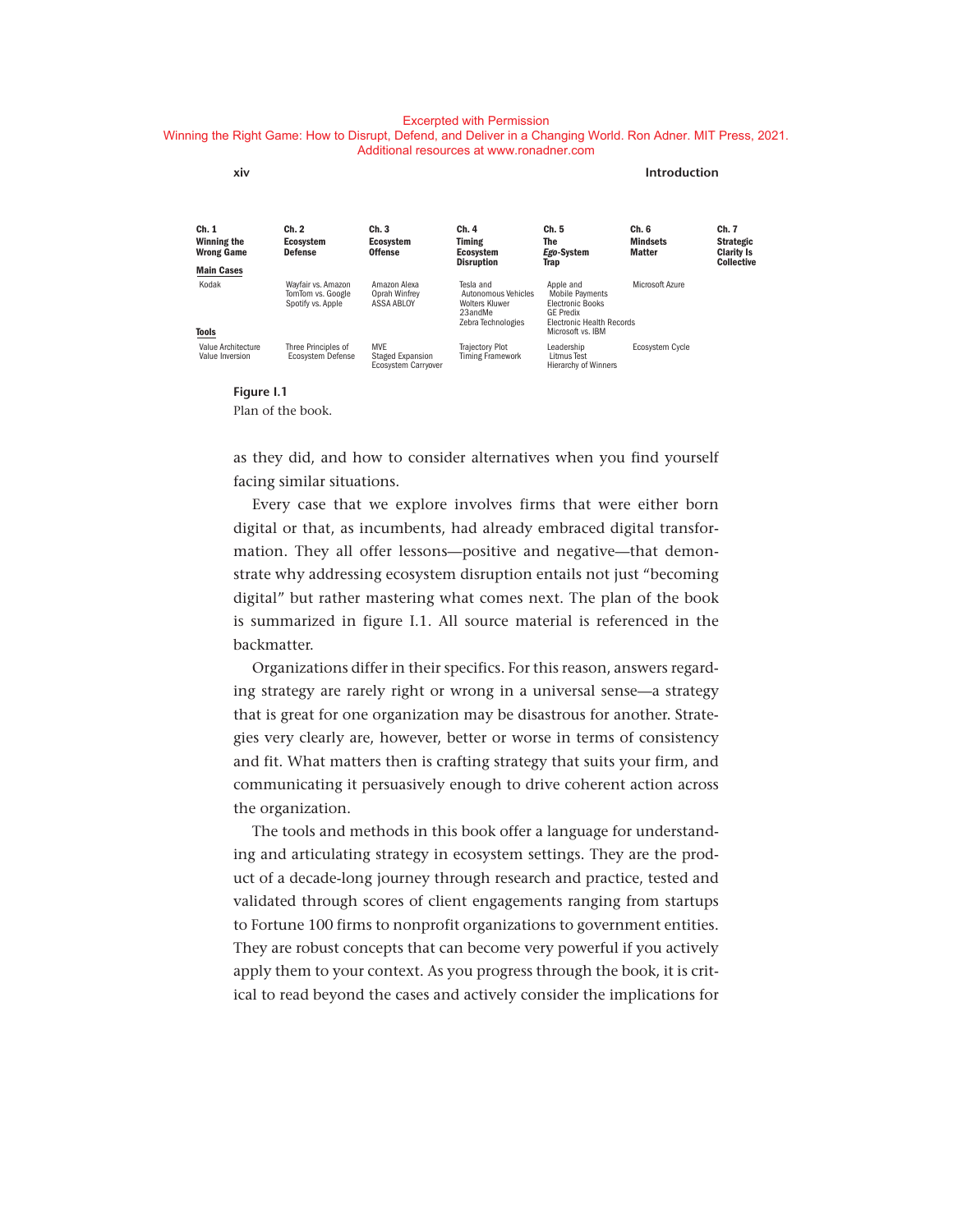#### Excerpted with Permission

#### Winning the Right Game: How to Disrupt, Defend, and Deliver in a Changing World. Ron Adner. MIT Press, 2021. Additional resources at www.ronadner.com

| xiv                                       |                                                              |                                                       |                                                                                     |                                                                                                                        | Introduction                              |                                                                     |
|-------------------------------------------|--------------------------------------------------------------|-------------------------------------------------------|-------------------------------------------------------------------------------------|------------------------------------------------------------------------------------------------------------------------|-------------------------------------------|---------------------------------------------------------------------|
| Ch. 1<br>Winning the<br><b>Wrong Game</b> | Ch. 2<br><b>Ecosystem</b><br><b>Defense</b>                  | Ch. 3<br><b>Ecosystem</b><br><b>Offense</b>           | Ch. 4<br><b>Timing</b><br>Ecosystem<br><b>Disruption</b>                            | Ch. 5<br>The<br>Ego-System<br>Trap                                                                                     | Ch. 6<br><b>Mindsets</b><br><b>Matter</b> | Ch. 7<br><b>Strategic</b><br><b>Clarity Is</b><br><b>Collective</b> |
| <b>Main Cases</b>                         |                                                              |                                                       |                                                                                     |                                                                                                                        |                                           |                                                                     |
| Kodak                                     | Wayfair vs. Amazon<br>TomTom vs. Google<br>Spotify vs. Apple | Amazon Alexa<br>Oprah Winfrev<br>ASSA ABLOY           | Tesla and<br>Autonomous Vehicles<br>Wolters Kluwer<br>23andMe<br>Zebra Technologies | Apple and<br><b>Mobile Payments</b><br><b>Electronic Books</b><br><b>GE Predix</b><br><b>Electronic Health Records</b> | Microsoft Azure                           |                                                                     |
| Tools                                     |                                                              |                                                       |                                                                                     | Microsoft vs. IBM                                                                                                      |                                           |                                                                     |
| Value Architecture<br>Value Inversion     | Three Principles of<br>Ecosystem Defense                     | <b>MVE</b><br>Staged Expansion<br>Ecosystem Carryover | <b>Trajectory Plot</b><br><b>Timing Framework</b>                                   | Leadership<br>Litmus Test<br><b>Hierarchy of Winners</b>                                                               | <b>Ecosystem Cycle</b>                    |                                                                     |

#### **Figure I.1** Plan of the book.

as they did, and how to consider alternatives when you find yourself facing similar situations.

Every case that we explore involves firms that were either born digital or that, as incumbents, had already embraced digital transformation. They all offer lessons— positive and negative— that demonstrate why addressing ecosystem disruption entails not just "becoming digital" but rather mastering what comes next. The plan of the book is summarized in figure I.1. All source material is referenced in the backmatter.

Organizations differ in their specifics. For this reason, answers regarding strategy are rarely right or wrong in a universal sense— a strategy that is great for one organization may be disastrous for another. Strategies very clearly are, however, better or worse in terms of consistency and fit. What matters then is crafting strategy that suits your firm, and communicating it persuasively enough to drive coherent action across the organization.

The tools and methods in this book offer a language for understanding and articulating strategy in ecosystem settings. They are the product of a decade-long journey through research and practice, tested and validated through scores of client engagements ranging from startups to Fortune 100 firms to nonprofit organizations to government entities. They are robust concepts that can become very powerful if you actively apply them to your context. As you progress through the book, it is critical to read beyond the cases and actively consider the implications for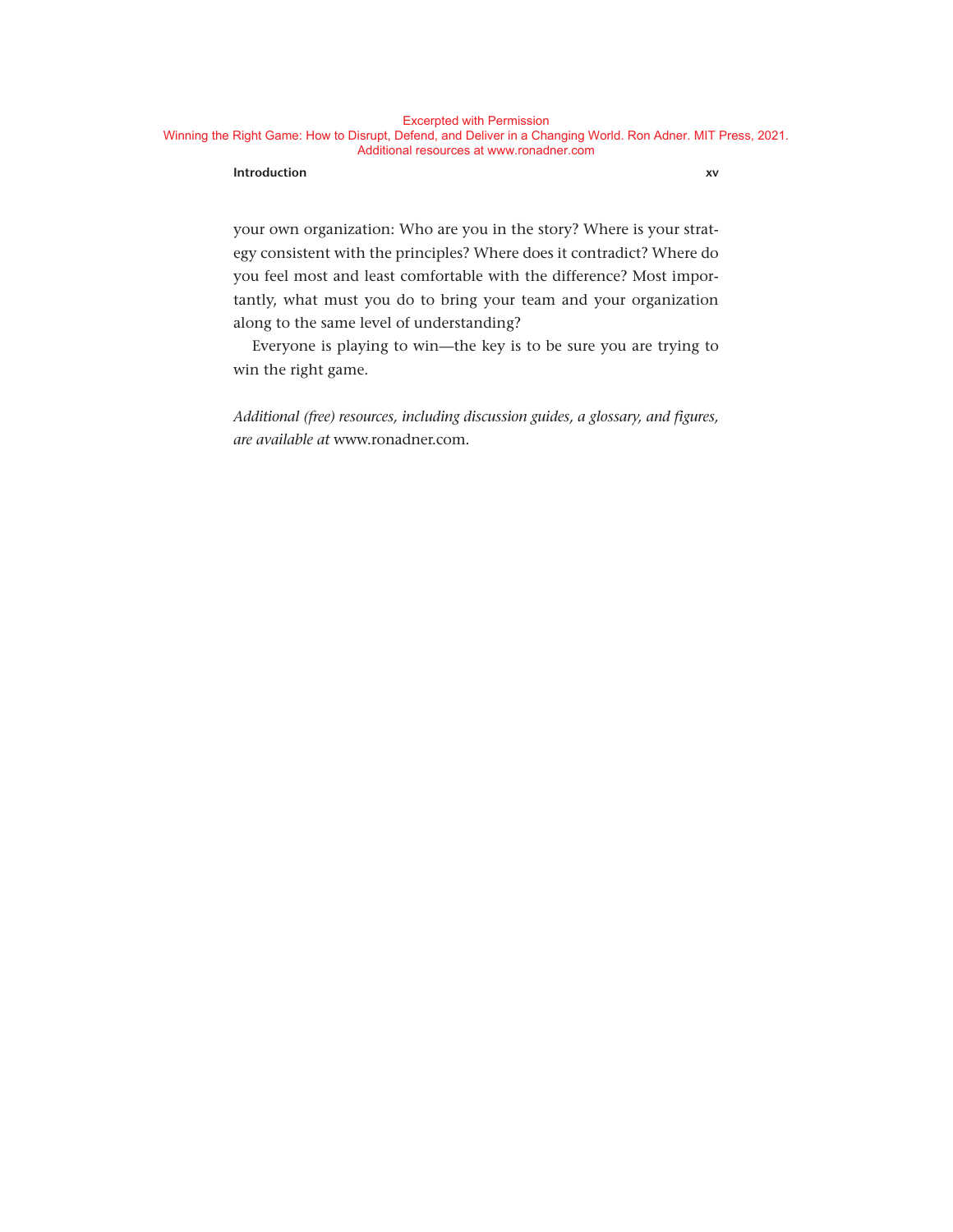#### **Introduction xv**

your own organization: Who are you in the story? Where is your strategy consistent with the principles? Where does it contradict? Where do you feel most and least comfortable with the difference? Most importantly, what must you do to bring your team and your organization along to the same level of understanding?

Everyone is playing to win— the key is to be sure you are trying to win the right game.

*Additional (free) resources, including discussion guides, a glossary, and figures, are available at* www . ronadner . com*.*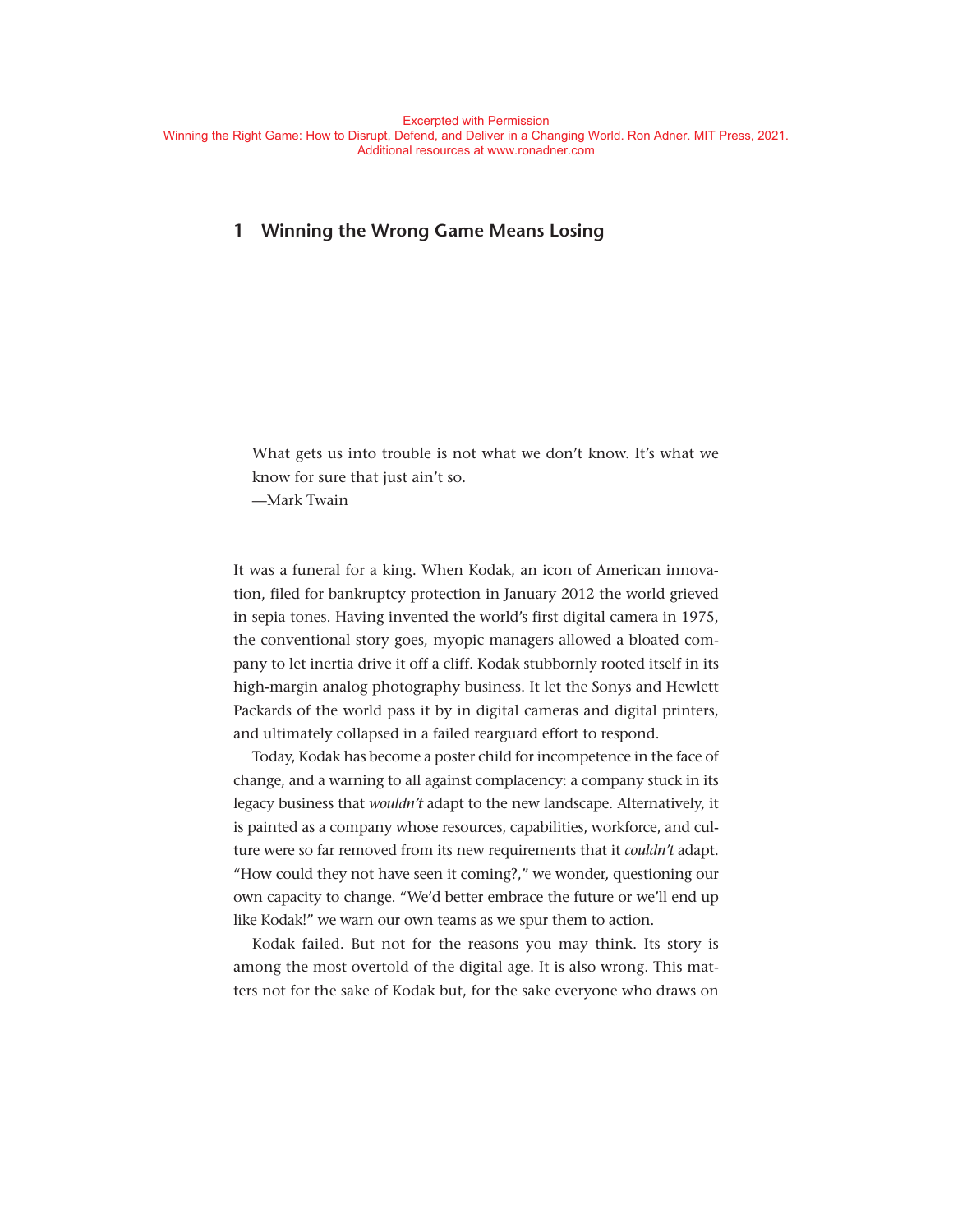# **1 Winning the Wrong Game Means Losing**

What gets us into trouble is not what we don't know. It's what we know for sure that just ain't so. — Mark Twain

It was a funeral for a king. When Kodak, an icon of American innovation, filed for bankruptcy protection in January 2012 the world grieved in sepia tones. Having invented the world's first digital camera in 1975, the conventional story goes, myopic managers allowed a bloated company to let inertia drive it off a cliff. Kodak stubbornly rooted itself in its high-margin analog photography business. It let the Sonys and Hewlett Packards of the world pass it by in digital cameras and digital printers, and ultimately collapsed in a failed rearguard effort to respond.

Today, Kodak has become a poster child for incompetence in the face of change, and a warning to all against complacency: a company stuck in its legacy business that *wouldn't* adapt to the new landscape. Alternatively, it is painted as a company whose resources, capabilities, workforce, and culture were so far removed from its new requirements that it *couldn't* adapt. "How could they not have seen it coming?," we wonder, questioning our own capacity to change. "We'd better embrace the future or we'll end up like Kodak!" we warn our own teams as we spur them to action.

Kodak failed. But not for the reasons you may think. Its story is among the most overtold of the digital age. It is also wrong. This matters not for the sake of Kodak but, for the sake everyone who draws on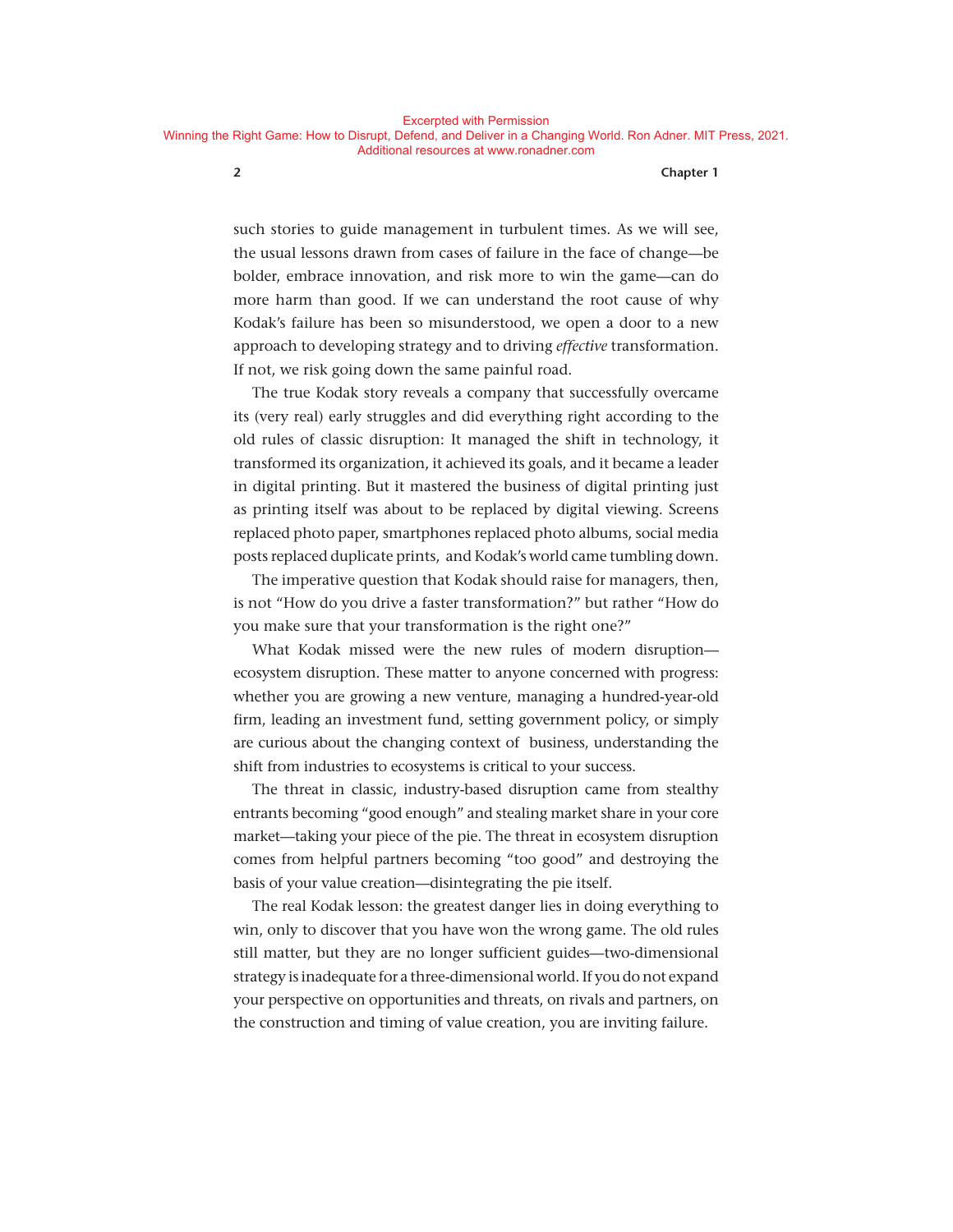Additional resources at www.ronadner.com

#### **2 Chapter 1**

such stories to guide management in turbulent times. As we will see, the usual lessons drawn from cases of failure in the face of change— be bolder, embrace innovation, and risk more to win the game— can do more harm than good. If we can understand the root cause of why Kodak's failure has been so misunderstood, we open a door to a new approach to developing strategy and to driving *effective* transformation. If not, we risk going down the same painful road.

The true Kodak story reveals a company that successfully overcame its (very real) early struggles and did everything right according to the old rules of classic disruption: It managed the shift in technology, it transformed its organization, it achieved its goals, and it became a leader in digital printing. But it mastered the business of digital printing just as printing itself was about to be replaced by digital viewing. Screens replaced photo paper, smartphones replaced photo albums, social media posts replaced duplicate prints, and Kodak's world came tumbling down.

The imperative question that Kodak should raise for managers, then, is not "How do you drive a faster transformation?" but rather "How do you make sure that your transformation is the right one?"

What Kodak missed were the new rules of modern disruption ecosystem disruption. These matter to anyone concerned with progress: whether you are growing a new venture, managing a hundred-year-old firm, leading an investment fund, setting government policy, or simply are curious about the changing context of business, understanding the shift from industries to ecosystems is critical to your success.

The threat in classic, industry-based disruption came from stealthy entrants becoming "good enough" and stealing market share in your core market— taking your piece of the pie. The threat in ecosystem disruption comes from helpful partners becoming "too good" and destroying the basis of your value creation— disintegrating the pie itself.

The real Kodak lesson: the greatest danger lies in doing everything to win, only to discover that you have won the wrong game. The old rules still matter, but they are no longer sufficient guides—two-dimensional strategy is inadequate for a three- dimensional world. If you do not expand your perspective on opportunities and threats, on rivals and partners, on the construction and timing of value creation, you are inviting failure.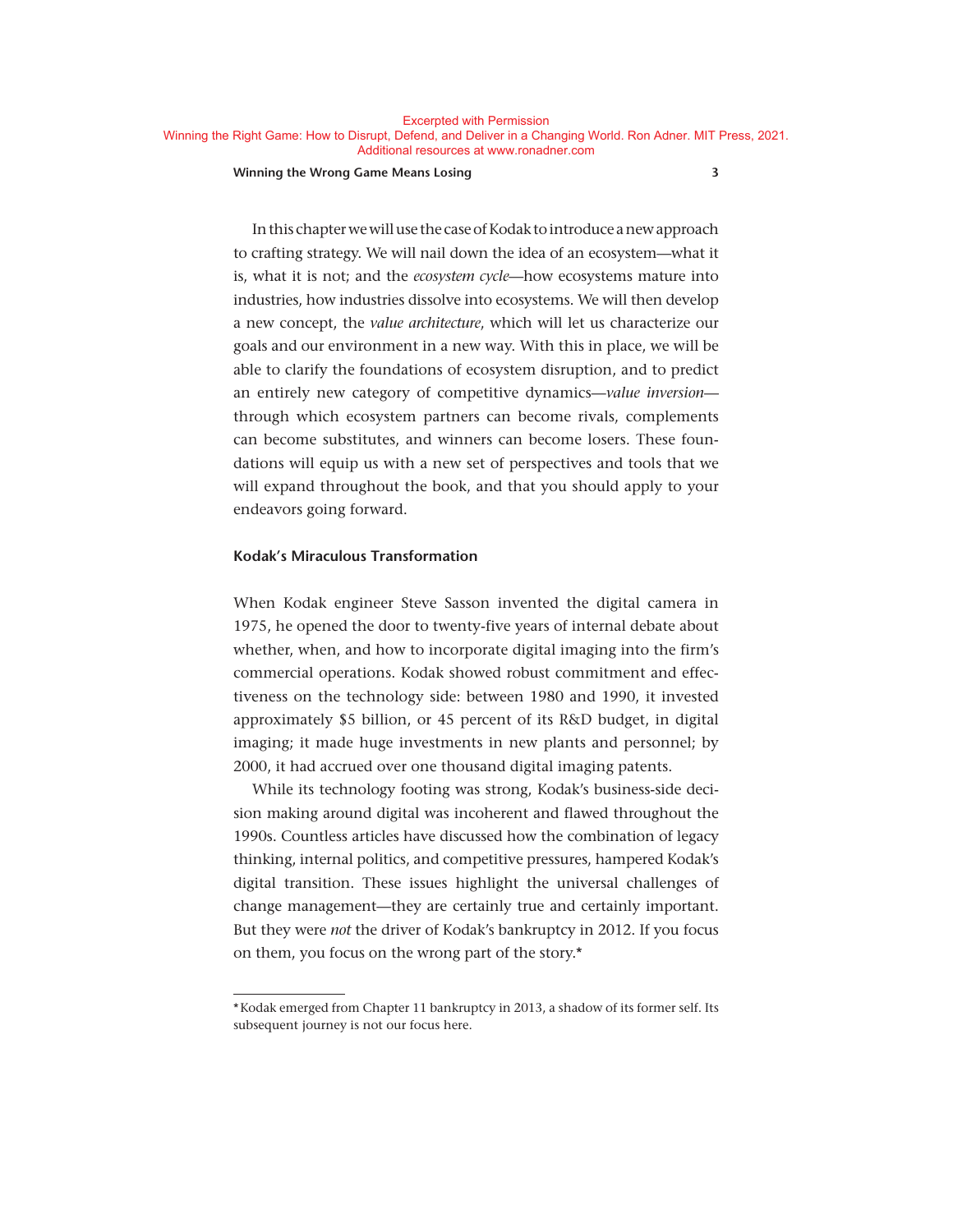#### **Winning the Wrong Game Means Losing 3**

In this chapter we will use the case of Kodak to introduce a new approach to crafting strategy. We will nail down the idea of an ecosystem— what it is, what it is not; and the *ecosystem cycle*— how ecosystems mature into industries, how industries dissolve into ecosystems. We will then develop a new concept, the *value architecture*, which will let us characterize our goals and our environment in a new way. With this in place, we will be able to clarify the foundations of ecosystem disruption, and to predict an entirely new category of competitive dynamics— *value inversion* through which ecosystem partners can become rivals, complements can become substitutes, and winners can become losers. These foundations will equip us with a new set of perspectives and tools that we will expand throughout the book, and that you should apply to your endeavors going forward.

#### **Kodak's Miraculous Transformation**

When Kodak engineer Steve Sasson invented the digital camera in 1975, he opened the door to twenty-five years of internal debate about whether, when, and how to incorporate digital imaging into the firm's commercial operations. Kodak showed robust commitment and effectiveness on the technology side: between 1980 and 1990, it invested approximately \$5 billion, or 45 percent of its R&D budget, in digital imaging; it made huge investments in new plants and personnel; by 2000, it had accrued over one thousand digital imaging patents.

While its technology footing was strong, Kodak's business-side decision making around digital was incoherent and flawed throughout the 1990s. Countless articles have discussed how the combination of legacy thinking, internal politics, and competitive pressures, hampered Kodak's digital transition. These issues highlight the universal challenges of change management— they are certainly true and certainly important. But they were *not* the driver of Kodak's bankruptcy in 2012. If you focus on them, you focus on the wrong part of the story.\*

<sup>\*</sup> Kodak emerged from Chapter 11 bankruptcy in 2013, a shadow of its former self. Its subsequent journey is not our focus here.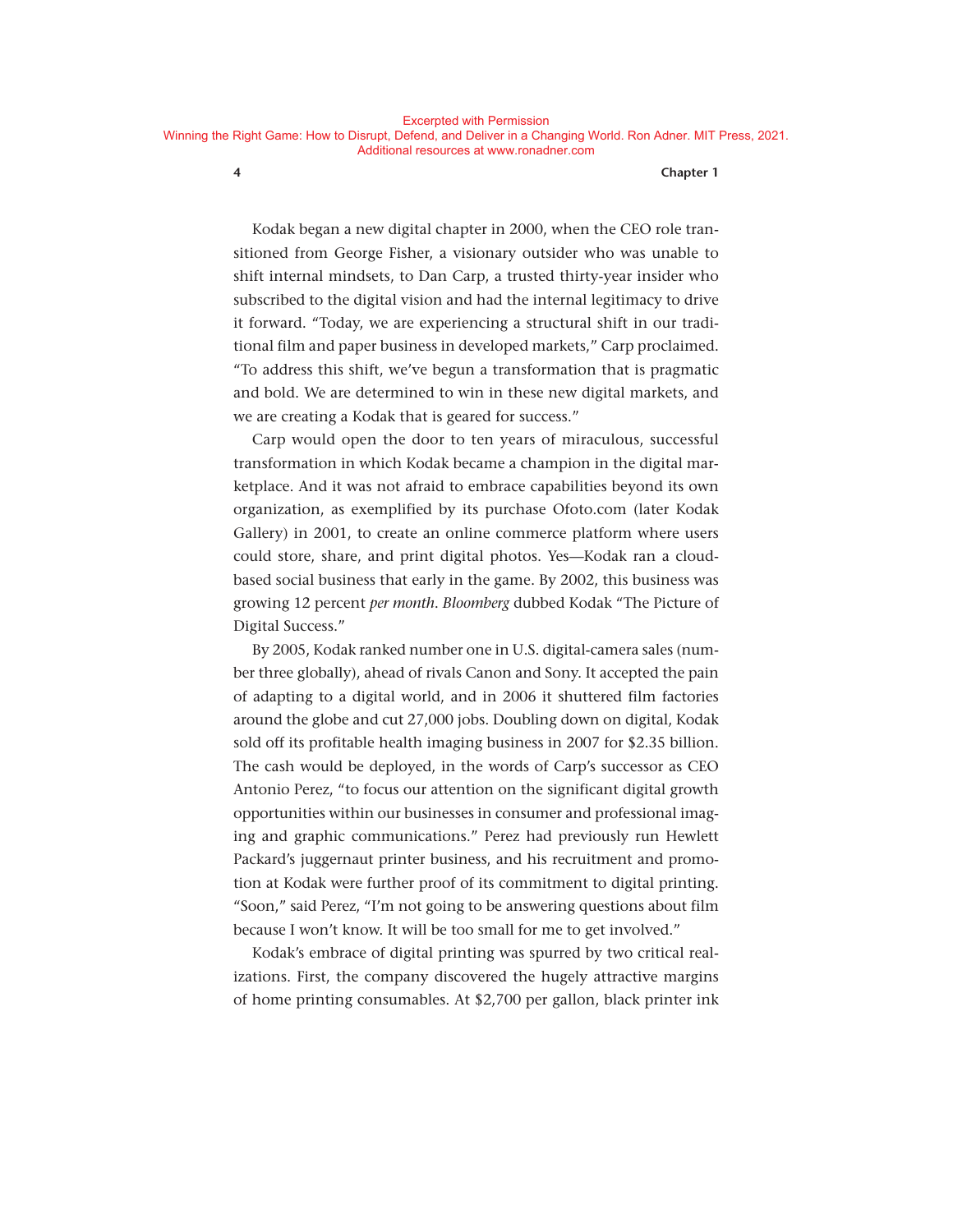Kodak began a new digital chapter in 2000, when the CEO role transitioned from George Fisher, a visionary outsider who was unable to shift internal mindsets, to Dan Carp, a trusted thirty- year insider who subscribed to the digital vision and had the internal legitimacy to drive it forward. "Today, we are experiencing a structural shift in our traditional film and paper business in developed markets," Carp proclaimed. "To address this shift, we've begun a transformation that is pragmatic and bold. We are determined to win in these new digital markets, and we are creating a Kodak that is geared for success."

Carp would open the door to ten years of miraculous, successful transformation in which Kodak became a champion in the digital marketplace. And it was not afraid to embrace capabilities beyond its own organization, as exemplified by its purchase Ofoto . com (later Kodak Gallery) in 2001, to create an online commerce platform where users could store, share, and print digital photos. Yes— Kodak ran a cloudbased social business that early in the game. By 2002, this business was growing 12 percent *per month*. *Bloomberg* dubbed Kodak "The Picture of Digital Success."

By 2005, Kodak ranked number one in U.S. digital- camera sales (number three globally), ahead of rivals Canon and Sony. It accepted the pain of adapting to a digital world, and in 2006 it shuttered film factories around the globe and cut 27,000 jobs. Doubling down on digital, Kodak sold off its profitable health imaging business in 2007 for \$2.35 billion. The cash would be deployed, in the words of Carp's successor as CEO Antonio Perez, "to focus our attention on the significant digital growth opportunities within our businesses in consumer and professional imaging and graphic communications." Perez had previously run Hewlett Packard's juggernaut printer business, and his recruitment and promotion at Kodak were further proof of its commitment to digital printing. "Soon," said Perez, "I'm not going to be answering questions about film because I won't know. It will be too small for me to get involved."

Kodak's embrace of digital printing was spurred by two critical realizations. First, the company discovered the hugely attractive margins of home printing consumables. At \$2,700 per gallon, black printer ink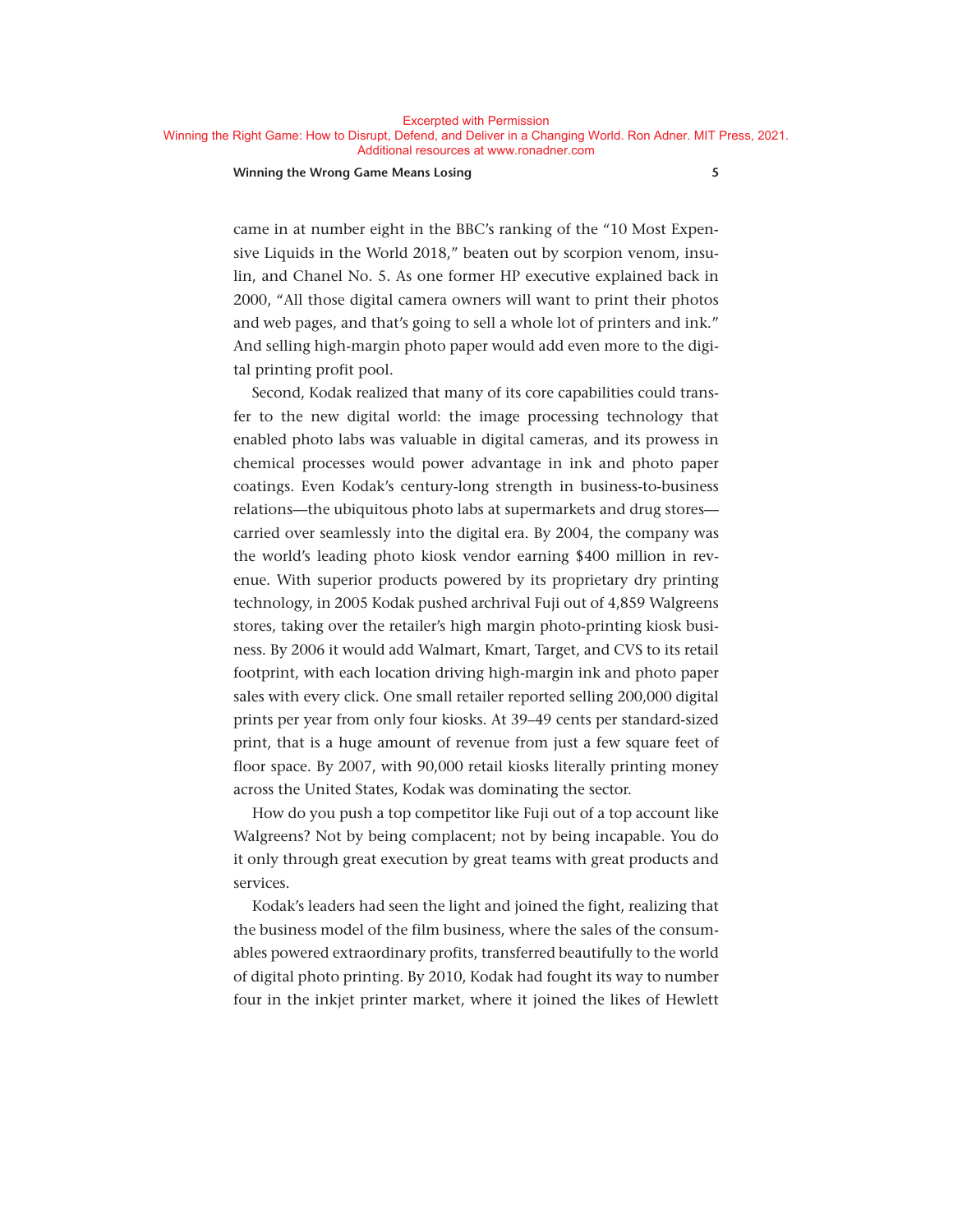Excerpted with Permission

Winning the Right Game: How to Disrupt, Defend, and Deliver in a Changing World. Ron Adner. MIT Press, 2021. Additional resources at www.ronadner.com

#### **Winning the Wrong Game Means Losing 5**

came in at number eight in the BBC's ranking of the "10 Most Expensive Liquids in the World 2018," beaten out by scorpion venom, insulin, and Chanel No. 5. As one former HP executive explained back in 2000, "All those digital camera owners will want to print their photos and web pages, and that's going to sell a whole lot of printers and ink." And selling high-margin photo paper would add even more to the digital printing profit pool.

Second, Kodak realized that many of its core capabilities could transfer to the new digital world: the image processing technology that enabled photo labs was valuable in digital cameras, and its prowess in chemical processes would power advantage in ink and photo paper coatings. Even Kodak's century- long strength in business- to- business relations— the ubiquitous photo labs at supermarkets and drug stores carried over seamlessly into the digital era. By 2004, the company was the world's leading photo kiosk vendor earning \$400 million in revenue. With superior products powered by its proprietary dry printing technology, in 2005 Kodak pushed archrival Fuji out of 4,859 Walgreens stores, taking over the retailer's high margin photo-printing kiosk business. By 2006 it would add Walmart, Kmart, Target, and CVS to its retail footprint, with each location driving high- margin ink and photo paper sales with every click. One small retailer reported selling 200,000 digital prints per year from only four kiosks. At 39–49 cents per standard-sized print, that is a huge amount of revenue from just a few square feet of floor space. By 2007, with 90,000 retail kiosks literally printing money across the United States, Kodak was dominating the sector.

How do you push a top competitor like Fuji out of a top account like Walgreens? Not by being complacent; not by being incapable. You do it only through great execution by great teams with great products and services.

Kodak's leaders had seen the light and joined the fight, realizing that the business model of the film business, where the sales of the consumables powered extraordinary profits, transferred beautifully to the world of digital photo printing. By 2010, Kodak had fought its way to number four in the inkjet printer market, where it joined the likes of Hewlett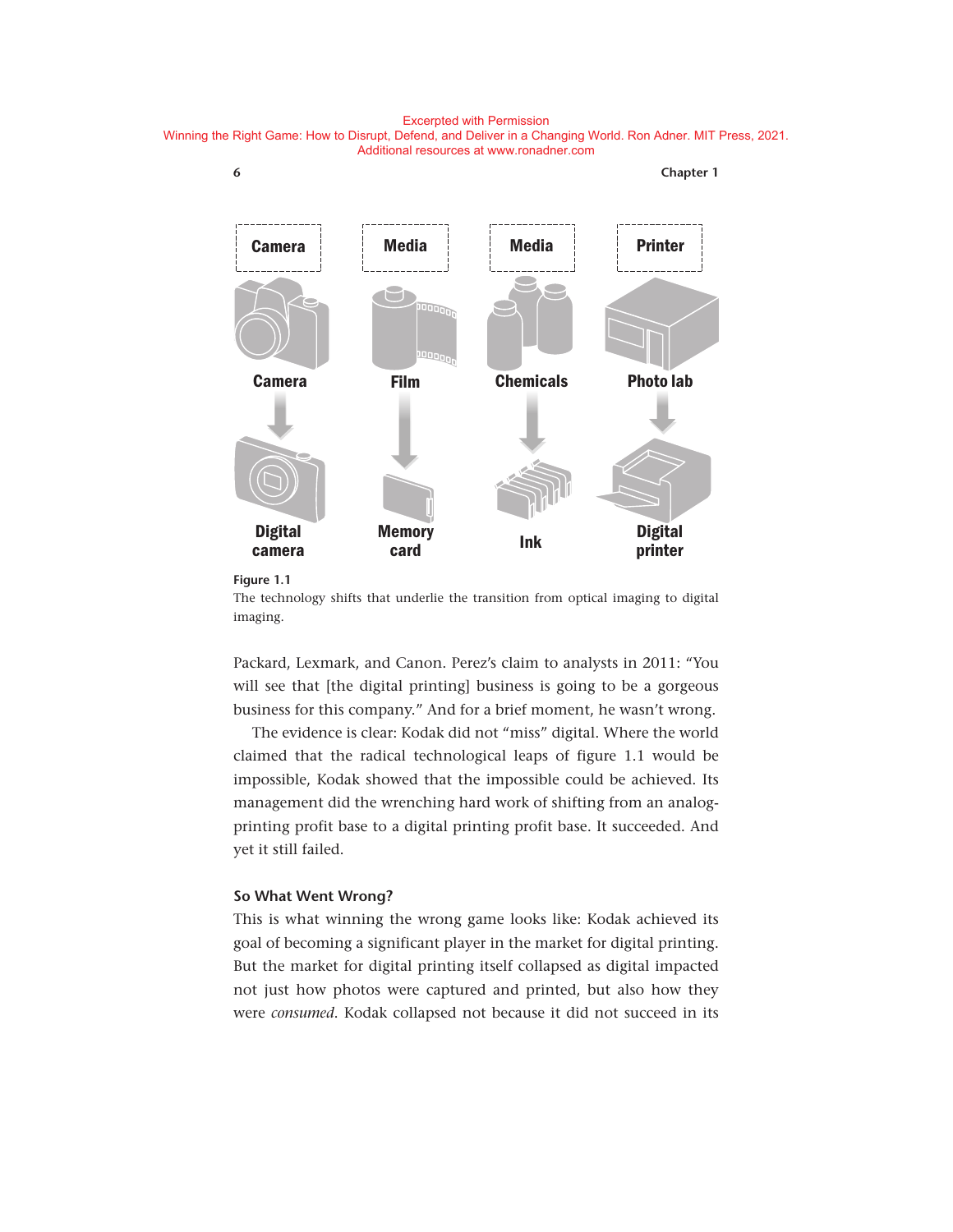Excerpted with Permission

Winning the Right Game: How to Disrupt, Defend, and Deliver in a Changing World. Ron Adner. MIT Press, 2021. Additional resources at www.ronadner.com



#### **Figure 1.1**

The technology shifts that underlie the transition from optical imaging to digital imaging.

Packard, Lexmark, and Canon. Perez's claim to analysts in 2011: "You will see that [the digital printing] business is going to be a gorgeous business for this company." And for a brief moment, he wasn't wrong.

The evidence is clear: Kodak did not "miss" digital. Where the world claimed that the radical technological leaps of figure 1.1 would be impossible, Kodak showed that the impossible could be achieved. Its management did the wrenching hard work of shifting from an analogprinting profit base to a digital printing profit base. It succeeded. And yet it still failed.

#### **So What Went Wrong?**

This is what winning the wrong game looks like: Kodak achieved its goal of becoming a significant player in the market for digital printing. But the market for digital printing itself collapsed as digital impacted not just how photos were captured and printed, but also how they were *consumed*. Kodak collapsed not because it did not succeed in its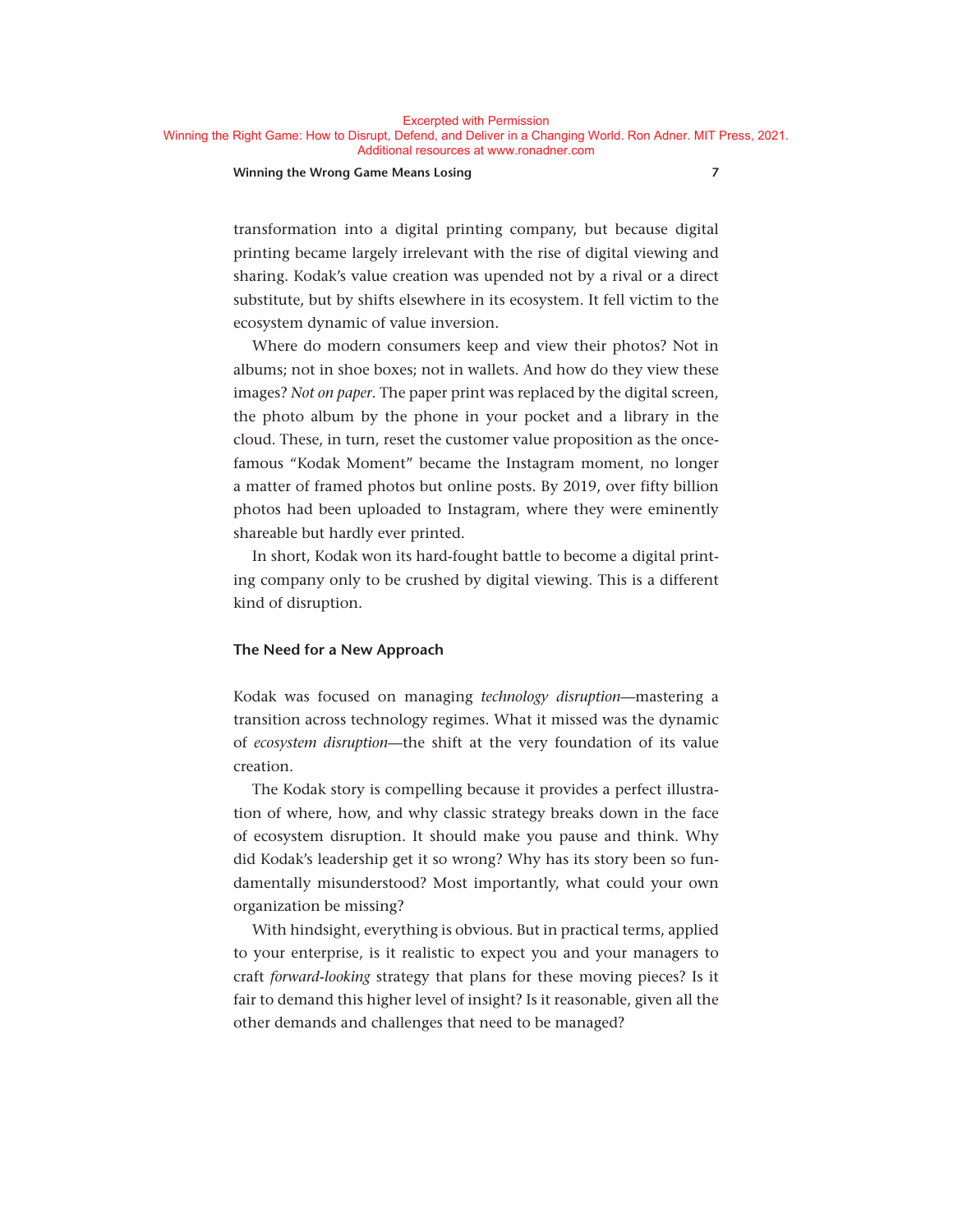#### **Winning the Wrong Game Means Losing 7**

transformation into a digital printing company, but because digital printing became largely irrelevant with the rise of digital viewing and sharing. Kodak's value creation was upended not by a rival or a direct substitute, but by shifts elsewhere in its ecosystem. It fell victim to the ecosystem dynamic of value inversion.

Where do modern consumers keep and view their photos? Not in albums; not in shoe boxes; not in wallets. And how do they view these images? *Not on paper*. The paper print was replaced by the digital screen, the photo album by the phone in your pocket and a library in the cloud. These, in turn, reset the customer value proposition as the oncefamous "Kodak Moment" became the Instagram moment, no longer a matter of framed photos but online posts. By 2019, over fifty billion photos had been uploaded to Instagram, where they were eminently shareable but hardly ever printed.

In short, Kodak won its hard- fought battle to become a digital printing company only to be crushed by digital viewing. This is a different kind of disruption.

#### **The Need for a New Approach**

Kodak was focused on managing *technology disruption*— mastering a transition across technology regimes. What it missed was the dynamic of *ecosystem disruption*— the shift at the very foundation of its value creation.

The Kodak story is compelling because it provides a perfect illustration of where, how, and why classic strategy breaks down in the face of ecosystem disruption. It should make you pause and think. Why did Kodak's leadership get it so wrong? Why has its story been so fundamentally misunderstood? Most importantly, what could your own organization be missing?

With hindsight, everything is obvious. But in practical terms, applied to your enterprise, is it realistic to expect you and your managers to craft *forward- looking* strategy that plans for these moving pieces? Is it fair to demand this higher level of insight? Is it reasonable, given all the other demands and challenges that need to be managed?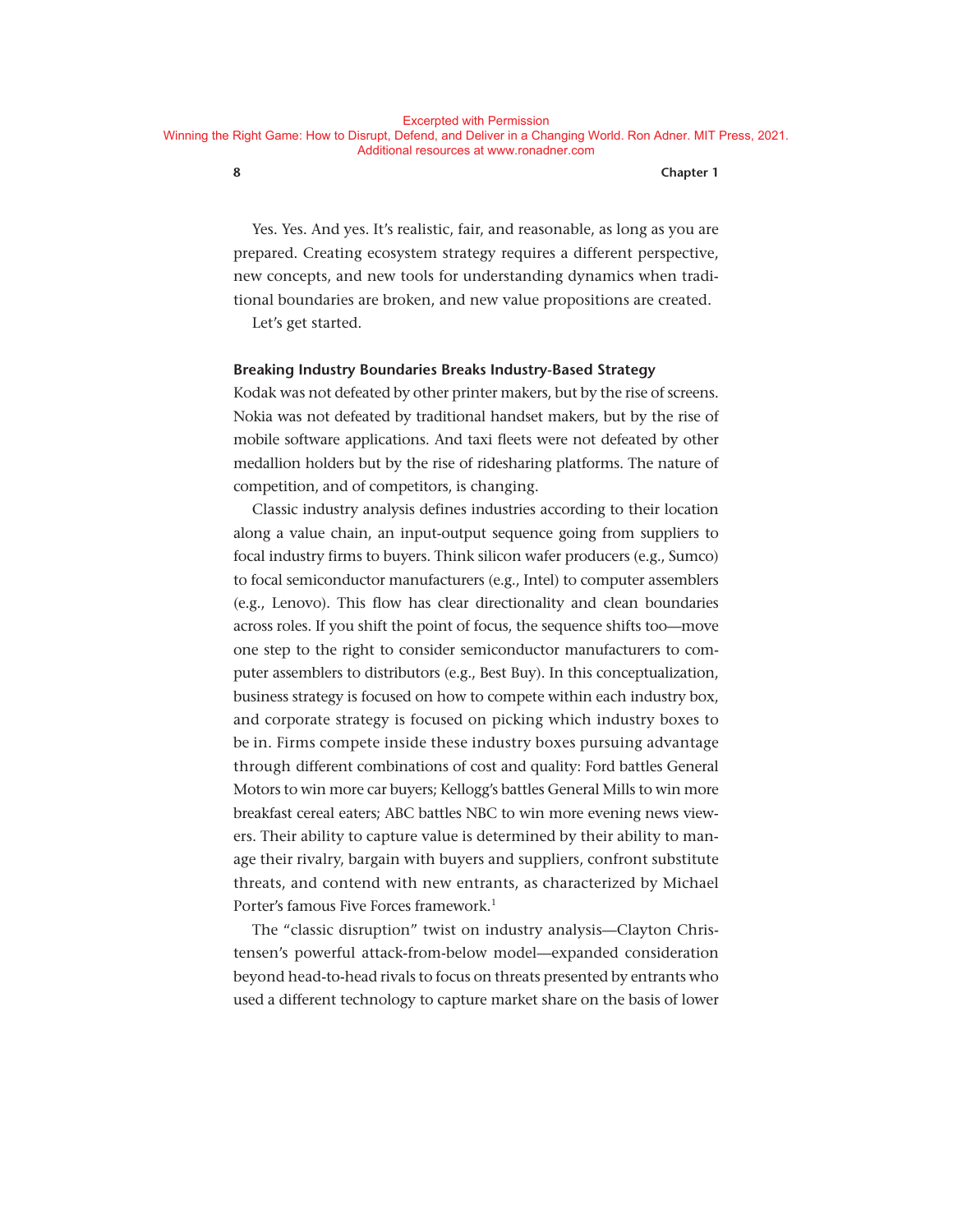Yes. Yes. And yes. It's realistic, fair, and reasonable, as long as you are prepared. Creating ecosystem strategy requires a different perspective, new concepts, and new tools for understanding dynamics when traditional boundaries are broken, and new value propositions are created. Let's get started.

#### **Breaking Industry Boundaries Breaks Industry- Based Strategy**

Kodak was not defeated by other printer makers, but by the rise of screens. Nokia was not defeated by traditional handset makers, but by the rise of mobile software applications. And taxi fleets were not defeated by other medallion holders but by the rise of ridesharing platforms. The nature of competition, and of competitors, is changing.

Classic industry analysis defines industries according to their location along a value chain, an input-output sequence going from suppliers to focal industry firms to buyers. Think silicon wafer producers (e.g., Sumco) to focal semiconductor manufacturers (e.g., Intel) to computer assemblers (e.g., Lenovo). This flow has clear directionality and clean boundaries across roles. If you shift the point of focus, the sequence shifts too— move one step to the right to consider semiconductor manufacturers to computer assemblers to distributors (e.g., Best Buy). In this conceptualization, business strategy is focused on how to compete within each industry box, and corporate strategy is focused on picking which industry boxes to be in. Firms compete inside these industry boxes pursuing advantage through different combinations of cost and quality: Ford battles General Motors to win more car buyers; Kellogg's battles General Mills to win more breakfast cereal eaters; ABC battles NBC to win more evening news viewers. Their ability to capture value is determined by their ability to manage their rivalry, bargain with buyers and suppliers, confront substitute threats, and contend with new entrants, as characterized by Michael Porter's famous Five Forces framework.<sup>1</sup>

The "classic disruption" twist on industry analysis— Clayton Christensen's powerful attack-from-below model—expanded consideration beyond head-to-head rivals to focus on threats presented by entrants who used a different technology to capture market share on the basis of lower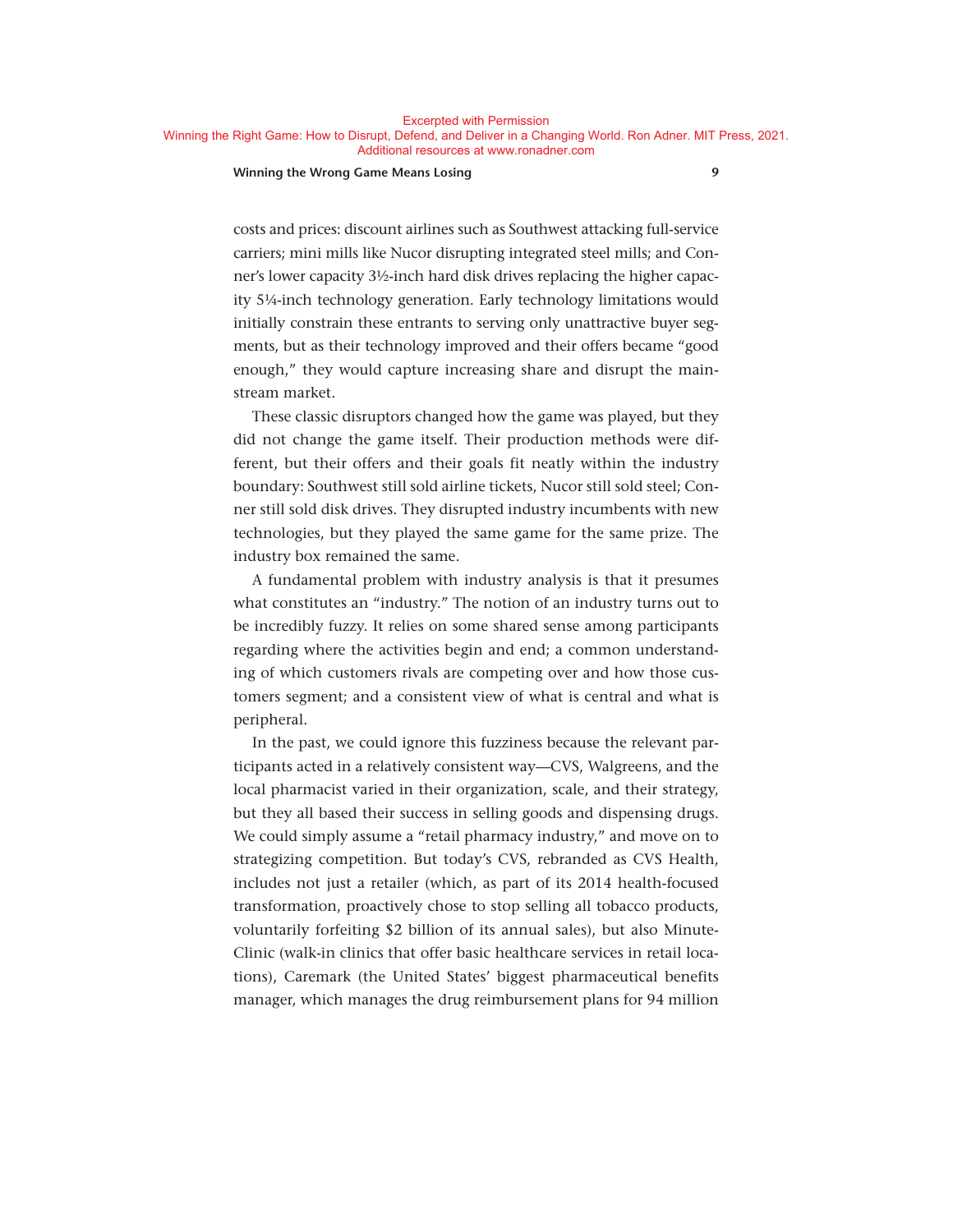**Excernted with Permission** 

Winning the Right Game: How to Disrupt, Defend, and Deliver in a Changing World. Ron Adner. MIT Press, 2021. Additional resources at www.ronadner.com

#### **Winning the Wrong Game Means Losing 9**

costs and prices: discount airlines such as Southwest attacking full- service carriers; mini mills like Nucor disrupting integrated steel mills; and Conner's lower capacity 3½-inch hard disk drives replacing the higher capacity 5¼- inch technology generation. Early technology limitations would initially constrain these entrants to serving only unattractive buyer seg-

ments, but as their technology improved and their offers became "good enough," they would capture increasing share and disrupt the mainstream market.

These classic disruptors changed how the game was played, but they did not change the game itself. Their production methods were different, but their offers and their goals fit neatly within the industry boundary: Southwest still sold airline tickets, Nucor still sold steel; Conner still sold disk drives. They disrupted industry incumbents with new technologies, but they played the same game for the same prize. The industry box remained the same.

A fundamental problem with industry analysis is that it presumes what constitutes an "industry." The notion of an industry turns out to be incredibly fuzzy. It relies on some shared sense among participants regarding where the activities begin and end; a common understanding of which customers rivals are competing over and how those customers segment; and a consistent view of what is central and what is peripheral.

In the past, we could ignore this fuzziness because the relevant participants acted in a relatively consistent way—CVS, Walgreens, and the local pharmacist varied in their organization, scale, and their strategy, but they all based their success in selling goods and dispensing drugs. We could simply assume a "retail pharmacy industry," and move on to strategizing competition. But today's CVS, rebranded as CVS Health, includes not just a retailer (which, as part of its 2014 health-focused transformation, proactively chose to stop selling all tobacco products, voluntarily forfeiting \$2 billion of its annual sales), but also Minute-Clinic (walk-in clinics that offer basic healthcare services in retail locations), Caremark (the United States' biggest pharmaceutical benefits manager, which manages the drug reimbursement plans for 94 million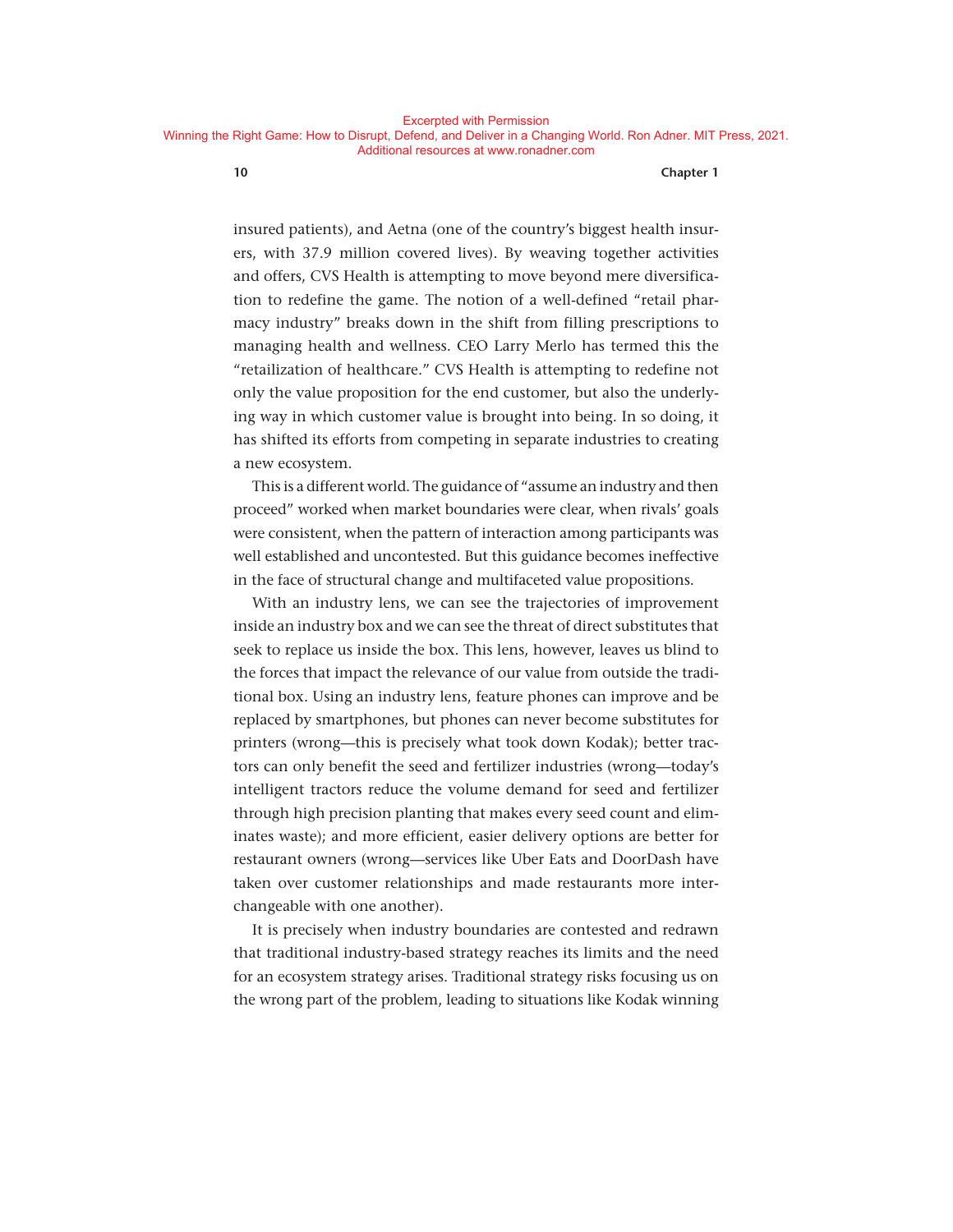insured patients), and Aetna (one of the country's biggest health insurers, with 37.9 million covered lives). By weaving together activities and offers, CVS Health is attempting to move beyond mere diversification to redefine the game. The notion of a well- defined "retail pharmacy industry" breaks down in the shift from filling prescriptions to managing health and wellness. CEO Larry Merlo has termed this the "retailization of healthcare." CVS Health is attempting to redefine not only the value proposition for the end customer, but also the underlying way in which customer value is brought into being. In so doing, it has shifted its efforts from competing in separate industries to creating a new ecosystem.

This is a different world. The guidance of "assume an industry and then proceed" worked when market boundaries were clear, when rivals' goals were consistent, when the pattern of interaction among participants was well established and uncontested. But this guidance becomes ineffective in the face of structural change and multifaceted value propositions.

With an industry lens, we can see the trajectories of improvement inside an industry box and we can see the threat of direct substitutes that seek to replace us inside the box. This lens, however, leaves us blind to the forces that impact the relevance of our value from outside the traditional box. Using an industry lens, feature phones can improve and be replaced by smartphones, but phones can never become substitutes for printers (wrong— this is precisely what took down Kodak); better tractors can only benefit the seed and fertilizer industries (wrong— today's intelligent tractors reduce the volume demand for seed and fertilizer through high precision planting that makes every seed count and eliminates waste); and more efficient, easier delivery options are better for restaurant owners (wrong— services like Uber Eats and DoorDash have taken over customer relationships and made restaurants more interchangeable with one another).

It is precisely when industry boundaries are contested and redrawn that traditional industry- based strategy reaches its limits and the need for an ecosystem strategy arises. Traditional strategy risks focusing us on the wrong part of the problem, leading to situations like Kodak winning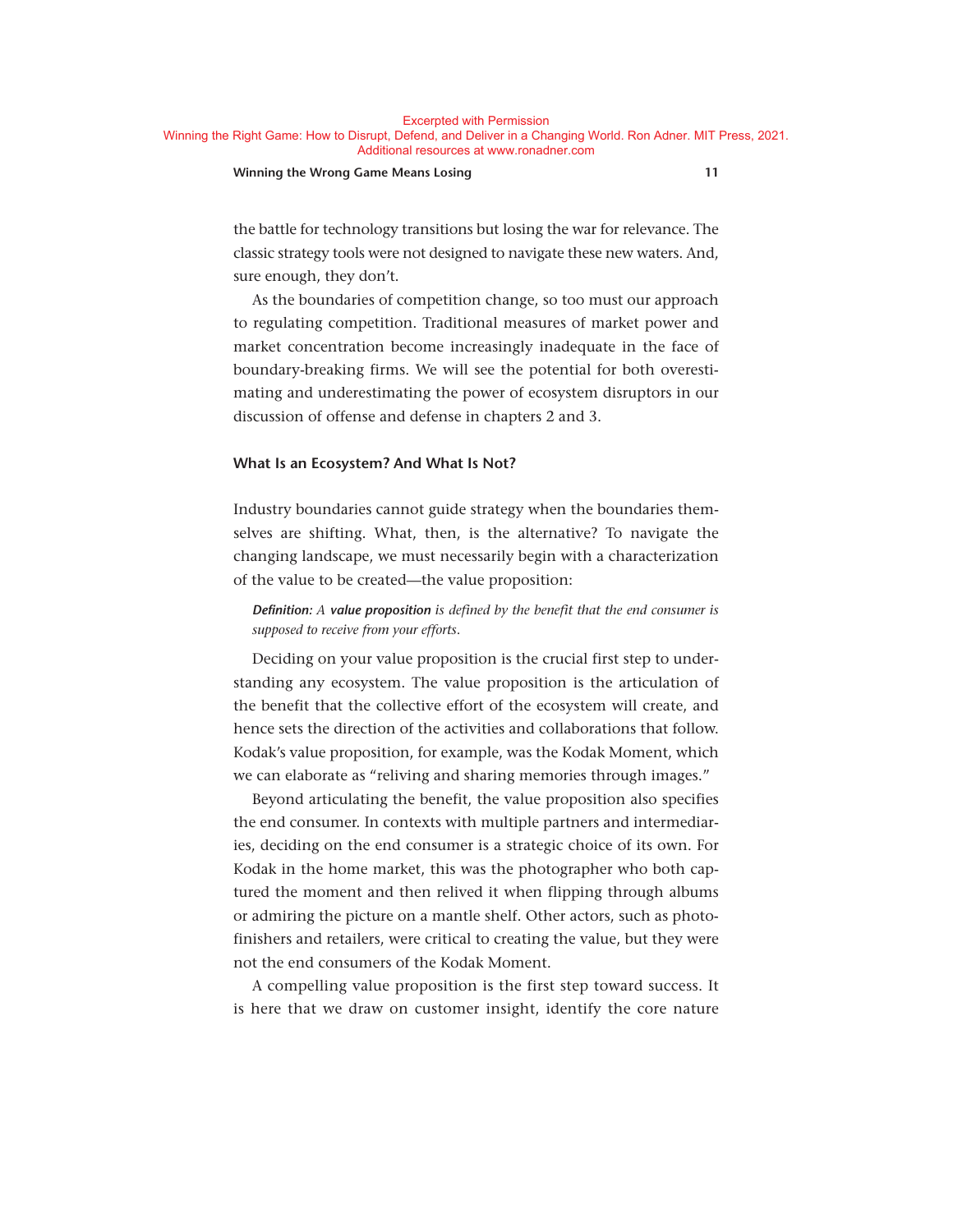#### **Winning the Wrong Game Means Losing 11**

the battle for technology transitions but losing the war for relevance. The classic strategy tools were not designed to navigate these new waters. And, sure enough, they don't.

As the boundaries of competition change, so too must our approach to regulating competition. Traditional measures of market power and market concentration become increasingly inadequate in the face of boundary- breaking firms. We will see the potential for both overestimating and underestimating the power of ecosystem disruptors in our discussion of offense and defense in chapters 2 and 3.

#### **What Is an Ecosystem? And What Is Not?**

Industry boundaries cannot guide strategy when the boundaries themselves are shifting. What, then, is the alternative? To navigate the changing landscape, we must necessarily begin with a characterization of the value to be created— the value proposition:

#### *Definition: <sup>A</sup> value proposition is defined by the benefit that the end consumer is supposed to receive from your efforts*.

Deciding on your value proposition is the crucial first step to understanding any ecosystem. The value proposition is the articulation of the benefit that the collective effort of the ecosystem will create, and hence sets the direction of the activities and collaborations that follow. Kodak's value proposition, for example, was the Kodak Moment, which we can elaborate as "reliving and sharing memories through images."

Beyond articulating the benefit, the value proposition also specifies the end consumer. In contexts with multiple partners and intermediaries, deciding on the end consumer is a strategic choice of its own. For Kodak in the home market, this was the photographer who both captured the moment and then relived it when flipping through albums or admiring the picture on a mantle shelf. Other actors, such as photofinishers and retailers, were critical to creating the value, but they were not the end consumers of the Kodak Moment.

A compelling value proposition is the first step toward success. It is here that we draw on customer insight, identify the core nature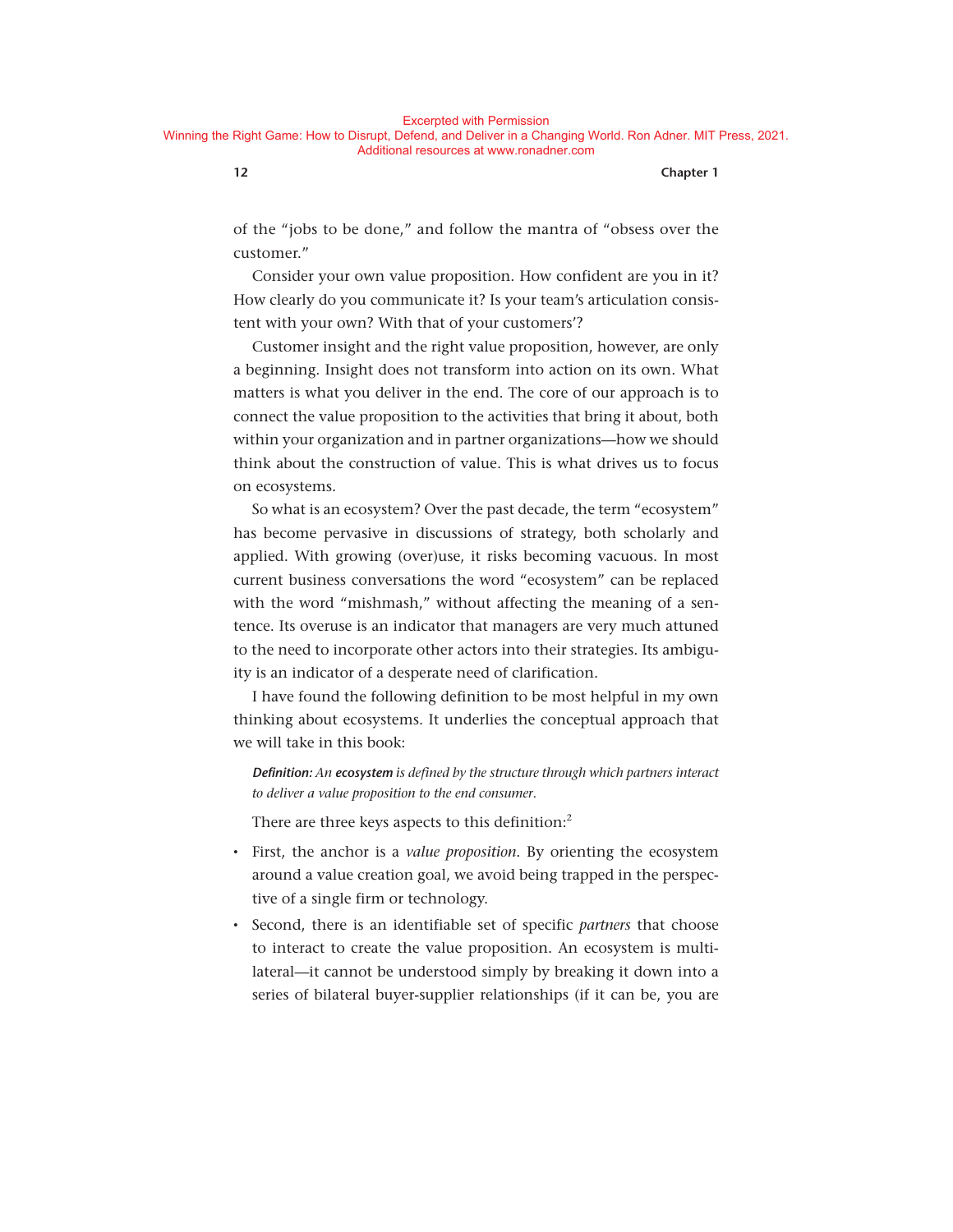**12 Chapter 1**

of the "jobs to be done," and follow the mantra of "obsess over the customer."

Consider your own value proposition. How confident are you in it? How clearly do you communicate it? Is your team's articulation consistent with your own? With that of your customers'?

Customer insight and the right value proposition, however, are only a beginning. Insight does not transform into action on its own. What matters is what you deliver in the end. The core of our approach is to connect the value proposition to the activities that bring it about, both within your organization and in partner organizations— how we should think about the construction of value. This is what drives us to focus on ecosystems.

So what is an ecosystem? Over the past decade, the term "ecosystem" has become pervasive in discussions of strategy, both scholarly and applied. With growing (over)use, it risks becoming vacuous. In most current business conversations the word "ecosystem" can be replaced with the word "mishmash," without affecting the meaning of a sentence. Its overuse is an indicator that managers are very much attuned to the need to incorporate other actors into their strategies. Its ambiguity is an indicator of a desperate need of clarification.

I have found the following definition to be most helpful in my own thinking about ecosystems. It underlies the conceptual approach that we will take in this book:

*Definition: An ecosystem is defined by the structure through which partners interact to deliver a value proposition to the end consumer*.

There are three keys aspects to this definition:<sup>2</sup>

- First, the anchor is a *value proposition*. By orienting the ecosystem around a value creation goal, we avoid being trapped in the perspective of a single firm or technology.
- Second, there is an identifiable set of specific *partners* that choose to interact to create the value proposition. An ecosystem is multilateral— it cannot be understood simply by breaking it down into a series of bilateral buyer-supplier relationships (if it can be, you are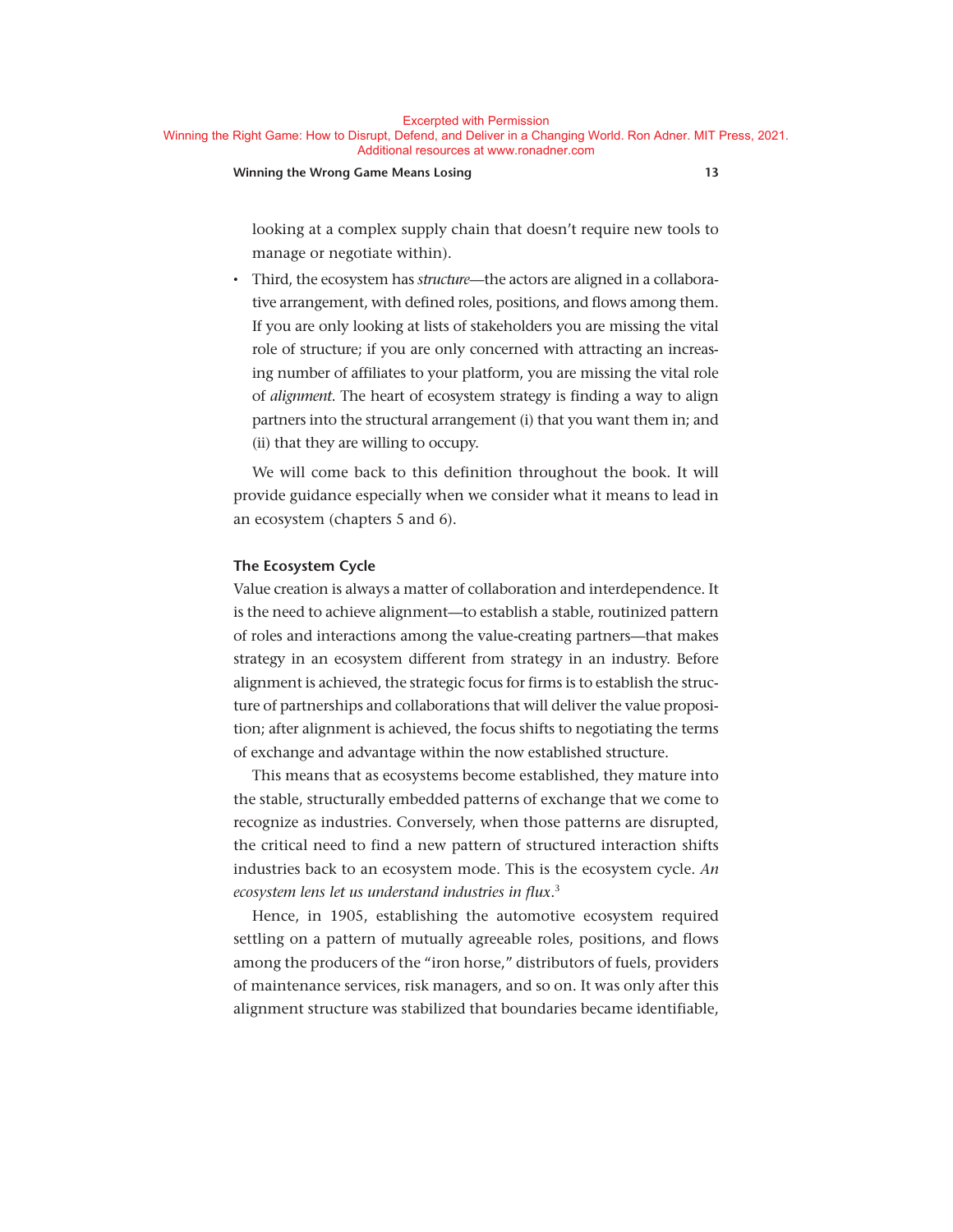#### **Winning the Wrong Game Means Losing 13**

looking at a complex supply chain that doesn't require new tools to manage or negotiate within).

• Third, the ecosystem has *structure*— the actors are aligned in a collaborative arrangement, with defined roles, positions, and flows among them. If you are only looking at lists of stakeholders you are missing the vital role of structure; if you are only concerned with attracting an increasing number of affiliates to your platform, you are missing the vital role of *alignment*. The heart of ecosystem strategy is finding a way to align partners into the structural arrangement (i) that you want them in; and (ii) that they are willing to occupy.

We will come back to this definition throughout the book. It will provide guidance especially when we consider what it means to lead in an ecosystem (chapters 5 and 6).

#### **The Ecosystem Cycle**

Value creation is always a matter of collaboration and interdependence. It is the need to achieve alignment— to establish a stable, routinized pattern of roles and interactions among the value- creating partners— that makes strategy in an ecosystem different from strategy in an industry. Before alignment is achieved, the strategic focus for firms is to establish the structure of partnerships and collaborations that will deliver the value proposition; after alignment is achieved, the focus shifts to negotiating the terms of exchange and advantage within the now established structure.

This means that as ecosystems become established, they mature into the stable, structurally embedded patterns of exchange that we come to recognize as industries. Conversely, when those patterns are disrupted, the critical need to find a new pattern of structured interaction shifts industries back to an ecosystem mode. This is the ecosystem cycle. *An ecosystem lens let us understand industries in flux*. 3

Hence, in 1905, establishing the automotive ecosystem required settling on a pattern of mutually agreeable roles, positions, and flows among the producers of the "iron horse," distributors of fuels, providers of maintenance services, risk managers, and so on. It was only after this alignment structure was stabilized that boundaries became identifiable,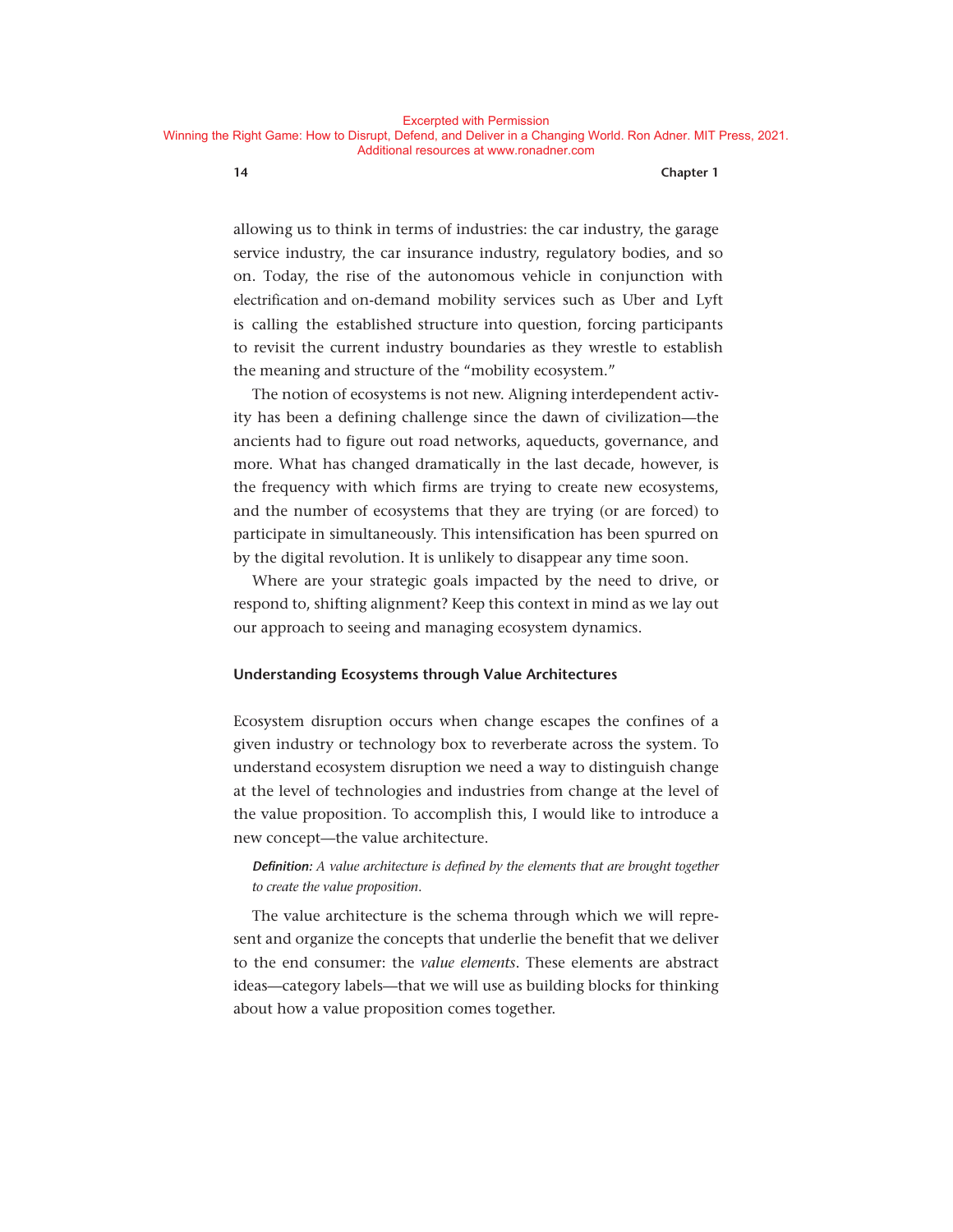allowing us to think in terms of industries: the car industry, the garage service industry, the car insurance industry, regulatory bodies, and so on. Today, the rise of the autonomous vehicle in conjunction with electrification and on-demand mobility services such as Uber and Lyft is calling the established structure into question, forcing participants to revisit the current industry boundaries as they wrestle to establish the meaning and structure of the "mobility ecosystem."

The notion of ecosystems is not new. Aligning interdependent activity has been a defining challenge since the dawn of civilization— the ancients had to figure out road networks, aqueducts, governance, and more. What has changed dramatically in the last decade, however, is the frequency with which firms are trying to create new ecosystems, and the number of ecosystems that they are trying (or are forced) to participate in simultaneously. This intensification has been spurred on by the digital revolution. It is unlikely to disappear any time soon.

Where are your strategic goals impacted by the need to drive, or respond to, shifting alignment? Keep this context in mind as we lay out our approach to seeing and managing ecosystem dynamics.

#### **Understanding Ecosystems through Value Architectures**

Ecosystem disruption occurs when change escapes the confines of a given industry or technology box to reverberate across the system. To understand ecosystem disruption we need a way to distinguish change at the level of technologies and industries from change at the level of the value proposition. To accomplish this, I would like to introduce a new concept—the value architecture.

#### *Definition: A value architecture is defined by the elements that are brought together to create the value proposition*.

The value architecture is the schema through which we will represent and organize the concepts that underlie the benefit that we deliver to the end consumer: the *value elements*. These elements are abstract ideas— category labels— that we will use as building blocks for thinking about how a value proposition comes together.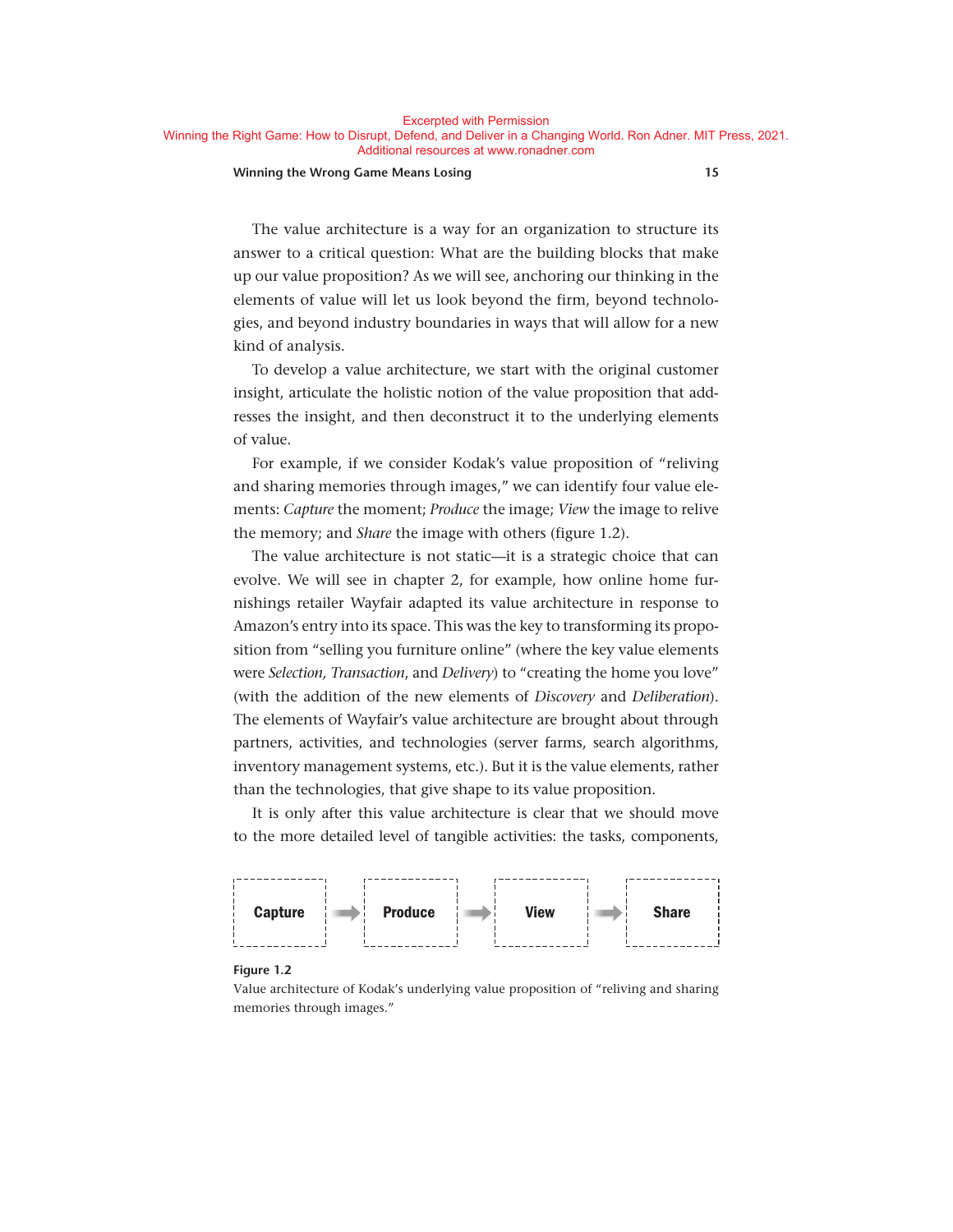Excerpted with Permission

#### **Winning the Wrong Game Means Losing 15**

The value architecture is a way for an organization to structure its answer to a critical question: What are the building blocks that make up our value proposition? As we will see, anchoring our thinking in the elements of value will let us look beyond the firm, beyond technologies, and beyond industry boundaries in ways that will allow for a new kind of analysis.

To develop a value architecture, we start with the original customer insight, articulate the holistic notion of the value proposition that addresses the insight, and then deconstruct it to the underlying elements of value.

For example, if we consider Kodak's value proposition of "reliving and sharing memories through images," we can identify four value elements: *Capture* the moment; *Produce* the image; *View* the image to relive the memory; and *Share* the image with others (figure 1.2).

The value architecture is not static—it is a strategic choice that can evolve. We will see in chapter 2, for example, how online home furnishings retailer Wayfair adapted its value architecture in response to Amazon's entry into its space. This was the key to transforming its proposition from "selling you furniture online" (where the key value elements were *Selection, Transaction*, and *Delivery*) to "creating the home you love" (with the addition of the new elements of *Discovery* and *Deliberation*). The elements of Wayfair's value architecture are brought about through partners, activities, and technologies (server farms, search algorithms, inventory management systems, etc.). But it is the value elements, rather than the technologies, that give shape to its value proposition.

It is only after this value architecture is clear that we should move to the more detailed level of tangible activities: the tasks, components,



#### **Figure 1.2**

Value architecture of Kodak's underlying value proposition of "reliving and sharing memories through images."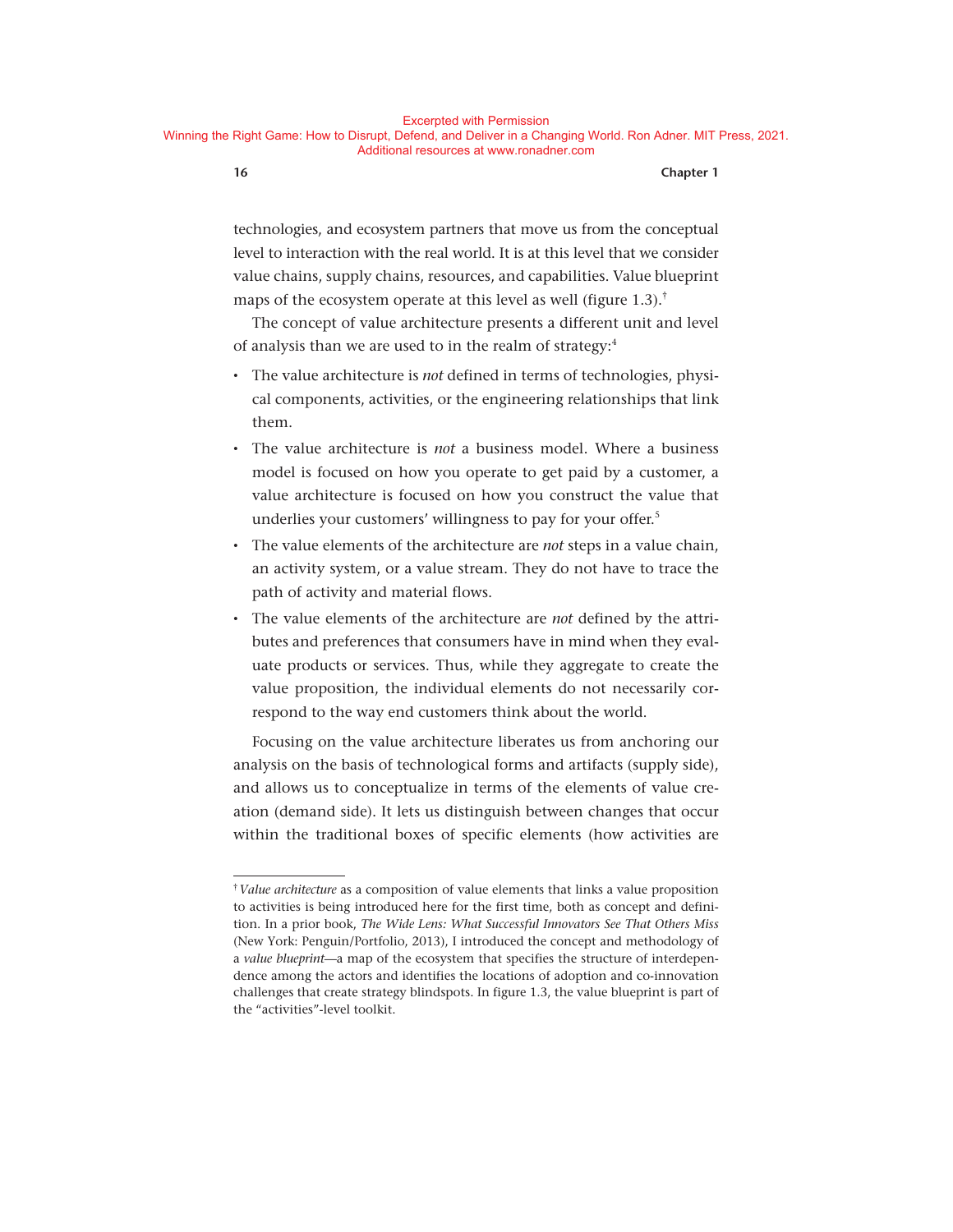technologies, and ecosystem partners that move us from the conceptual level to interaction with the real world. It is at this level that we consider value chains, supply chains, resources, and capabilities. Value blueprint maps of the ecosystem operate at this level as well (figure  $1.3$ ).<sup>†</sup>

The concept of value architecture presents a different unit and level of analysis than we are used to in the realm of strategy:<sup>4</sup>

- The value architecture is *not* defined in terms of technologies, physical components, activities, or the engineering relationships that link them.
- The value architecture is *not* a business model. Where a business model is focused on how you operate to get paid by a customer, a value architecture is focused on how you construct the value that underlies your customers' willingness to pay for your offer.<sup>5</sup>
- The value elements of the architecture are *not* steps in a value chain, an activity system, or a value stream. They do not have to trace the path of activity and material flows.
- The value elements of the architecture are *not* defined by the attributes and preferences that consumers have in mind when they evaluate products or services. Thus, while they aggregate to create the value proposition, the individual elements do not necessarily correspond to the way end customers think about the world.

Focusing on the value architecture liberates us from anchoring our analysis on the basis of technological forms and artifacts (supply side), and allows us to conceptualize in terms of the elements of value creation (demand side). It lets us distinguish between changes that occur within the traditional boxes of specific elements (how activities are

<sup>†</sup>*Value architecture* as a composition of value elements that links a value proposition to activities is being introduced here for the first time, both as concept and definition. In a prior book, *The Wide Lens: What Successful Innovators See That Others Miss* (New York: Penguin/Portfolio, 2013), I introduced the concept and methodology of a *value blueprint*— a map of the ecosystem that specifies the structure of interdependence among the actors and identifies the locations of adoption and co-innovation challenges that create strategy blindspots. In figure 1.3, the value blueprint is part of the "activities"- level toolkit.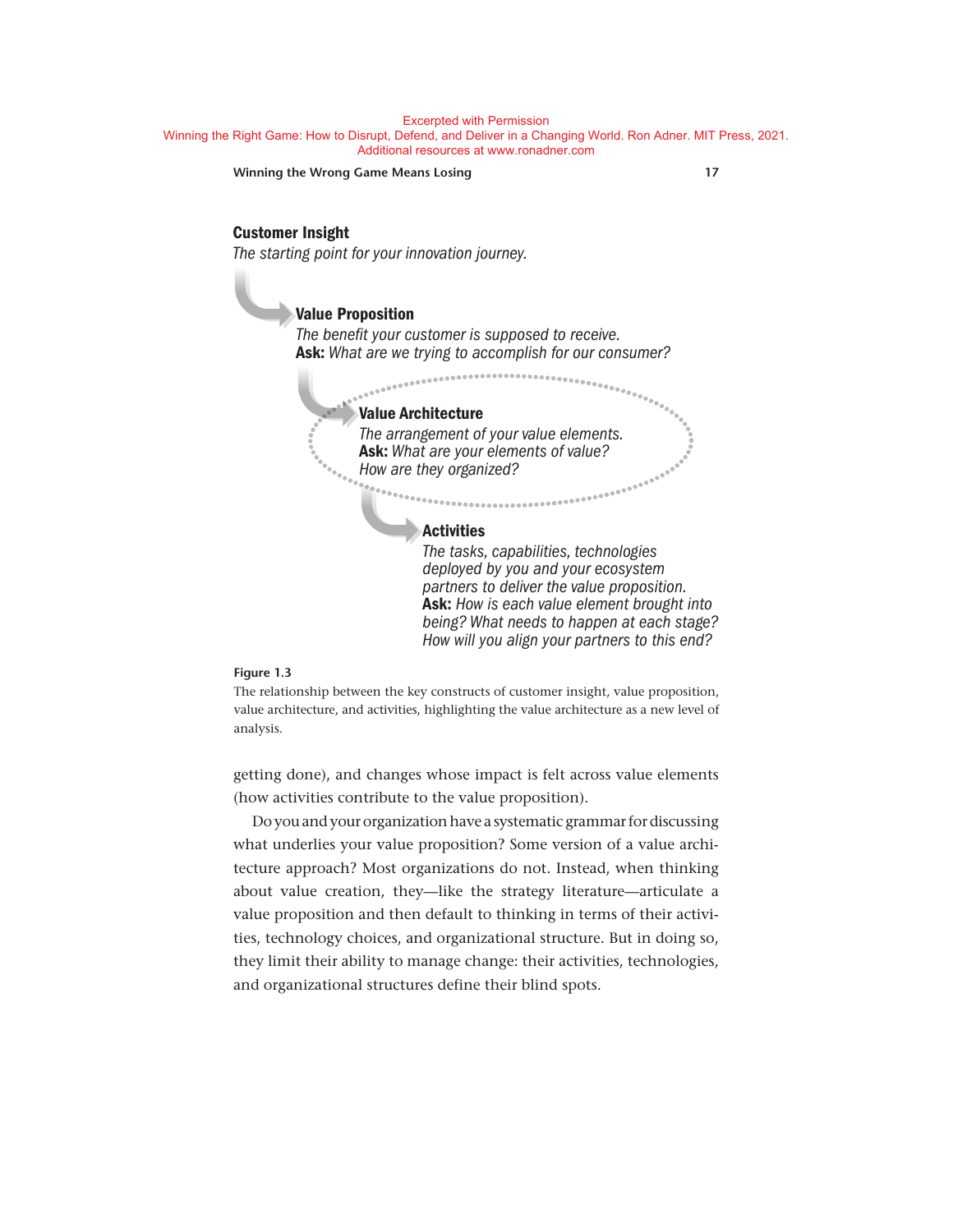**Winning the Wrong Game Means Losing 17**

# **Customer Insight**

*The starting point for your innovation journey.* 

### **Value Proposition**

*The benefit your customer is supposed to receive.* **Ask:** *What are we trying to accomplish for our consumer?* 

#### **Value Architecture**

*The arrangement of your value elements.* **Ask:** *What are your elements of value? How are they organized?* 

#### **Activities**

*The tasks, capabilities, technologies deployed by you and your ecosystem partners to deliver the value proposition.* **Ask:** *How is each value element brought into being? What needs to happen at each stage? How will you align your partners to this end?*

#### **Figure 1.3**

The relationship between the key constructs of customer insight, value proposition, value architecture, and activities, highlighting the value architecture as a new level of analysis.

getting done), and changes whose impact is felt across value elements (how activities contribute to the value proposition).

Do you and your organization have a systematic grammar for discussing what underlies your value proposition? Some version of a value architecture approach? Most organizations do not. Instead, when thinking about value creation, they-like the strategy literature-articulate a value proposition and then default to thinking in terms of their activities, technology choices, and organizational structure. But in doing so, they limit their ability to manage change: their activities, technologies, and organizational structures define their blind spots.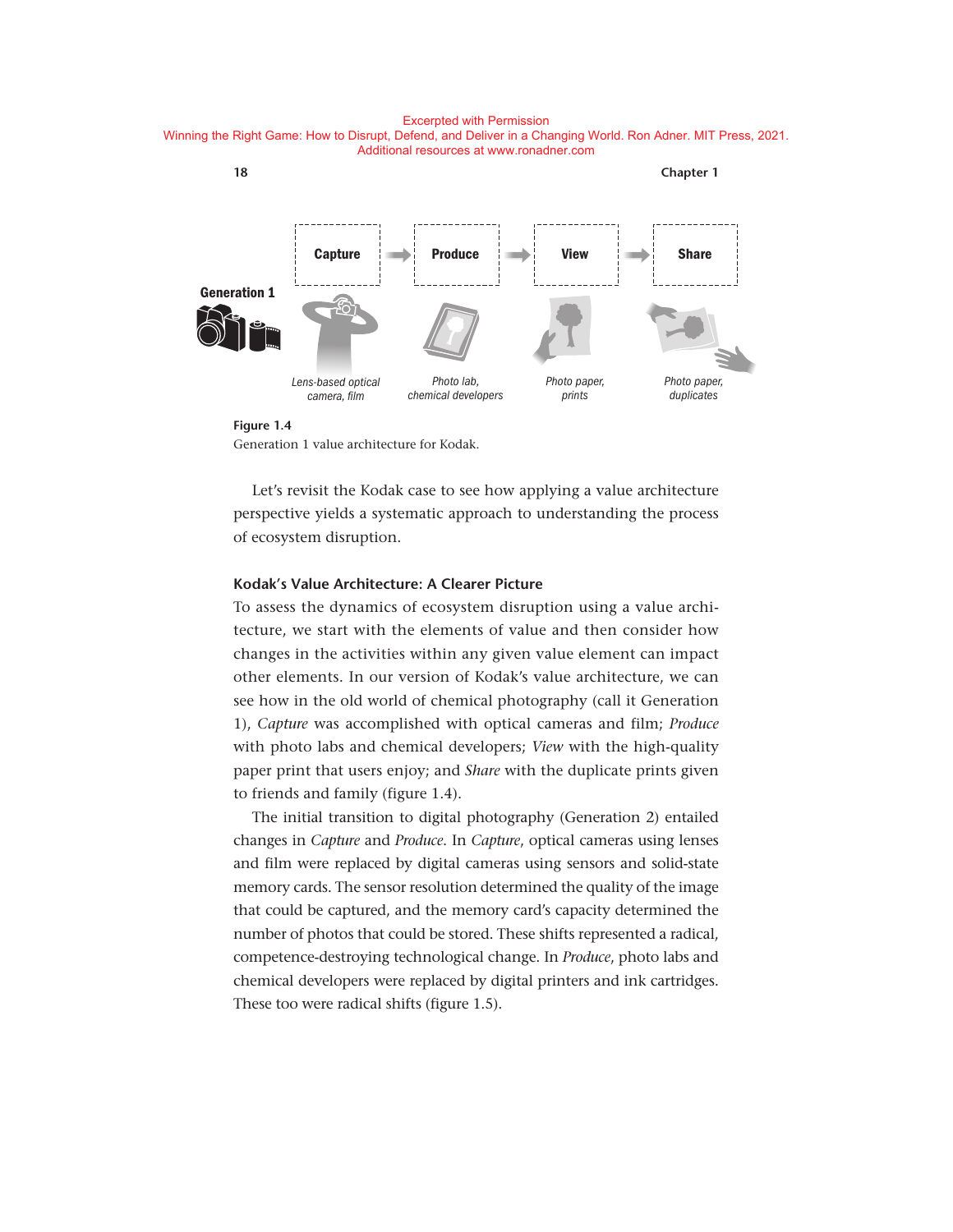

**Figure 1.4**

Generation 1 value architecture for Kodak.

Let's revisit the Kodak case to see how applying a value architecture perspective yields a systematic approach to understanding the process of ecosystem disruption.

#### **Kodak's Value Architecture: A Clearer Picture**

To assess the dynamics of ecosystem disruption using a value architecture, we start with the elements of value and then consider how changes in the activities within any given value element can impact other elements. In our version of Kodak's value architecture, we can see how in the old world of chemical photography (call it Generation 1), *Capture* was accomplished with optical cameras and film; *Produce* with photo labs and chemical developers; *View* with the high-quality paper print that users enjoy; and *Share* with the duplicate prints given to friends and family (figure 1.4).

The initial transition to digital photography (Generation 2) entailed changes in *Capture* and *Produce*. In *Capture*, optical cameras using lenses and film were replaced by digital cameras using sensors and solid-state memory cards. The sensor resolution determined the quality of the image that could be captured, and the memory card's capacity determined the number of photos that could be stored. These shifts represented a radical, competence- destroying technological change. In *Produce*, photo labs and chemical developers were replaced by digital printers and ink cartridges. These too were radical shifts (figure 1.5).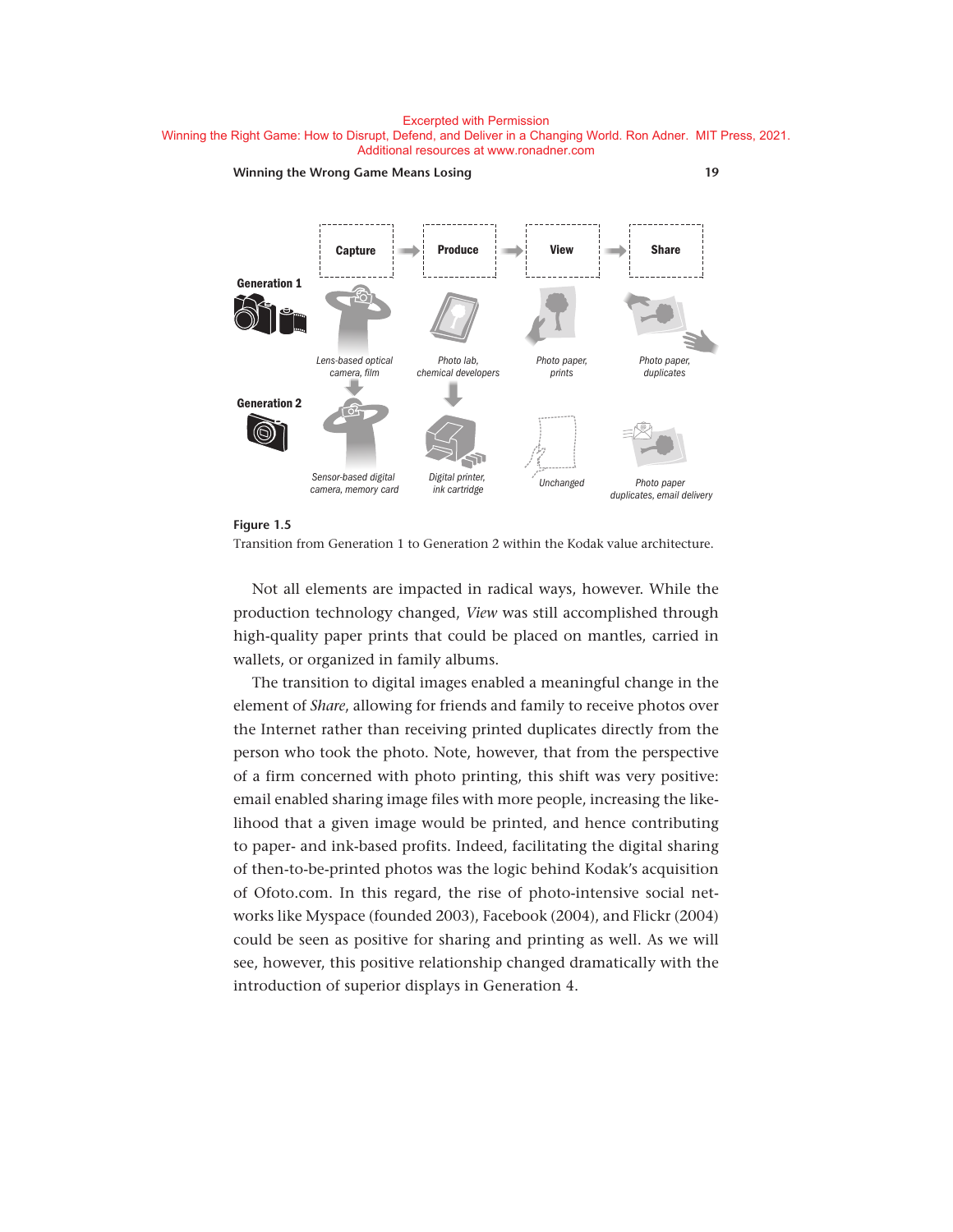



Transition from Generation 1 to Generation 2 within the Kodak value architecture.

Not all elements are impacted in radical ways, however. While the production technology changed, *View* was still accomplished through high- quality paper prints that could be placed on mantles, carried in wallets, or organized in family albums.

The transition to digital images enabled a meaningful change in the element of *Share*, allowing for friends and family to receive photos over the Internet rather than receiving printed duplicates directly from the person who took the photo. Note, however, that from the perspective of a firm concerned with photo printing, this shift was very positive: email enabled sharing image files with more people, increasing the likelihood that a given image would be printed, and hence contributing to paper- and ink-based profits. Indeed, facilitating the digital sharing of then- to- be- printed photos was the logic behind Kodak's acquisition of Ofoto.com. In this regard, the rise of photo-intensive social networks like Myspace (founded 2003), Facebook (2004), and Flickr (2004) could be seen as positive for sharing and printing as well. As we will see, however, this positive relationship changed dramatically with the introduction of superior displays in Generation 4.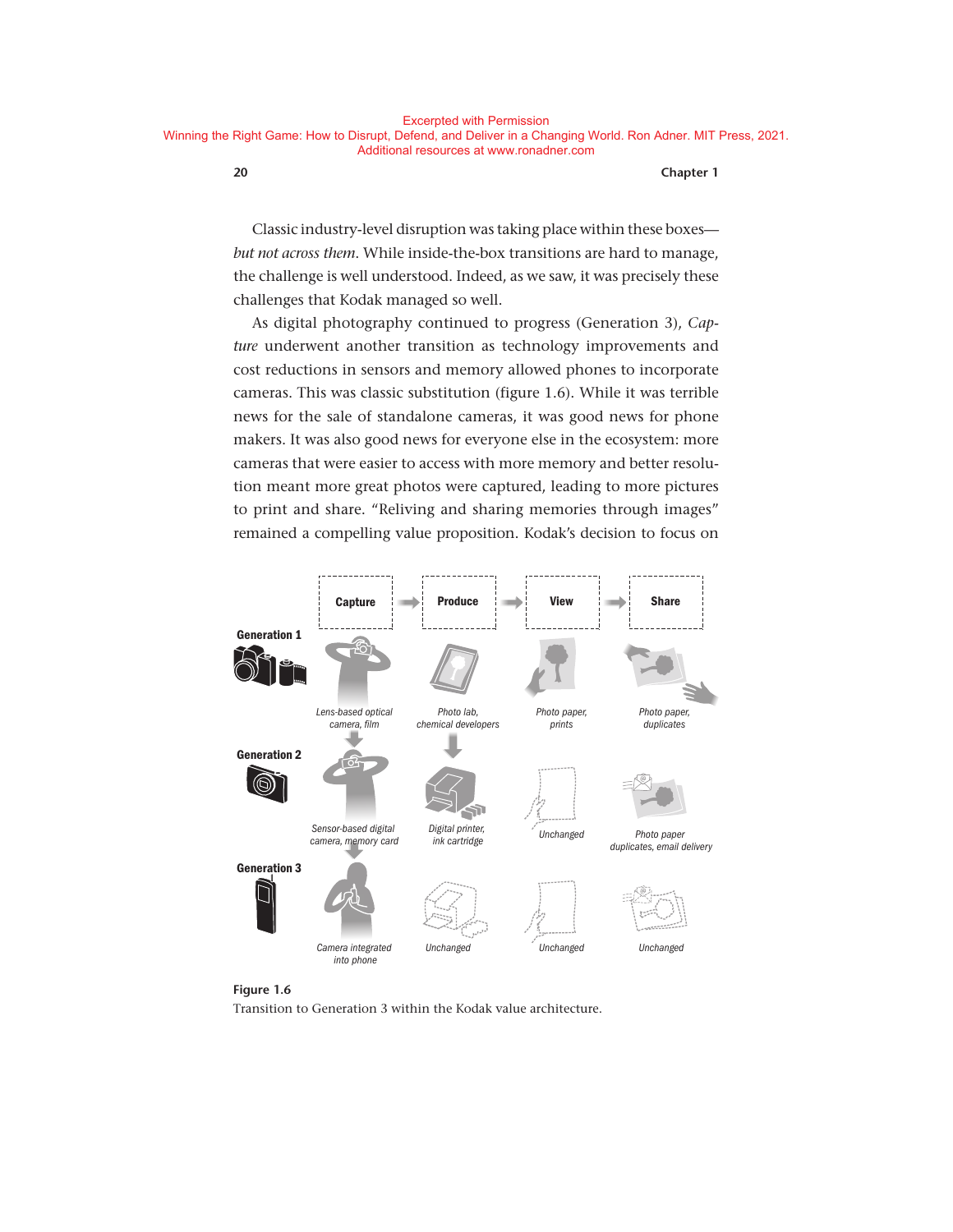Classic industry- level disruption was taking place within these boxes *but not across them.* While inside-the-box transitions are hard to manage, the challenge is well understood. Indeed, as we saw, it was precisely these challenges that Kodak managed so well.

As digital photography continued to progress (Generation 3), *Capture* underwent another transition as technology improvements and cost reductions in sensors and memory allowed phones to incorporate cameras. This was classic substitution (figure 1.6). While it was terrible news for the sale of standalone cameras, it was good news for phone makers. It was also good news for everyone else in the ecosystem: more cameras that were easier to access with more memory and better resolution meant more great photos were captured, leading to more pictures to print and share. "Reliving and sharing memories through images" remained a compelling value proposition. Kodak's decision to focus on



#### **Figure 1.6**

Transition to Generation 3 within the Kodak value architecture.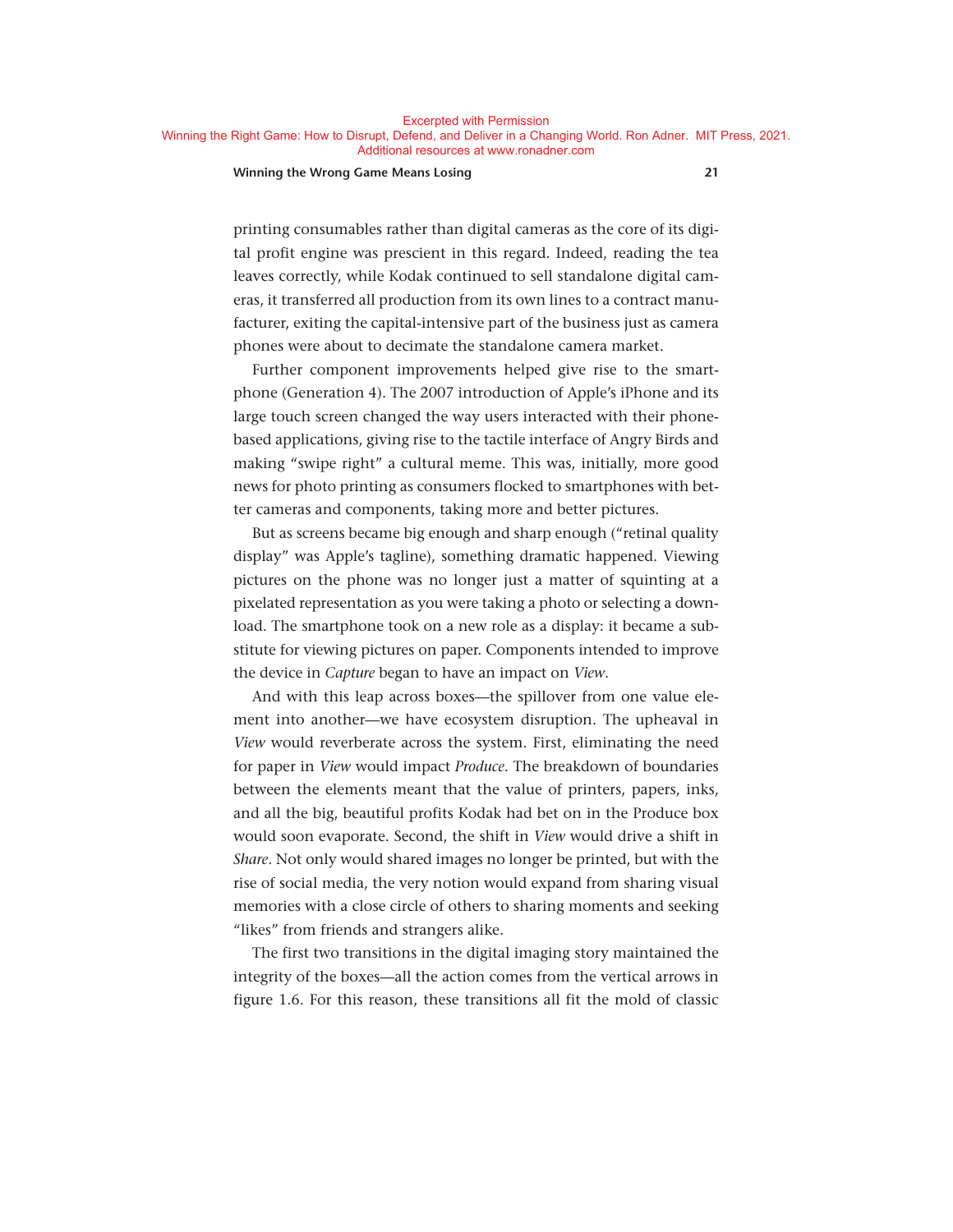#### **Winning the Wrong Game Means Losing 21**

printing consumables rather than digital cameras as the core of its digital profit engine was prescient in this regard. Indeed, reading the tea leaves correctly, while Kodak continued to sell standalone digital cameras, it transferred all production from its own lines to a contract manufacturer, exiting the capital-intensive part of the business just as camera phones were about to decimate the standalone camera market.

Further component improvements helped give rise to the smartphone (Generation 4). The 2007 introduction of Apple's iPhone and its large touch screen changed the way users interacted with their phonebased applications, giving rise to the tactile interface of Angry Birds and making "swipe right" a cultural meme. This was, initially, more good news for photo printing as consumers flocked to smartphones with better cameras and components, taking more and better pictures.

But as screens became big enough and sharp enough ("retinal quality display" was Apple's tagline), something dramatic happened. Viewing pictures on the phone was no longer just a matter of squinting at a pixelated representation as you were taking a photo or selecting a download. The smartphone took on a new role as a display: it became a substitute for viewing pictures on paper. Components intended to improve the device in *Capture* began to have an impact on *View*.

And with this leap across boxes— the spillover from one value element into another— we have ecosystem disruption. The upheaval in *View* would reverberate across the system. First, eliminating the need for paper in *View* would impact *Produce*. The breakdown of boundaries between the elements meant that the value of printers, papers, inks, and all the big, beautiful profits Kodak had bet on in the Produce box would soon evaporate. Second, the shift in *View* would drive a shift in *Share*. Not only would shared images no longer be printed, but with the rise of social media, the very notion would expand from sharing visual memories with a close circle of others to sharing moments and seeking "likes" from friends and strangers alike.

The first two transitions in the digital imaging story maintained the integrity of the boxes— all the action comes from the vertical arrows in figure 1.6. For this reason, these transitions all fit the mold of classic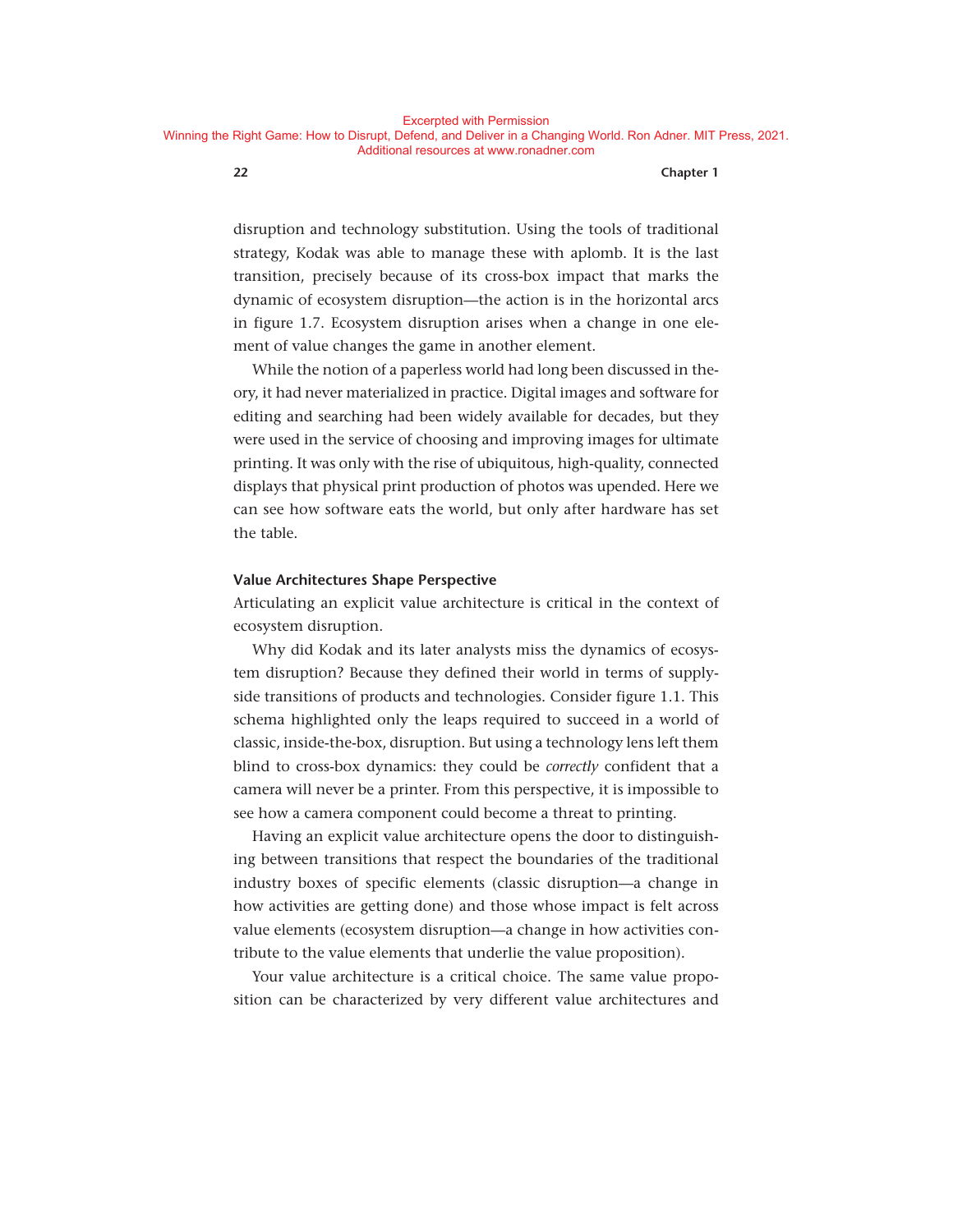disruption and technology substitution. Using the tools of traditional strategy, Kodak was able to manage these with aplomb. It is the last transition, precisely because of its cross-box impact that marks the dynamic of ecosystem disruption— the action is in the horizontal arcs in figure 1.7. Ecosystem disruption arises when a change in one element of value changes the game in another element.

While the notion of a paperless world had long been discussed in theory, it had never materialized in practice. Digital images and software for editing and searching had been widely available for decades, but they were used in the service of choosing and improving images for ultimate printing. It was only with the rise of ubiquitous, high-quality, connected displays that physical print production of photos was upended. Here we can see how software eats the world, but only after hardware has set the table.

#### **Value Architectures Shape Perspective**

Articulating an explicit value architecture is critical in the context of ecosystem disruption.

Why did Kodak and its later analysts miss the dynamics of ecosystem disruption? Because they defined their world in terms of supplyside transitions of products and technologies. Consider figure 1.1. This schema highlighted only the leaps required to succeed in a world of classic, inside- the- box, disruption. But using a technology lens left them blind to cross-box dynamics: they could be *correctly* confident that a camera will never be a printer. From this perspective, it is impossible to see how a camera component could become a threat to printing.

Having an explicit value architecture opens the door to distinguishing between transitions that respect the boundaries of the traditional industry boxes of specific elements (classic disruption—a change in how activities are getting done) and those whose impact is felt across value elements (ecosystem disruption—a change in how activities contribute to the value elements that underlie the value proposition).

Your value architecture is a critical choice. The same value proposition can be characterized by very different value architectures and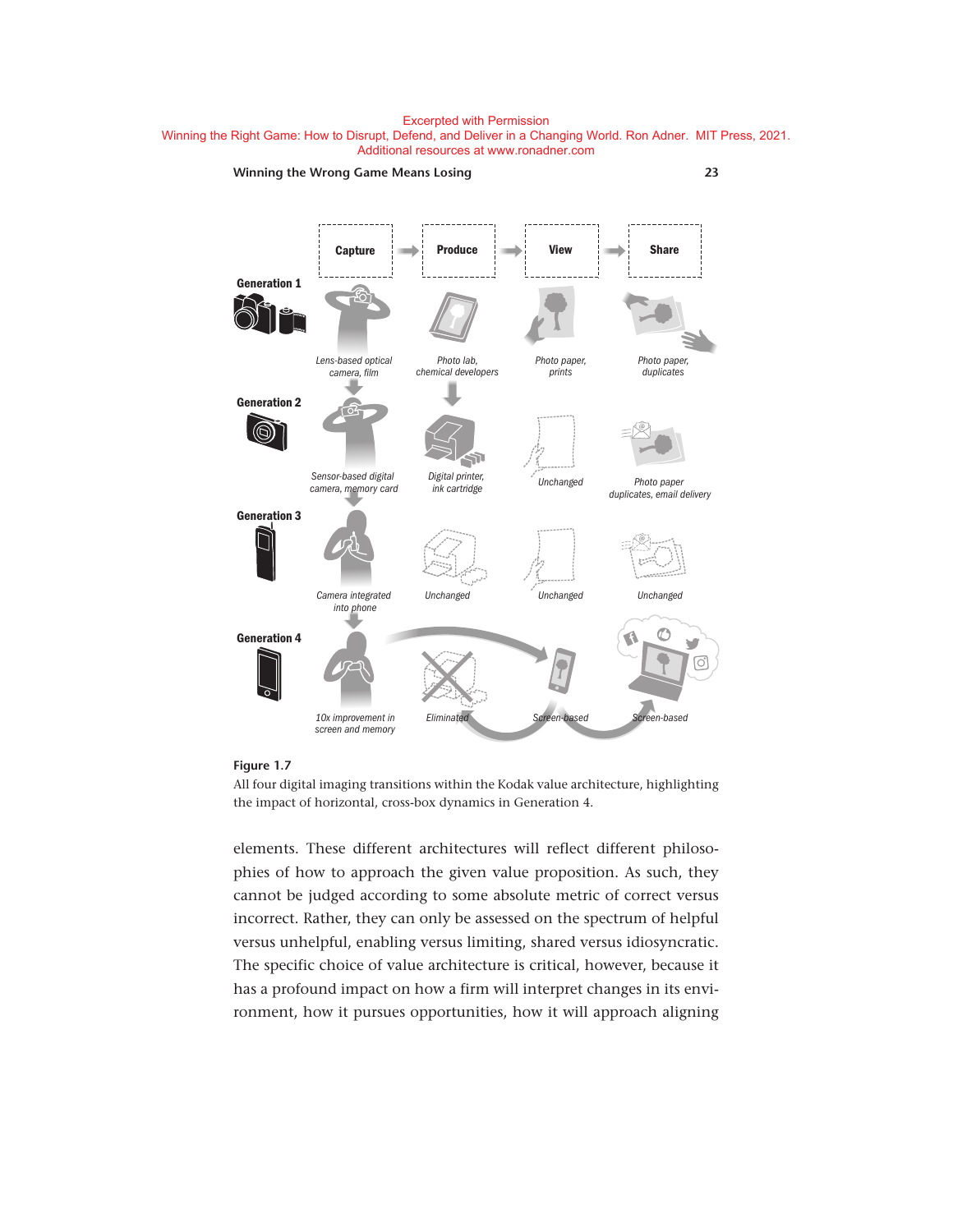



#### **Figure 1.7**

All four digital imaging transitions within the Kodak value architecture, highlighting the impact of horizontal, cross-box dynamics in Generation 4.

elements. These different architectures will reflect different philosophies of how to approach the given value proposition. As such, they cannot be judged according to some absolute metric of correct versus incorrect. Rather, they can only be assessed on the spectrum of helpful versus unhelpful, enabling versus limiting, shared versus idiosyncratic. The specific choice of value architecture is critical, however, because it has a profound impact on how a firm will interpret changes in its environment, how it pursues opportunities, how it will approach aligning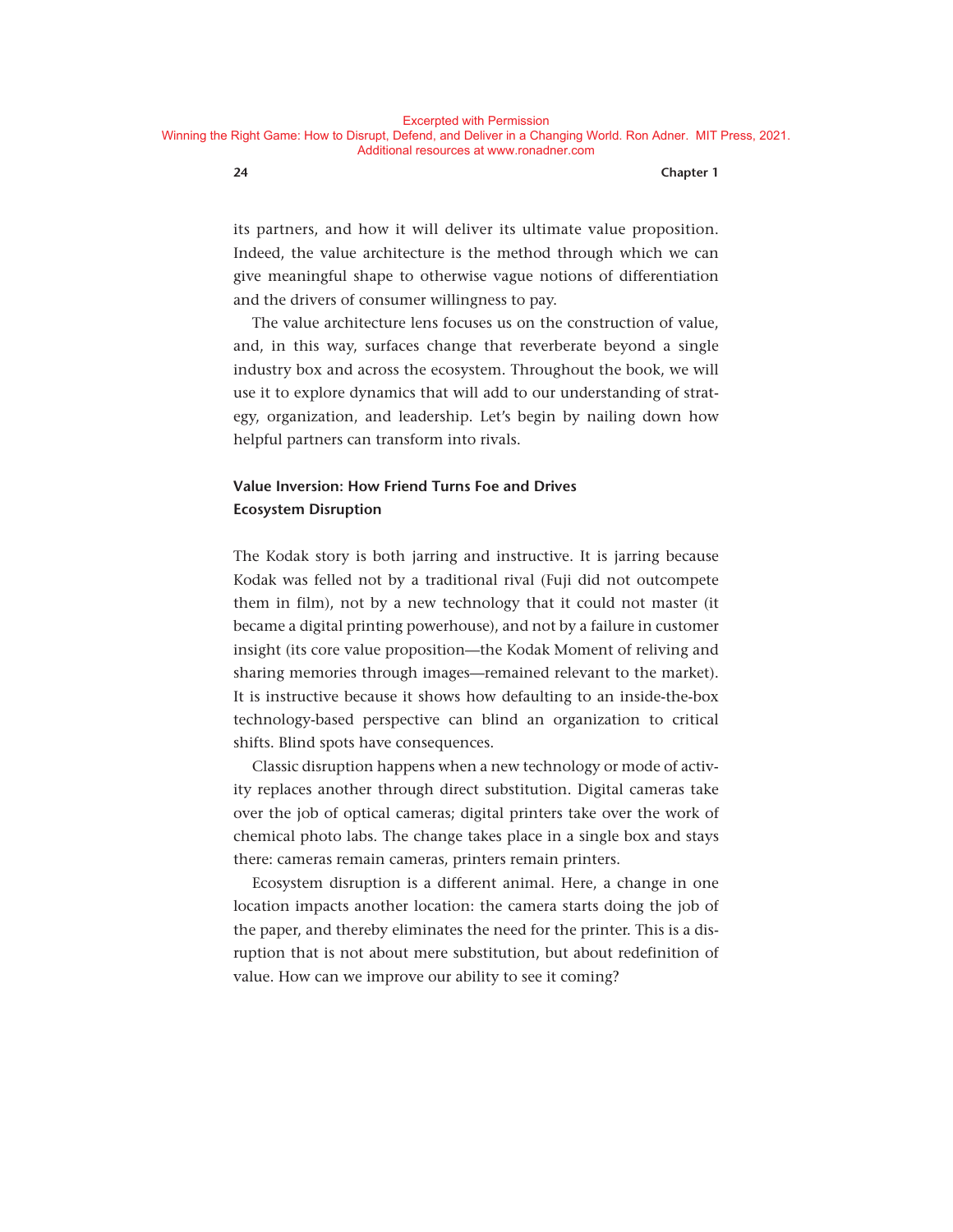its partners, and how it will deliver its ultimate value proposition. Indeed, the value architecture is the method through which we can give meaningful shape to otherwise vague notions of differentiation and the drivers of consumer willingness to pay.

The value architecture lens focuses us on the construction of value, and, in this way, surfaces change that reverberate beyond a single industry box and across the ecosystem. Throughout the book, we will use it to explore dynamics that will add to our understanding of strategy, organization, and leadership. Let's begin by nailing down how helpful partners can transform into rivals.

# **Value Inversion: How Friend Turns Foe and Drives Ecosystem Disruption**

The Kodak story is both jarring and instructive. It is jarring because Kodak was felled not by a traditional rival (Fuji did not outcompete them in film), not by a new technology that it could not master (it became a digital printing powerhouse), and not by a failure in customer insight (its core value proposition— the Kodak Moment of reliving and sharing memories through images— remained relevant to the market). It is instructive because it shows how defaulting to an inside-the-box technology- based perspective can blind an organization to critical shifts. Blind spots have consequences.

Classic disruption happens when a new technology or mode of activity replaces another through direct substitution. Digital cameras take over the job of optical cameras; digital printers take over the work of chemical photo labs. The change takes place in a single box and stays there: cameras remain cameras, printers remain printers.

Ecosystem disruption is a different animal. Here, a change in one location impacts another location: the camera starts doing the job of the paper, and thereby eliminates the need for the printer. This is a disruption that is not about mere substitution, but about redefinition of value. How can we improve our ability to see it coming?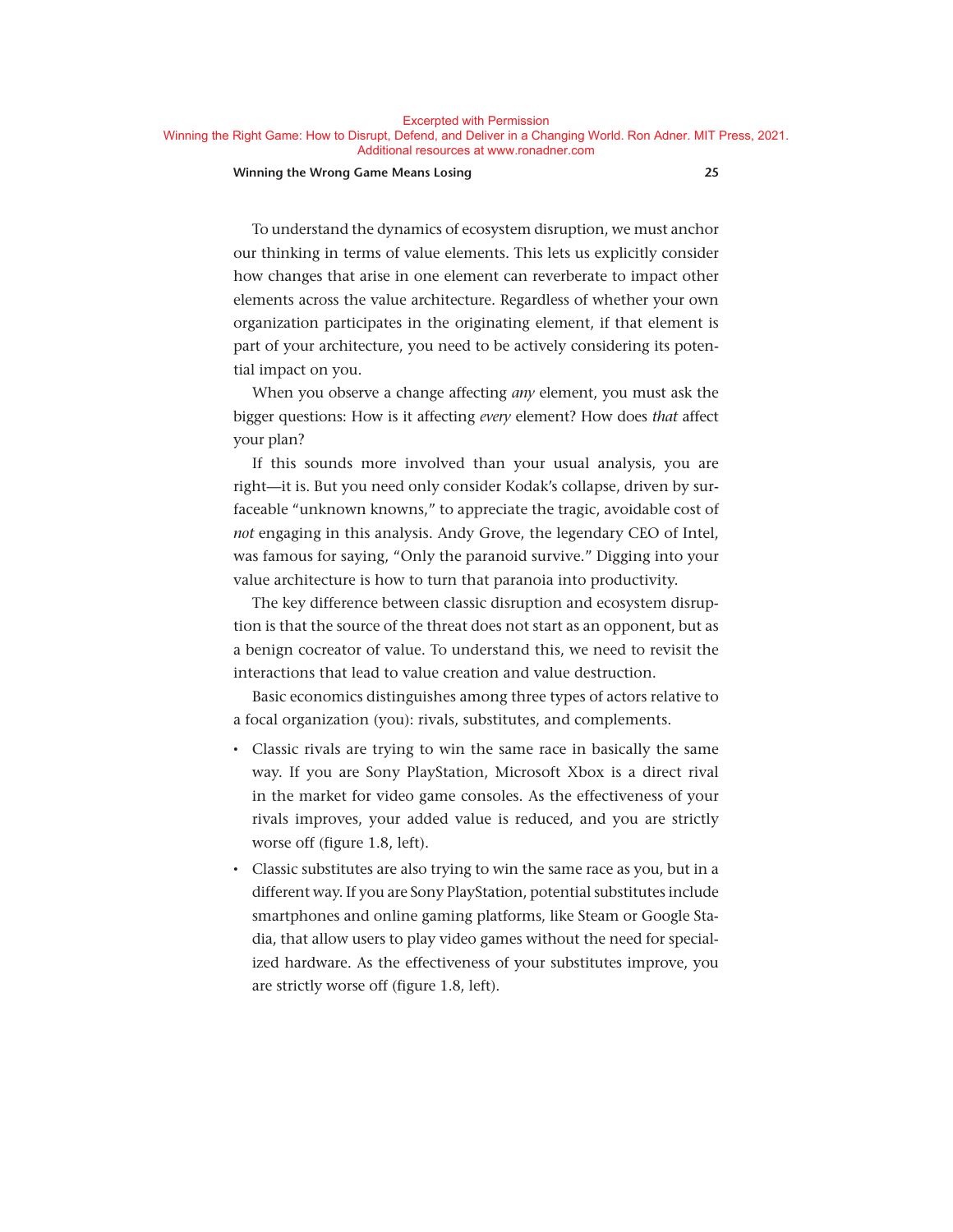Excerpted with Permission

Winning the Right Game: How to Disrupt, Defend, and Deliver in a Changing World. Ron Adner. MIT Press, 2021. Additional resources at www.ronadner.com

#### **Winning the Wrong Game Means Losing 25**

To understand the dynamics of ecosystem disruption, we must anchor our thinking in terms of value elements. This lets us explicitly consider how changes that arise in one element can reverberate to impact other elements across the value architecture. Regardless of whether your own organization participates in the originating element, if that element is part of your architecture, you need to be actively considering its potential impact on you.

When you observe a change affecting *any* element, you must ask the bigger questions: How is it affecting *every* element? How does *that* affect your plan?

If this sounds more involved than your usual analysis, you are right—it is. But you need only consider Kodak's collapse, driven by surfaceable "unknown knowns," to appreciate the tragic, avoidable cost of *not* engaging in this analysis. Andy Grove, the legendary CEO of Intel, was famous for saying, "Only the paranoid survive." Digging into your value architecture is how to turn that paranoia into productivity.

The key difference between classic disruption and ecosystem disruption is that the source of the threat does not start as an opponent, but as a benign cocreator of value. To understand this, we need to revisit the interactions that lead to value creation and value destruction.

Basic economics distinguishes among three types of actors relative to a focal organization (you): rivals, substitutes, and complements.

- Classic rivals are trying to win the same race in basically the same way. If you are Sony PlayStation, Microsoft Xbox is a direct rival in the market for video game consoles. As the effectiveness of your rivals improves, your added value is reduced, and you are strictly worse off (figure 1.8, left).
- Classic substitutes are also trying to win the same race as you, but in a different way. If you are Sony PlayStation, potential substitutes include smartphones and online gaming platforms, like Steam or Google Stadia, that allow users to play video games without the need for specialized hardware. As the effectiveness of your substitutes improve, you are strictly worse off (figure 1.8, left).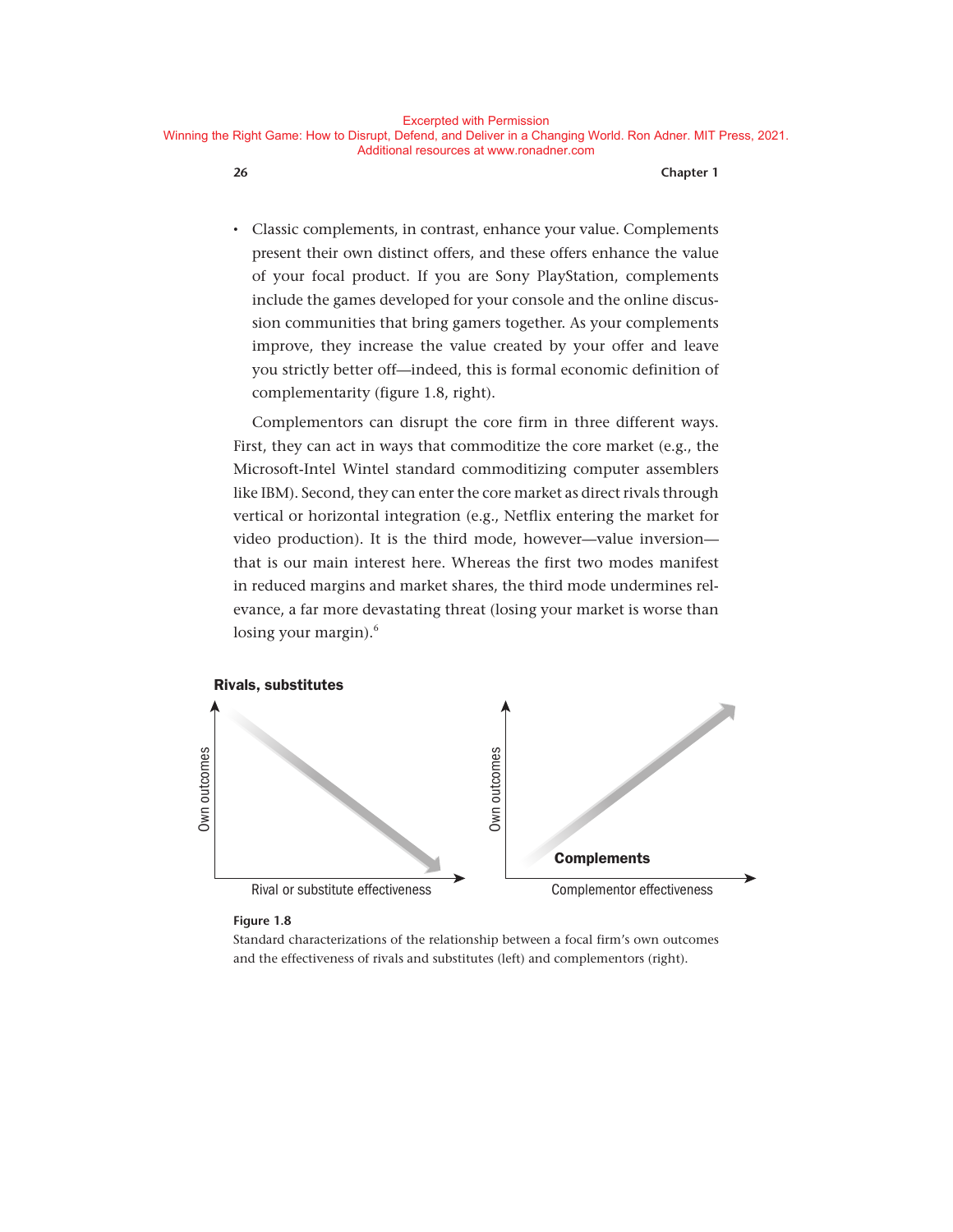• Classic complements, in contrast, enhance your value. Complements present their own distinct offers, and these offers enhance the value of your focal product. If you are Sony PlayStation, complements include the games developed for your console and the online discussion communities that bring gamers together. As your complements improve, they increase the value created by your offer and leave you strictly better off— indeed, this is formal economic definition of complementarity (figure 1.8, right).

Complementors can disrupt the core firm in three different ways. First, they can act in ways that commoditize the core market (e.g., the Microsoft-Intel Wintel standard commoditizing computer assemblers like IBM). Second, they can enter the core market as direct rivals through vertical or horizontal integration (e.g., Netflix entering the market for video production). It is the third mode, however-value inversionthat is our main interest here. Whereas the first two modes manifest in reduced margins and market shares, the third mode undermines relevance, a far more devastating threat (losing your market is worse than losing your margin).<sup>6</sup>



#### **Figure 1.8**

Standard characterizations of the relationship between a focal firm's own outcomes and the effectiveness of rivals and substitutes (left) and complementors (right).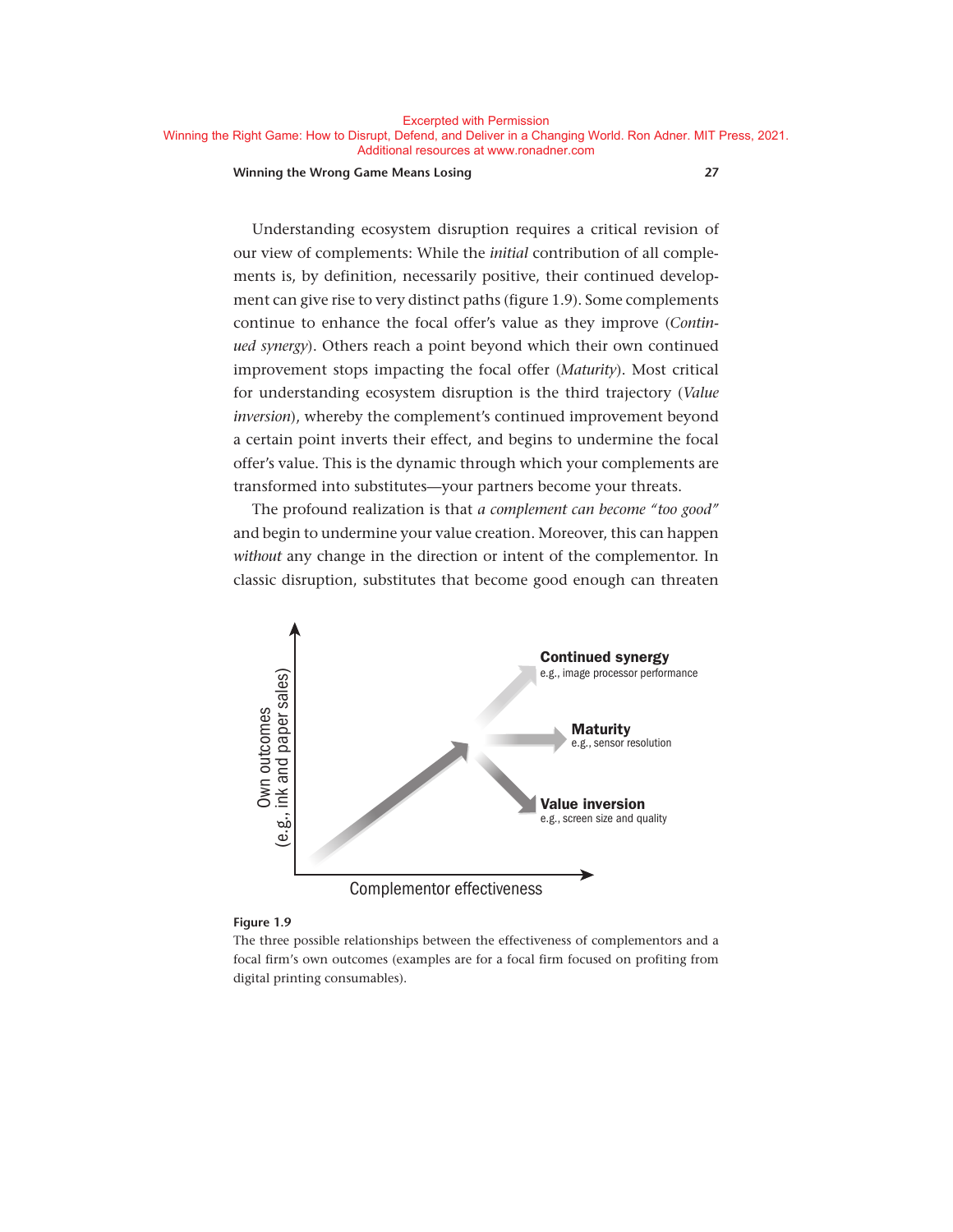#### **Winning the Wrong Game Means Losing 27**

Understanding ecosystem disruption requires a critical revision of our view of complements: While the *initial* contribution of all complements is, by definition, necessarily positive, their continued development can give rise to very distinct paths (figure 1.9). Some complements continue to enhance the focal offer's value as they improve (*Continued synergy*). Others reach a point beyond which their own continued improvement stops impacting the focal offer (*Maturity*). Most critical for understanding ecosystem disruption is the third trajectory (*Value inversion*), whereby the complement's continued improvement beyond a certain point inverts their effect, and begins to undermine the focal offer's value. This is the dynamic through which your complements are transformed into substitutes— your partners become your threats.

The profound realization is that *a complement can become "too good"* and begin to undermine your value creation. Moreover, this can happen *without* any change in the direction or intent of the complementor. In classic disruption, substitutes that become good enough can threaten



#### **Figure 1.9**

The three possible relationships between the effectiveness of complementors and a focal firm's own outcomes (examples are for a focal firm focused on profiting from digital printing consumables).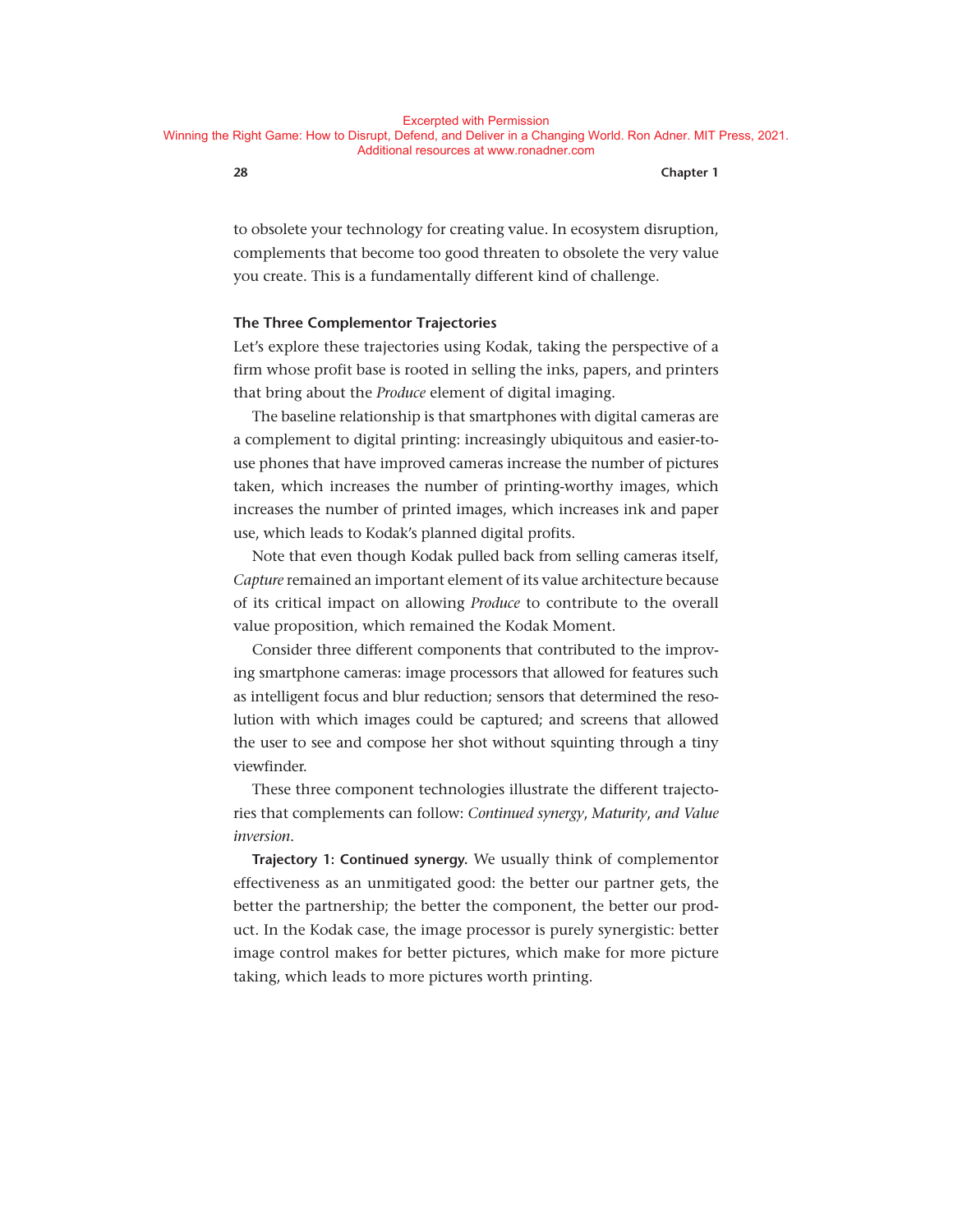to obsolete your technology for creating value. In ecosystem disruption, complements that become too good threaten to obsolete the very value you create. This is a fundamentally different kind of challenge.

#### **The Three Complementor Trajectories**

Let's explore these trajectories using Kodak, taking the perspective of a firm whose profit base is rooted in selling the inks, papers, and printers that bring about the *Produce* element of digital imaging.

The baseline relationship is that smartphones with digital cameras are a complement to digital printing: increasingly ubiquitous and easier-touse phones that have improved cameras increase the number of pictures taken, which increases the number of printing-worthy images, which increases the number of printed images, which increases ink and paper use, which leads to Kodak's planned digital profits.

Note that even though Kodak pulled back from selling cameras itself, *Capture* remained an important element of its value architecture because of its critical impact on allowing *Produce* to contribute to the overall value proposition, which remained the Kodak Moment.

Consider three different components that contributed to the improving smartphone cameras: image processors that allowed for features such as intelligent focus and blur reduction; sensors that determined the resolution with which images could be captured; and screens that allowed the user to see and compose her shot without squinting through a tiny viewfinder.

These three component technologies illustrate the different trajectories that complements can follow: *Continued synergy*, *Maturity*, *and Value inversion*.

**Trajectory 1: Continued synergy.** We usually think of complementor effectiveness as an unmitigated good: the better our partner gets, the better the partnership; the better the component, the better our product. In the Kodak case, the image processor is purely synergistic: better image control makes for better pictures, which make for more picture taking, which leads to more pictures worth printing.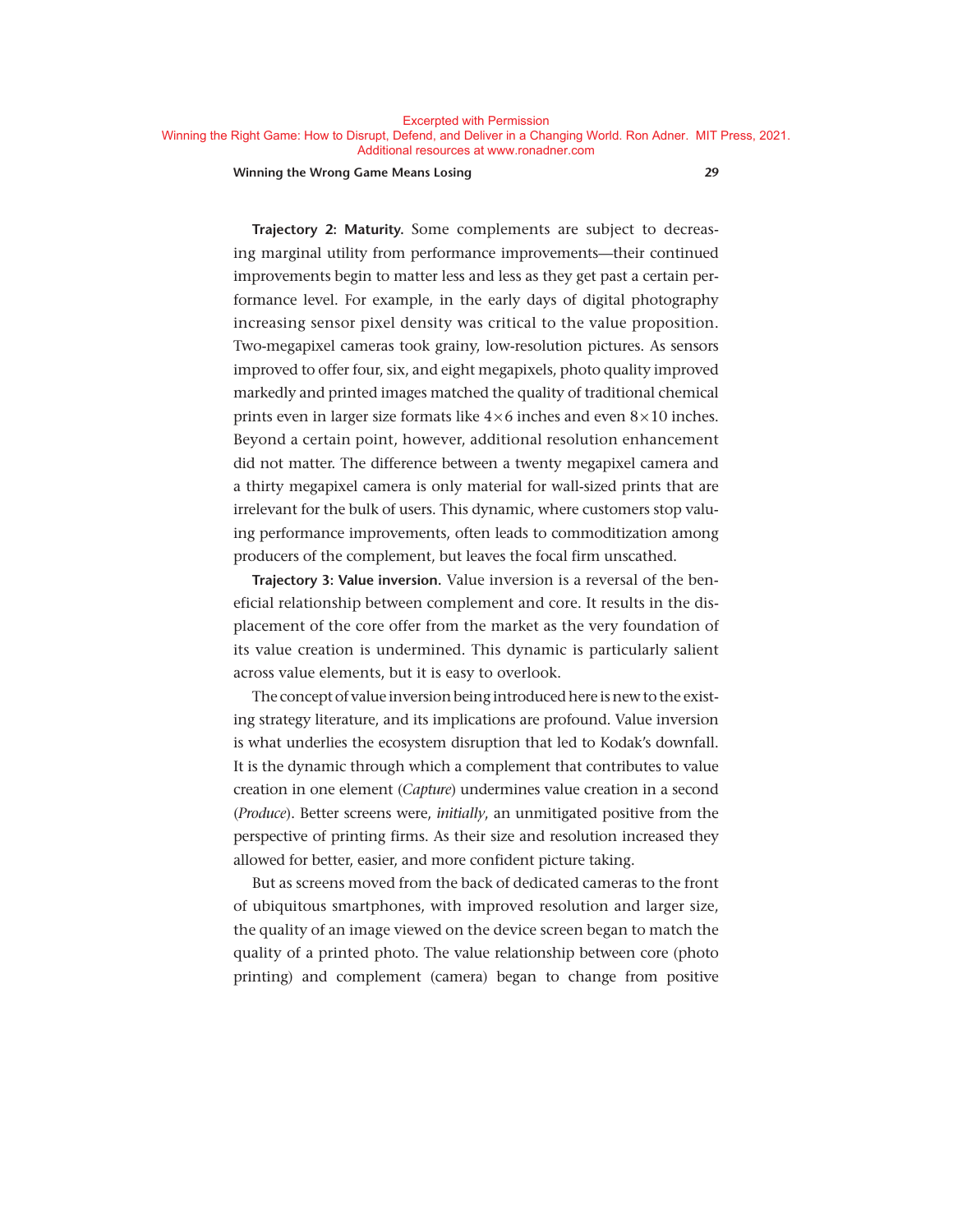#### Excerpted with Permission

Winning the Right Game: How to Disrupt, Defend, and Deliver in a Changing World. Ron Adner. MIT Press, 2021. Additional resources at www.ronadner.com

#### **Winning the Wrong Game Means Losing 29**

**Trajectory 2: Maturity.** Some complements are subject to decreasing marginal utility from performance improvements— their continued improvements begin to matter less and less as they get past a certain performance level. For example, in the early days of digital photography increasing sensor pixel density was critical to the value proposition. Two- megapixel cameras took grainy, low-resolution pictures. As sensors improved to offer four, six, and eight megapixels, photo quality improved markedly and printed images matched the quality of traditional chemical prints even in larger size formats like  $4 \times 6$  inches and even  $8 \times 10$  inches. Beyond a certain point, however, additional resolution enhancement did not matter. The difference between a twenty megapixel camera and a thirty megapixel camera is only material for wall-sized prints that are irrelevant for the bulk of users. This dynamic, where customers stop valuing performance improvements, often leads to commoditization among producers of the complement, but leaves the focal firm unscathed.

**Trajectory 3: Value inversion.** Value inversion is a reversal of the beneficial relationship between complement and core. It results in the displacement of the core offer from the market as the very foundation of its value creation is undermined. This dynamic is particularly salient across value elements, but it is easy to overlook.

The concept of value inversion being introduced here is new to the existing strategy literature, and its implications are profound. Value inversion is what underlies the ecosystem disruption that led to Kodak's downfall. It is the dynamic through which a complement that contributes to value creation in one element (*Capture*) undermines value creation in a second (*Produce*). Better screens were, *initially*, an unmitigated positive from the perspective of printing firms. As their size and resolution increased they allowed for better, easier, and more confident picture taking.

But as screens moved from the back of dedicated cameras to the front of ubiquitous smartphones, with improved resolution and larger size, the quality of an image viewed on the device screen began to match the quality of a printed photo. The value relationship between core (photo printing) and complement (camera) began to change from positive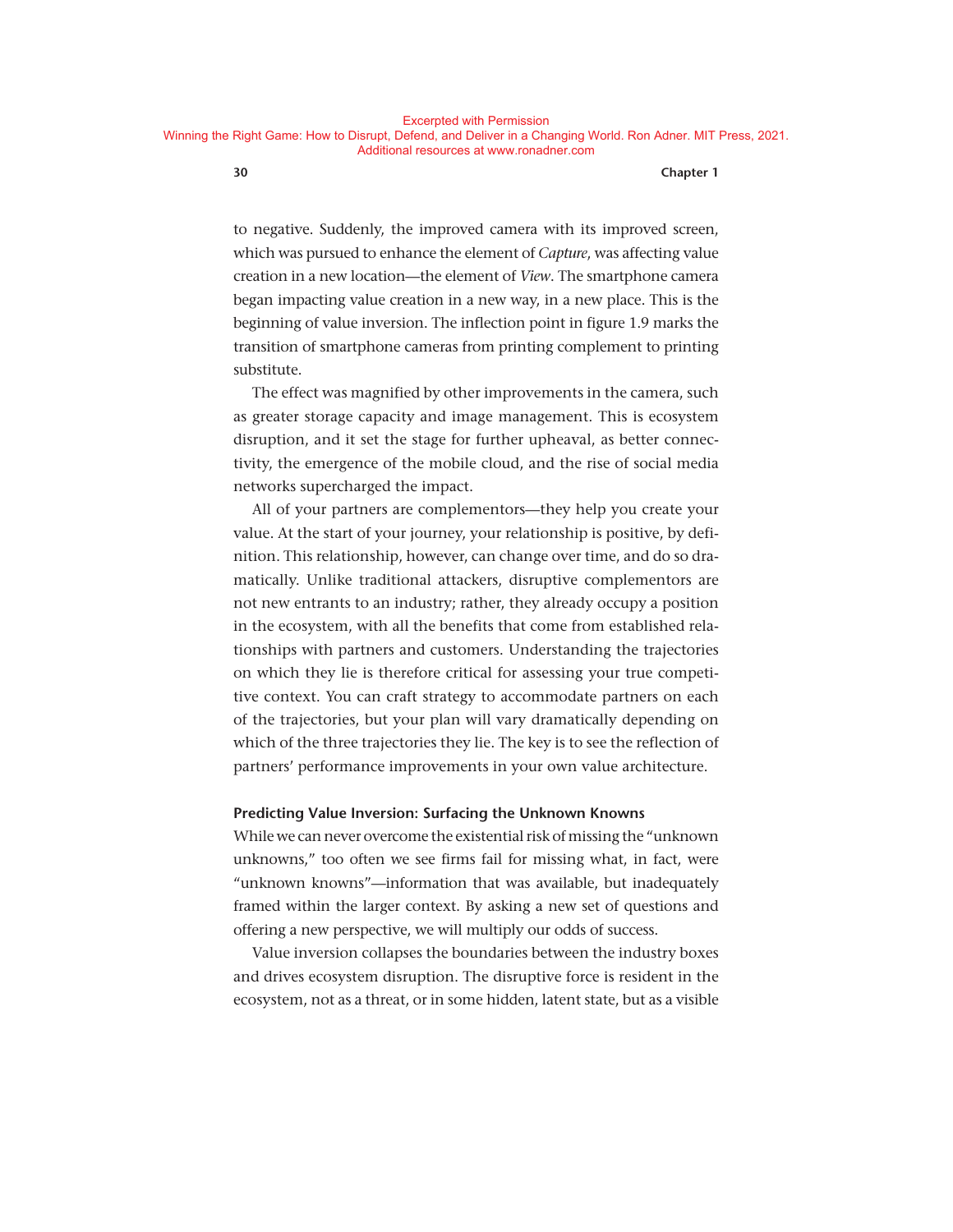to negative. Suddenly, the improved camera with its improved screen, which was pursued to enhance the element of *Capture*, was affecting value creation in a new location— the element of *View*. The smartphone camera began impacting value creation in a new way, in a new place. This is the beginning of value inversion. The inflection point in figure 1.9 marks the transition of smartphone cameras from printing complement to printing substitute.

The effect was magnified by other improvements in the camera, such as greater storage capacity and image management. This is ecosystem disruption, and it set the stage for further upheaval, as better connectivity, the emergence of the mobile cloud, and the rise of social media networks supercharged the impact.

All of your partners are complementors— they help you create your value. At the start of your journey, your relationship is positive, by definition. This relationship, however, can change over time, and do so dramatically. Unlike traditional attackers, disruptive complementors are not new entrants to an industry; rather, they already occupy a position in the ecosystem, with all the benefits that come from established relationships with partners and customers. Understanding the trajectories on which they lie is therefore critical for assessing your true competitive context. You can craft strategy to accommodate partners on each of the trajectories, but your plan will vary dramatically depending on which of the three trajectories they lie. The key is to see the reflection of partners' performance improvements in your own value architecture.

#### **Predicting Value Inversion: Surfacing the Unknown Knowns**

While we can never overcome the existential risk of missing the "unknown unknowns," too often we see firms fail for missing what, in fact, were "unknown knowns"—information that was available, but inadequately framed within the larger context. By asking a new set of questions and offering a new perspective, we will multiply our odds of success.

Value inversion collapses the boundaries between the industry boxes and drives ecosystem disruption. The disruptive force is resident in the ecosystem, not as a threat, or in some hidden, latent state, but as a visible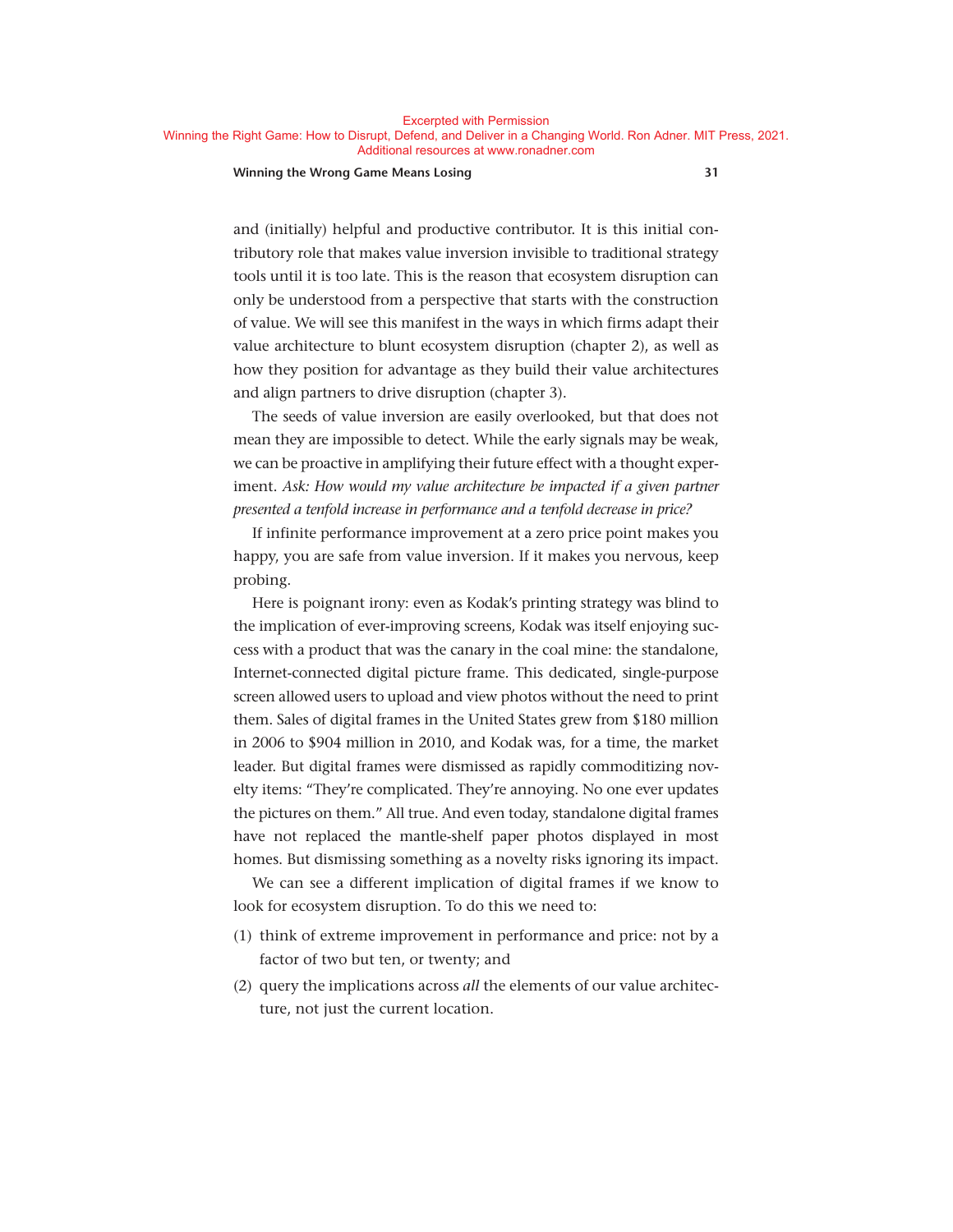**Excernted with Permission** 

Winning the Right Game: How to Disrupt, Defend, and Deliver in a Changing World. Ron Adner. MIT Press, 2021. Additional resources at www.ronadner.com

#### **Winning the Wrong Game Means Losing 31**

and (initially) helpful and productive contributor. It is this initial contributory role that makes value inversion invisible to traditional strategy tools until it is too late. This is the reason that ecosystem disruption can only be understood from a perspective that starts with the construction of value. We will see this manifest in the ways in which firms adapt their value architecture to blunt ecosystem disruption (chapter 2), as well as how they position for advantage as they build their value architectures and align partners to drive disruption (chapter 3).

The seeds of value inversion are easily overlooked, but that does not mean they are impossible to detect. While the early signals may be weak, we can be proactive in amplifying their future effect with a thought experiment. Ask: How would my value architecture be impacted if a given partner *presented a tenfold increase in performance and a tenfold decrease in price?*

If infinite performance improvement at a zero price point makes you happy, you are safe from value inversion. If it makes you nervous, keep probing.

Here is poignant irony: even as Kodak's printing strategy was blind to the implication of ever-improving screens, Kodak was itself enjoying success with a product that was the canary in the coal mine: the standalone, Internet-connected digital picture frame. This dedicated, single- purpose screen allowed users to upload and view photos without the need to print them. Sales of digital frames in the United States grew from \$180 million in 2006 to \$904 million in 2010, and Kodak was, for a time, the market leader. But digital frames were dismissed as rapidly commoditizing novelty items: "They're complicated. They're annoying. No one ever updates the pictures on them." All true. And even today, standalone digital frames have not replaced the mantle-shelf paper photos displayed in most homes. But dismissing something as a novelty risks ignoring its impact.

We can see a different implication of digital frames if we know to look for ecosystem disruption. To do this we need to:

- (1) think of extreme improvement in performance and price: not by a factor of two but ten, or twenty; and
- (2) query the implications across *all* the elements of our value architecture, not just the current location.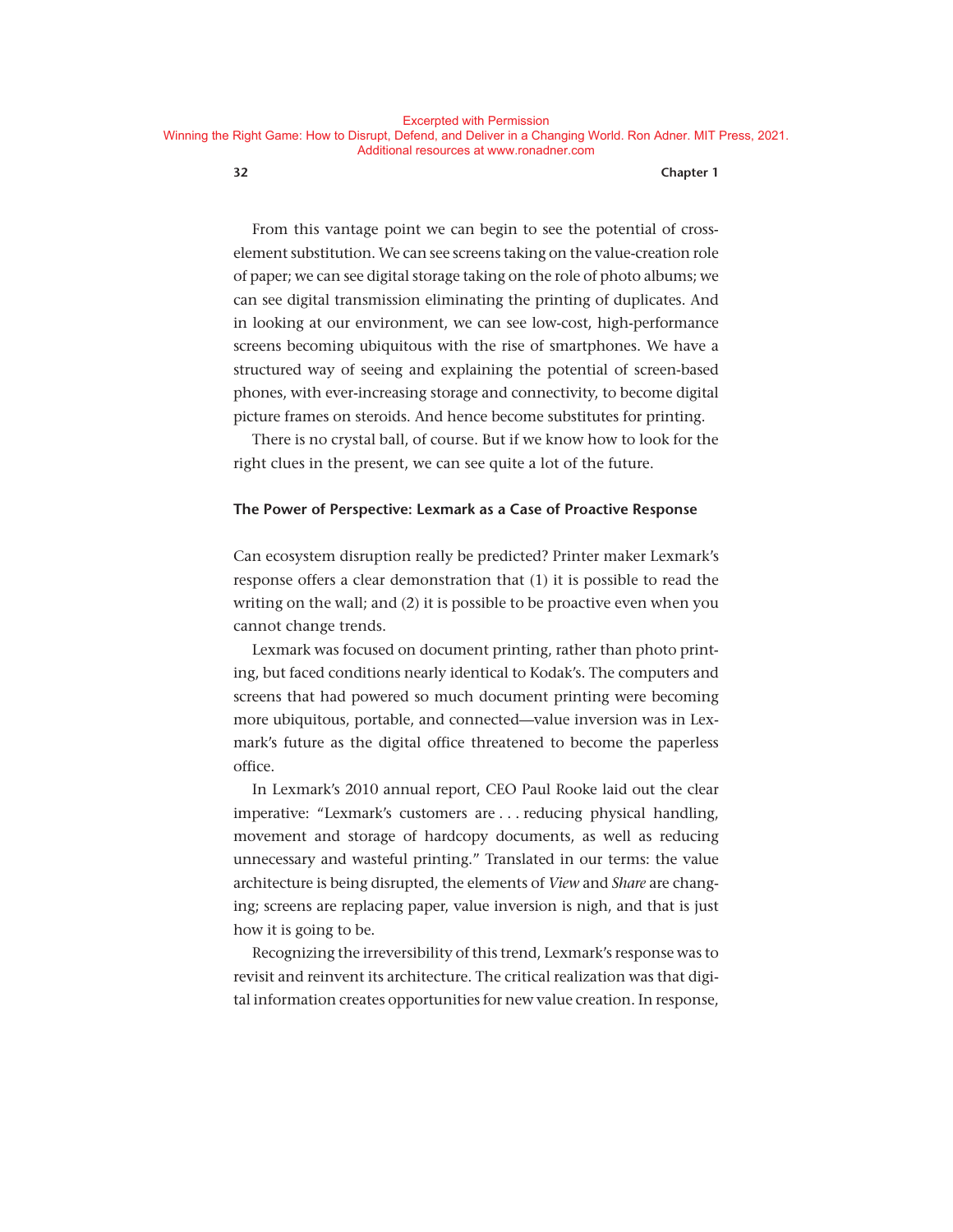From this vantage point we can begin to see the potential of crosselement substitution. We can see screens taking on the value-creation role of paper; we can see digital storage taking on the role of photo albums; we can see digital transmission eliminating the printing of duplicates. And in looking at our environment, we can see low-cost, high-performance screens becoming ubiquitous with the rise of smartphones. We have a structured way of seeing and explaining the potential of screen-based phones, with ever- increasing storage and connectivity, to become digital picture frames on steroids. And hence become substitutes for printing.

There is no crystal ball, of course. But if we know how to look for the right clues in the present, we can see quite a lot of the future.

#### **The Power of Perspective: Lexmark as a Case of Proactive Response**

Can ecosystem disruption really be predicted? Printer maker Lexmark's response offers a clear demonstration that (1) it is possible to read the writing on the wall; and (2) it is possible to be proactive even when you cannot change trends.

Lexmark was focused on document printing, rather than photo printing, but faced conditions nearly identical to Kodak's. The computers and screens that had powered so much document printing were becoming more ubiquitous, portable, and connected— value inversion was in Lexmark's future as the digital office threatened to become the paperless office.

In Lexmark's 2010 annual report, CEO Paul Rooke laid out the clear imperative: "Lexmark's customers are . . . reducing physical handling, movement and storage of hardcopy documents, as well as reducing unnecessary and wasteful printing." Translated in our terms: the value architecture is being disrupted, the elements of *View* and *Share* are changing; screens are replacing paper, value inversion is nigh, and that is just how it is going to be.

Recognizing the irreversibility of this trend, Lexmark's response was to revisit and reinvent its architecture. The critical realization was that digital information creates opportunities for new value creation. In response,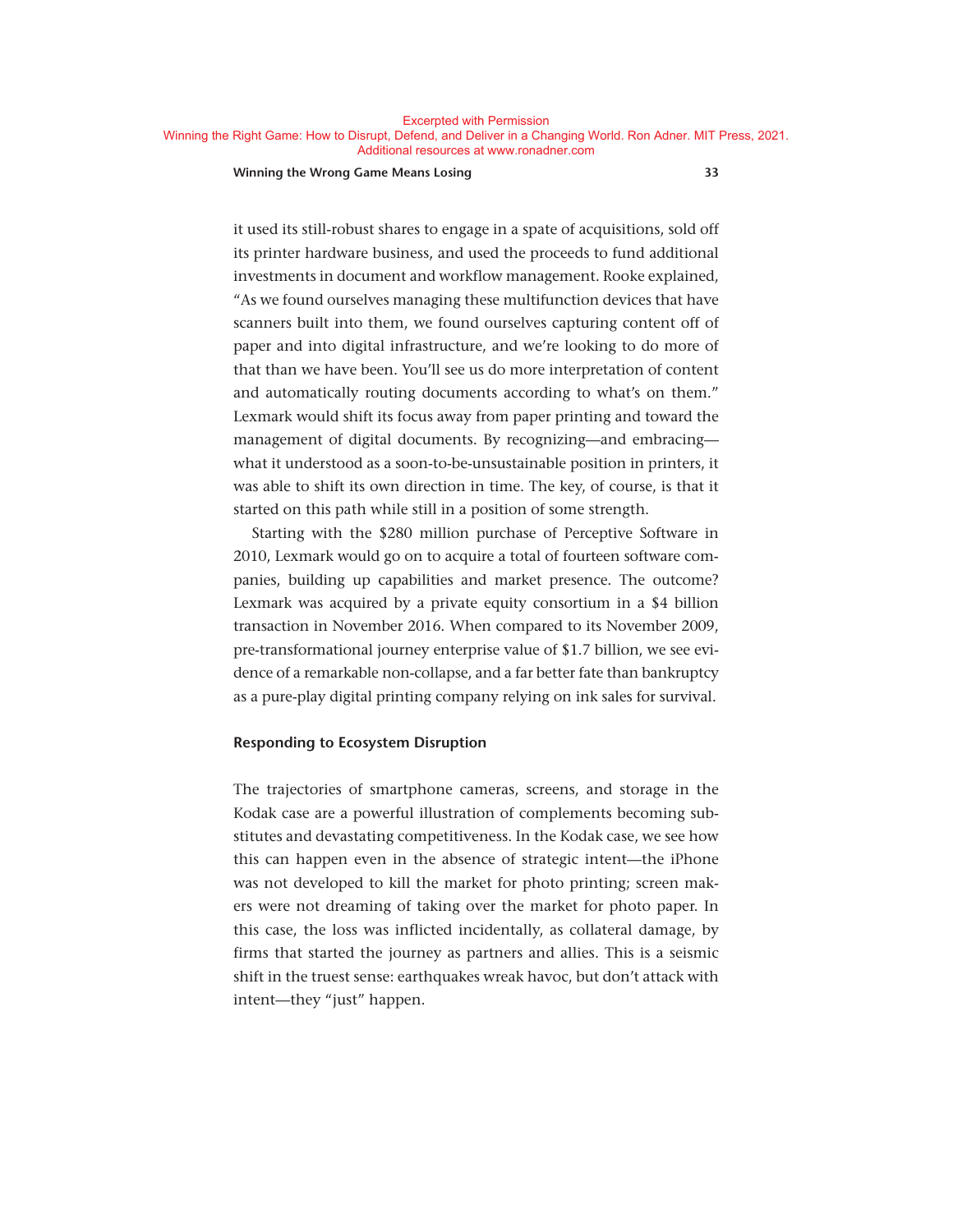Excerpted with Permission

Winning the Right Game: How to Disrupt, Defend, and Deliver in a Changing World. Ron Adner. MIT Press, 2021. Additional resources at www.ronadner.com

**Winning the Wrong Game Means Losing 33**

it used its still-robust shares to engage in a spate of acquisitions, sold off its printer hardware business, and used the proceeds to fund additional investments in document and workflow management. Rooke explained, "As we found ourselves managing these multifunction devices that have scanners built into them, we found ourselves capturing content off of paper and into digital infrastructure, and we're looking to do more of that than we have been. You'll see us do more interpretation of content and automatically routing documents according to what's on them." Lexmark would shift its focus away from paper printing and toward the management of digital documents. By recognizing—and embracing what it understood as a soon-to-be-unsustainable position in printers, it was able to shift its own direction in time. The key, of course, is that it started on this path while still in a position of some strength.

Starting with the \$280 million purchase of Perceptive Software in 2010, Lexmark would go on to acquire a total of fourteen software companies, building up capabilities and market presence. The outcome? Lexmark was acquired by a private equity consortium in a \$4 billion transaction in November 2016. When compared to its November 2009, pre- transformational journey enterprise value of \$1.7 billion, we see evidence of a remarkable non-collapse, and a far better fate than bankruptcy as a pure-play digital printing company relying on ink sales for survival.

#### **Responding to Ecosystem Disruption**

The trajectories of smartphone cameras, screens, and storage in the Kodak case are a powerful illustration of complements becoming substitutes and devastating competitiveness. In the Kodak case, we see how this can happen even in the absence of strategic intent— the iPhone was not developed to kill the market for photo printing; screen makers were not dreaming of taking over the market for photo paper. In this case, the loss was inflicted incidentally, as collateral damage, by firms that started the journey as partners and allies. This is a seismic shift in the truest sense: earthquakes wreak havoc, but don't attack with intent—they "just" happen.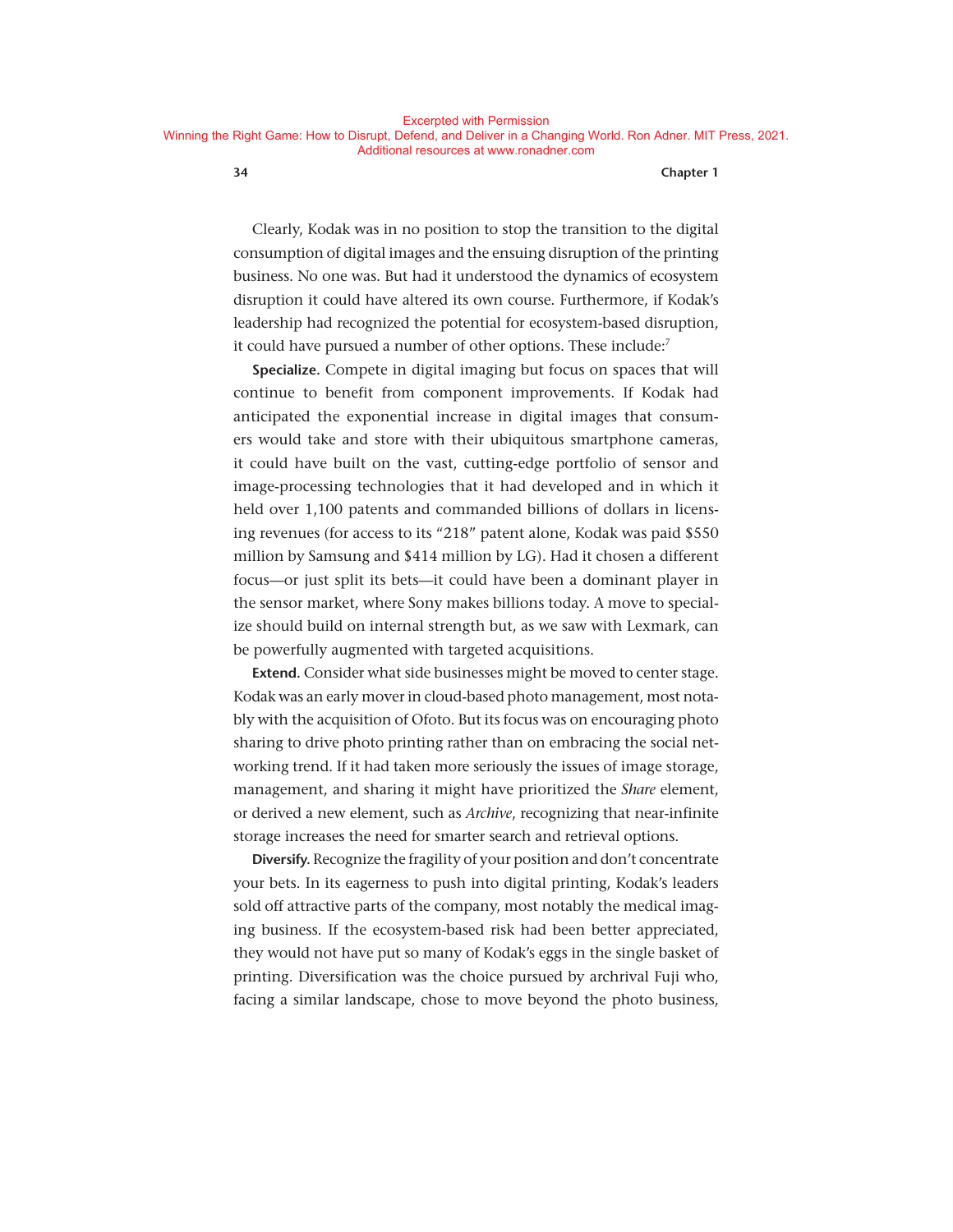Clearly, Kodak was in no position to stop the transition to the digital consumption of digital images and the ensuing disruption of the printing business. No one was. But had it understood the dynamics of ecosystem disruption it could have altered its own course. Furthermore, if Kodak's leadership had recognized the potential for ecosystem-based disruption, it could have pursued a number of other options. These include: $<sup>7</sup>$ </sup>

**Specialize.** Compete in digital imaging but focus on spaces that will continue to benefit from component improvements. If Kodak had anticipated the exponential increase in digital images that consumers would take and store with their ubiquitous smartphone cameras, it could have built on the vast, cutting- edge portfolio of sensor and image- processing technologies that it had developed and in which it held over 1,100 patents and commanded billions of dollars in licensing revenues (for access to its "218" patent alone, Kodak was paid \$550 million by Samsung and \$414 million by LG). Had it chosen a different focus— or just split its bets— it could have been a dominant player in the sensor market, where Sony makes billions today. A move to specialize should build on internal strength but, as we saw with Lexmark, can be powerfully augmented with targeted acquisitions.

**Extend.** Consider what side businesses might be moved to center stage. Kodak was an early mover in cloud- based photo management, most notably with the acquisition of Ofoto. But its focus was on encouraging photo sharing to drive photo printing rather than on embracing the social networking trend. If it had taken more seriously the issues of image storage, management, and sharing it might have prioritized the *Share* element, or derived a new element, such as *Archive*, recognizing that near- infinite storage increases the need for smarter search and retrieval options.

**Diversify.** Recognize the fragility of your position and don't concentrate your bets. In its eagerness to push into digital printing, Kodak's leaders sold off attractive parts of the company, most notably the medical imaging business. If the ecosystem-based risk had been better appreciated, they would not have put so many of Kodak's eggs in the single basket of printing. Diversification was the choice pursued by archrival Fuji who, facing a similar landscape, chose to move beyond the photo business,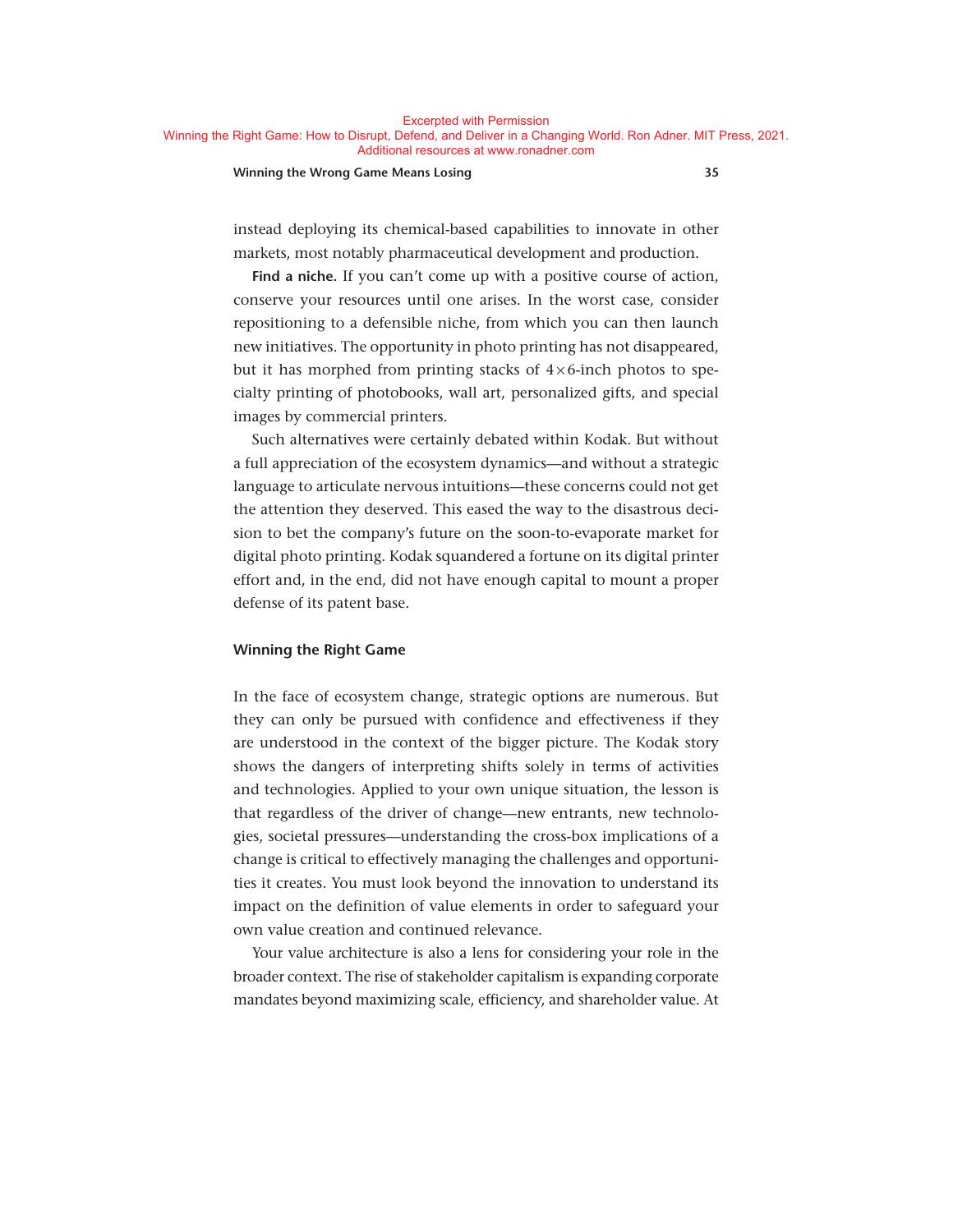#### **Winning the Wrong Game Means Losing 35**

instead deploying its chemical-based capabilities to innovate in other markets, most notably pharmaceutical development and production.

**Find a niche.** If you can't come up with a positive course of action, conserve your resources until one arises. In the worst case, consider repositioning to a defensible niche, from which you can then launch new initiatives. The opportunity in photo printing has not disappeared, but it has morphed from printing stacks of  $4 \times 6$ -inch photos to specialty printing of photobooks, wall art, personalized gifts, and special images by commercial printers.

Such alternatives were certainly debated within Kodak. But without a full appreciation of the ecosystem dynamics— and without a strategic language to articulate nervous intuitions— these concerns could not get the attention they deserved. This eased the way to the disastrous decision to bet the company's future on the soon-to-evaporate market for digital photo printing. Kodak squandered a fortune on its digital printer effort and, in the end, did not have enough capital to mount a proper defense of its patent base.

#### **Winning the Right Game**

In the face of ecosystem change, strategic options are numerous. But they can only be pursued with confidence and effectiveness if they are understood in the context of the bigger picture. The Kodak story shows the dangers of interpreting shifts solely in terms of activities and technologies. Applied to your own unique situation, the lesson is that regardless of the driver of change— new entrants, new technologies, societal pressures— understanding the cross- box implications of a change is critical to effectively managing the challenges and opportunities it creates. You must look beyond the innovation to understand its impact on the definition of value elements in order to safeguard your own value creation and continued relevance.

Your value architecture is also a lens for considering your role in the broader context. The rise of stakeholder capitalism is expanding corporate mandates beyond maximizing scale, efficiency, and shareholder value. At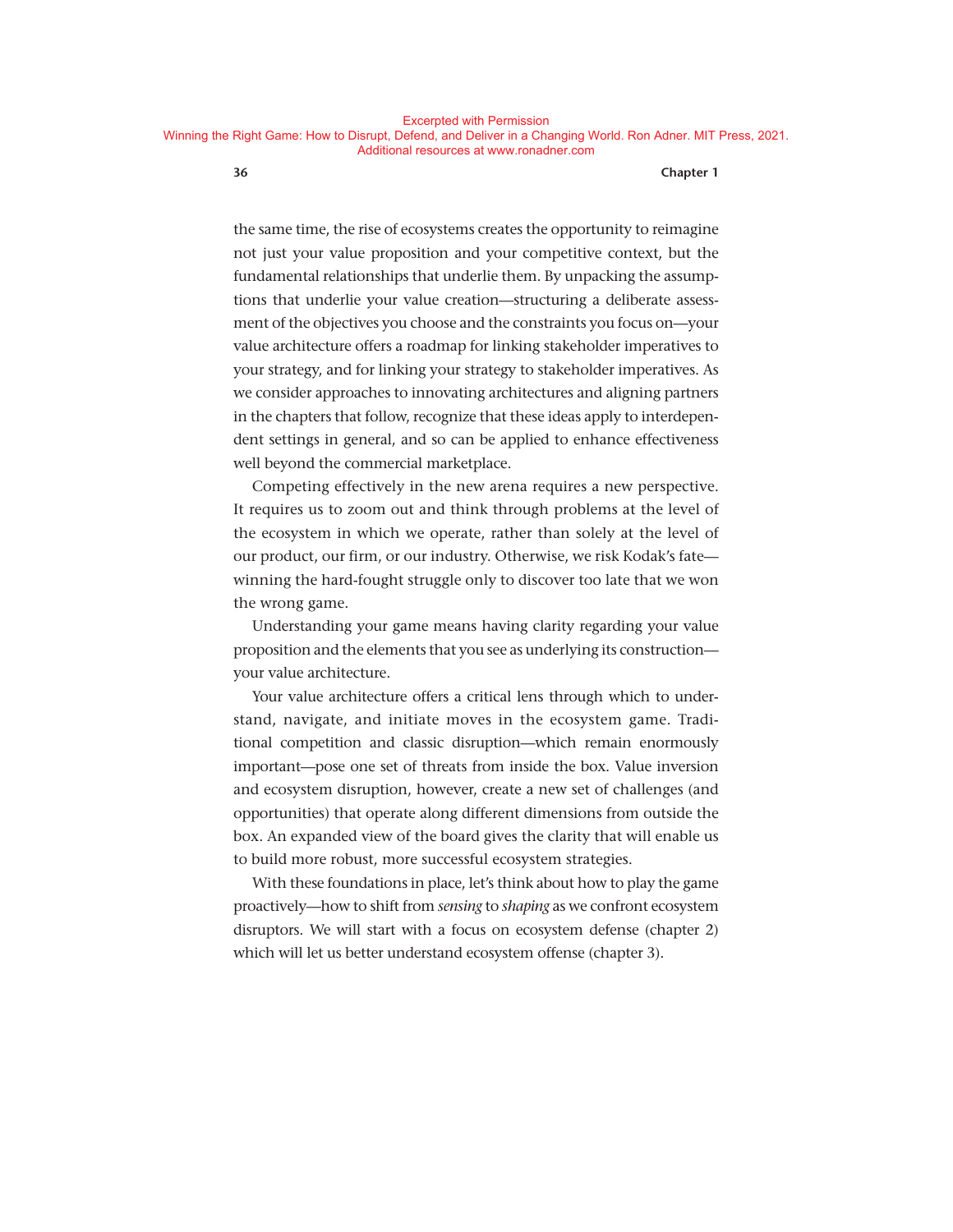the same time, the rise of ecosystems creates the opportunity to reimagine not just your value proposition and your competitive context, but the fundamental relationships that underlie them. By unpacking the assumptions that underlie your value creation—structuring a deliberate assessment of the objectives you choose and the constraints you focus on—your value architecture offers a roadmap for linking stakeholder imperatives to your strategy, and for linking your strategy to stakeholder imperatives. As we consider approaches to innovating architectures and aligning partners in the chapters that follow, recognize that these ideas apply to interdependent settings in general, and so can be applied to enhance effectiveness well beyond the commercial marketplace.

Competing effectively in the new arena requires a new perspective. It requires us to zoom out and think through problems at the level of the ecosystem in which we operate, rather than solely at the level of our product, our firm, or our industry. Otherwise, we risk Kodak's fate winning the hard-fought struggle only to discover too late that we won the wrong game.

Understanding your game means having clarity regarding your value proposition and the elements that you see as underlying its construction your value architecture.

Your value architecture offers a critical lens through which to understand, navigate, and initiate moves in the ecosystem game. Traditional competition and classic disruption—which remain enormously important—pose one set of threats from inside the box. Value inversion and ecosystem disruption, however, create a new set of challenges (and opportunities) that operate along different dimensions from outside the box. An expanded view of the board gives the clarity that will enable us to build more robust, more successful ecosystem strategies.

With these foundations in place, let's think about how to play the game proactively— how to shift from *sensing* to *shaping* as we confront ecosystem disruptors. We will start with a focus on ecosystem defense (chapter 2) which will let us better understand ecosystem offense (chapter 3).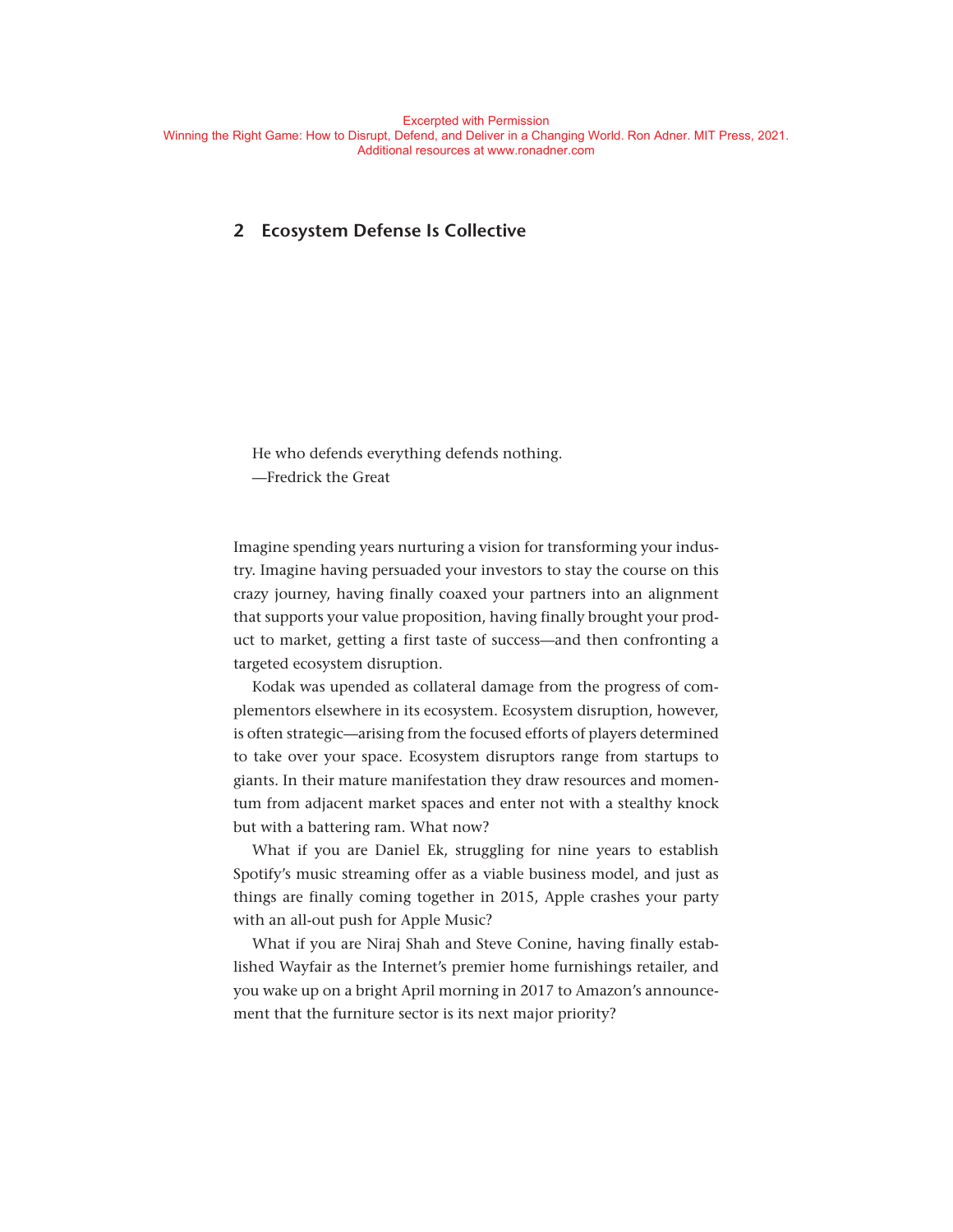# **2 Ecosystem Defense Is Collective**

He who defends everything defends nothing. — Fredrick the Great

Imagine spending years nurturing a vision for transforming your industry. Imagine having persuaded your investors to stay the course on this crazy journey, having finally coaxed your partners into an alignment that supports your value proposition, having finally brought your product to market, getting a first taste of success— and then confronting a targeted ecosystem disruption.

Kodak was upended as collateral damage from the progress of complementors elsewhere in its ecosystem. Ecosystem disruption, however, is often strategic— arising from the focused efforts of players determined to take over your space. Ecosystem disruptors range from startups to giants. In their mature manifestation they draw resources and momentum from adjacent market spaces and enter not with a stealthy knock but with a battering ram. What now?

What if you are Daniel Ek, struggling for nine years to establish Spotify's music streaming offer as a viable business model, and just as things are finally coming together in 2015, Apple crashes your party with an all-out push for Apple Music?

What if you are Niraj Shah and Steve Conine, having finally established Wayfair as the Internet's premier home furnishings retailer, and you wake up on a bright April morning in 2017 to Amazon's announcement that the furniture sector is its next major priority?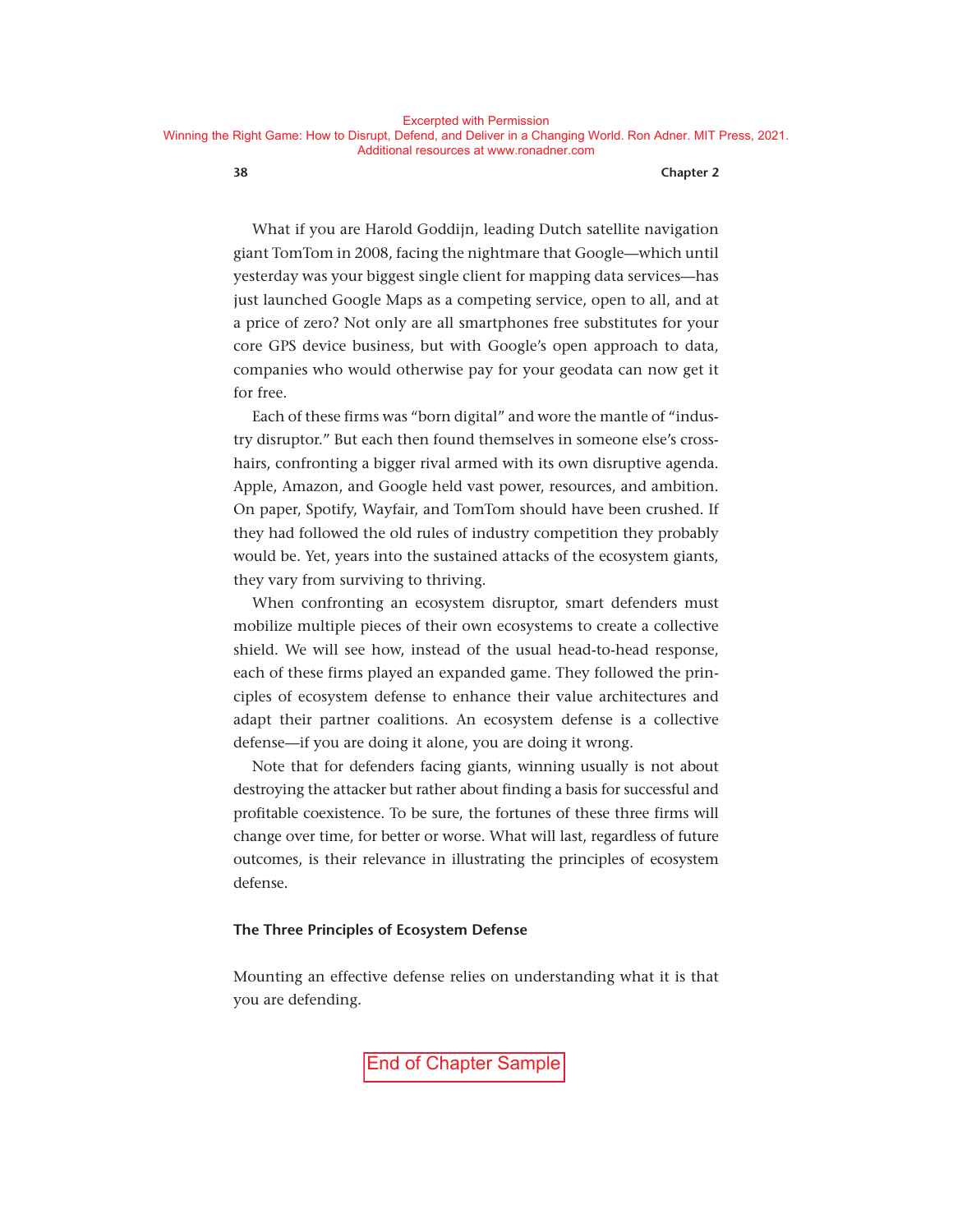What if you are Harold Goddijn, leading Dutch satellite navigation giant TomTom in 2008, facing the nightmare that Google— which until yesterday was your biggest single client for mapping data services— has just launched Google Maps as a competing service, open to all, and at a price of zero? Not only are all smartphones free substitutes for your core GPS device business, but with Google's open approach to data, companies who would otherwise pay for your geodata can now get it for free.

Each of these firms was "born digital" and wore the mantle of "industry disruptor." But each then found themselves in someone else's crosshairs, confronting a bigger rival armed with its own disruptive agenda. Apple, Amazon, and Google held vast power, resources, and ambition. On paper, Spotify, Wayfair, and TomTom should have been crushed. If they had followed the old rules of industry competition they probably would be. Yet, years into the sustained attacks of the ecosystem giants, they vary from surviving to thriving.

When confronting an ecosystem disruptor, smart defenders must mobilize multiple pieces of their own ecosystems to create a collective shield. We will see how, instead of the usual head-to-head response, each of these firms played an expanded game. They followed the principles of ecosystem defense to enhance their value architectures and adapt their partner coalitions. An ecosystem defense is a collective defense— if you are doing it alone, you are doing it wrong.

Note that for defenders facing giants, winning usually is not about destroying the attacker but rather about finding a basis for successful and profitable coexistence. To be sure, the fortunes of these three firms will change over time, for better or worse. What will last, regardless of future outcomes, is their relevance in illustrating the principles of ecosystem defense.

#### **The Three Principles of Ecosystem Defense**

Mounting an effective defense relies on understanding what it is that you are defending.

End of Chapter Sample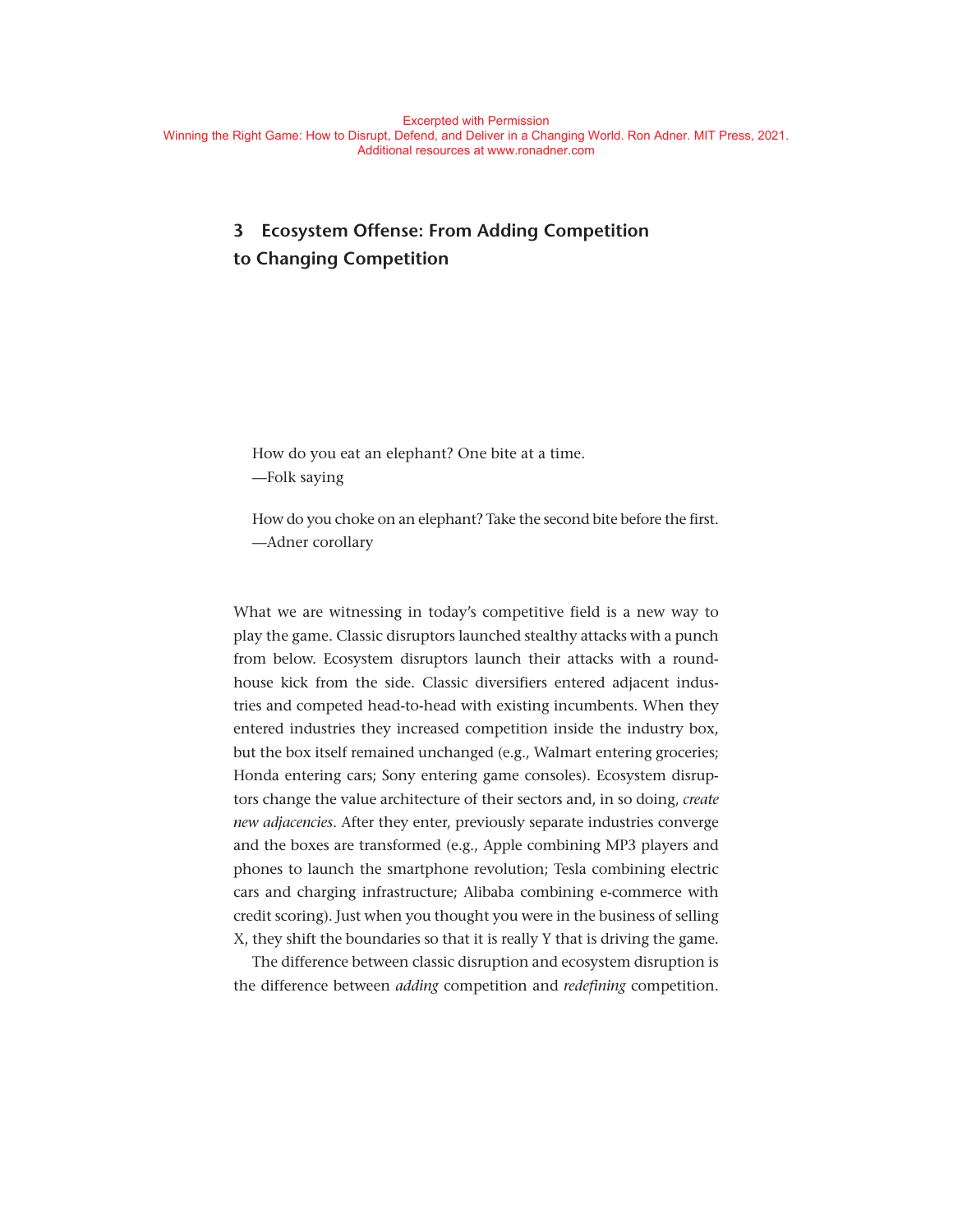# **3 Ecosystem Offense: From Adding Competition to Changing Competition**

How do you eat an elephant? One bite at a time. — Folk saying

How do you choke on an elephant? Take the second bite before the first. — Adner corollary

What we are witnessing in today's competitive field is a new way to play the game. Classic disruptors launched stealthy attacks with a punch from below. Ecosystem disruptors launch their attacks with a roundhouse kick from the side. Classic diversifiers entered adjacent industries and competed head-to-head with existing incumbents. When they entered industries they increased competition inside the industry box, but the box itself remained unchanged (e.g., Walmart entering groceries; Honda entering cars; Sony entering game consoles). Ecosystem disruptors change the value architecture of their sectors and, in so doing, *create new adjacencies*. After they enter, previously separate industries converge and the boxes are transformed (e.g., Apple combining MP3 players and phones to launch the smartphone revolution; Tesla combining electric cars and charging infrastructure; Alibaba combining e- commerce with credit scoring). Just when you thought you were in the business of selling X, they shift the boundaries so that it is really Y that is driving the game.

The difference between classic disruption and ecosystem disruption is the difference between *adding* competition and *redefining* competition.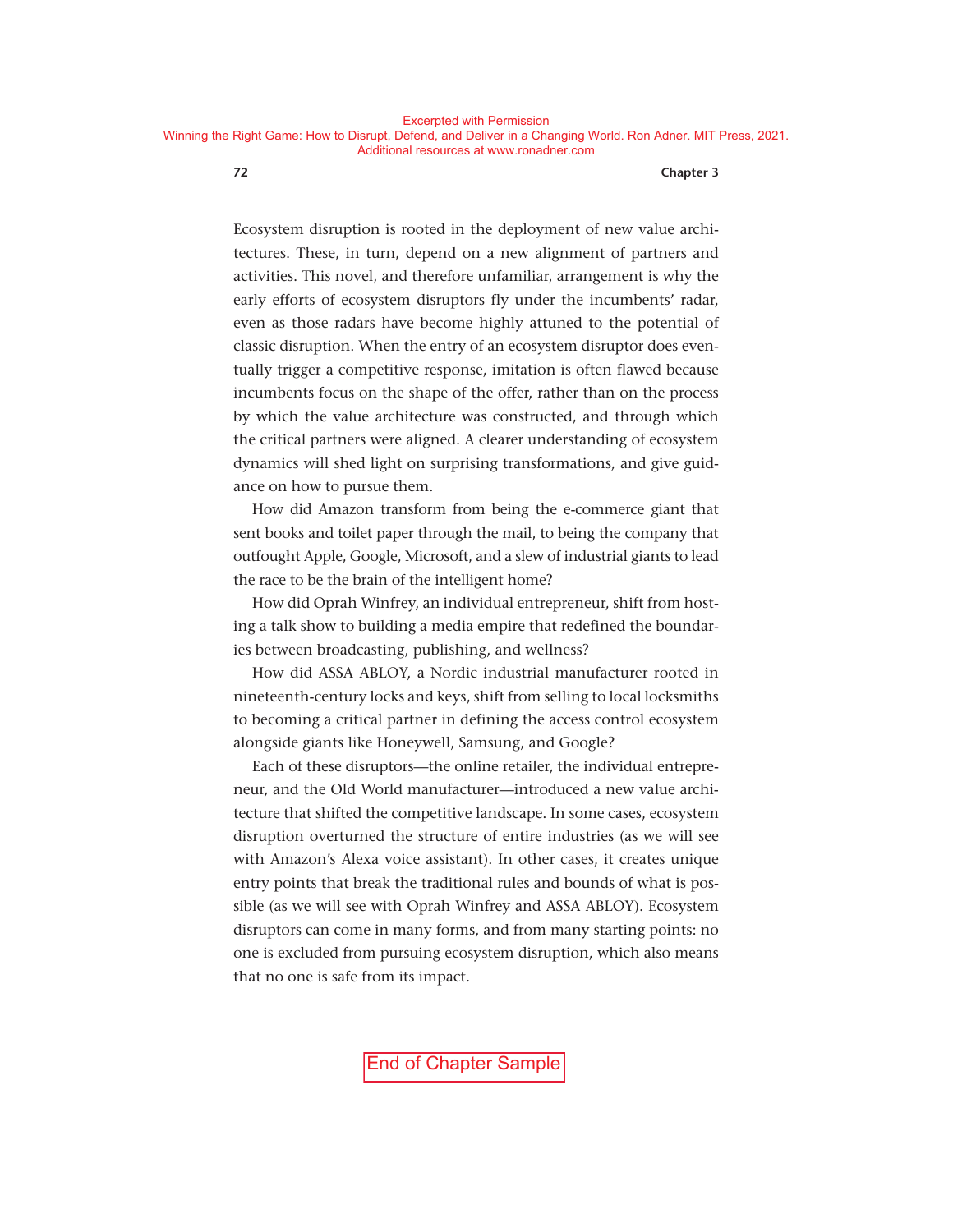Ecosystem disruption is rooted in the deployment of new value architectures. These, in turn, depend on a new alignment of partners and activities. This novel, and therefore unfamiliar, arrangement is why the early efforts of ecosystem disruptors fly under the incumbents' radar, even as those radars have become highly attuned to the potential of classic disruption. When the entry of an ecosystem disruptor does eventually trigger a competitive response, imitation is often flawed because incumbents focus on the shape of the offer, rather than on the process by which the value architecture was constructed, and through which the critical partners were aligned. A clearer understanding of ecosystem dynamics will shed light on surprising transformations, and give guidance on how to pursue them.

How did Amazon transform from being the e-commerce giant that sent books and toilet paper through the mail, to being the company that outfought Apple, Google, Microsoft, and a slew of industrial giants to lead the race to be the brain of the intelligent home?

How did Oprah Winfrey, an individual entrepreneur, shift from hosting a talk show to building a media empire that redefined the boundaries between broadcasting, publishing, and wellness?

How did ASSA ABLOY, a Nordic industrial manufacturer rooted in nineteenth- century locks and keys, shift from selling to local locksmiths to becoming a critical partner in defining the access control ecosystem alongside giants like Honeywell, Samsung, and Google?

Each of these disruptors— the online retailer, the individual entrepreneur, and the Old World manufacturer— introduced a new value architecture that shifted the competitive landscape. In some cases, ecosystem disruption overturned the structure of entire industries (as we will see with Amazon's Alexa voice assistant). In other cases, it creates unique entry points that break the traditional rules and bounds of what is possible (as we will see with Oprah Winfrey and ASSA ABLOY). Ecosystem disruptors can come in many forms, and from many starting points: no one is excluded from pursuing ecosystem disruption, which also means that no one is safe from its impact.

End of Chapter Sample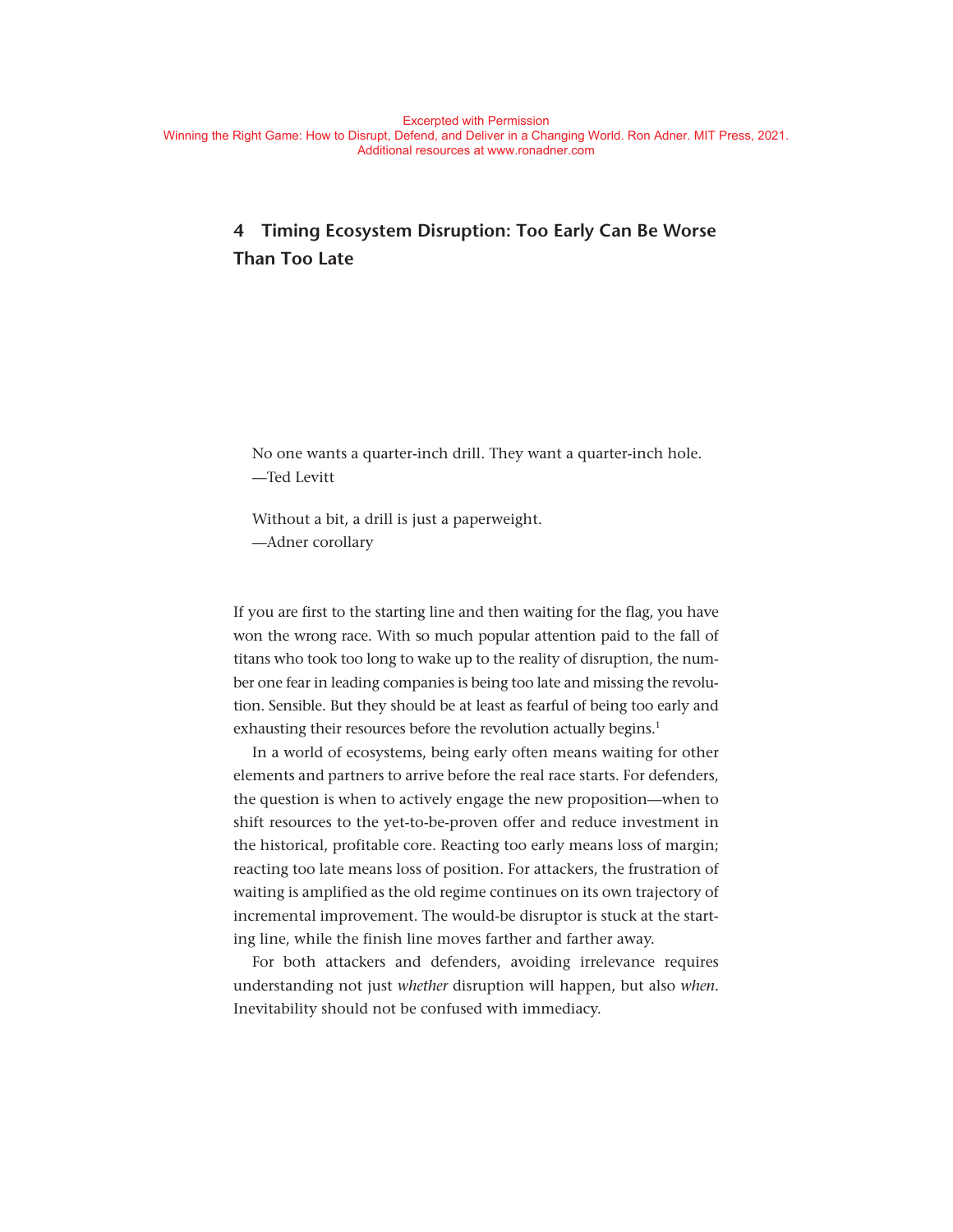# **4 Timing Ecosystem Disruption: Too Early Can Be Worse Than Too Late**

No one wants a quarter-inch drill. They want a quarter-inch hole. — Ted Levitt

Without a bit, a drill is just a paperweight. — Adner corollary

If you are first to the starting line and then waiting for the flag, you have won the wrong race. With so much popular attention paid to the fall of titans who took too long to wake up to the reality of disruption, the number one fear in leading companies is being too late and missing the revolution. Sensible. But they should be at least as fearful of being too early and exhausting their resources before the revolution actually begins.<sup>1</sup>

In a world of ecosystems, being early often means waiting for other elements and partners to arrive before the real race starts. For defenders, the question is when to actively engage the new proposition— when to shift resources to the yet-to-be-proven offer and reduce investment in the historical, profitable core. Reacting too early means loss of margin; reacting too late means loss of position. For attackers, the frustration of waiting is amplified as the old regime continues on its own trajectory of incremental improvement. The would-be disruptor is stuck at the starting line, while the finish line moves farther and farther away.

For both attackers and defenders, avoiding irrelevance requires understanding not just *whether* disruption will happen, but also *when*. Inevitability should not be confused with immediacy.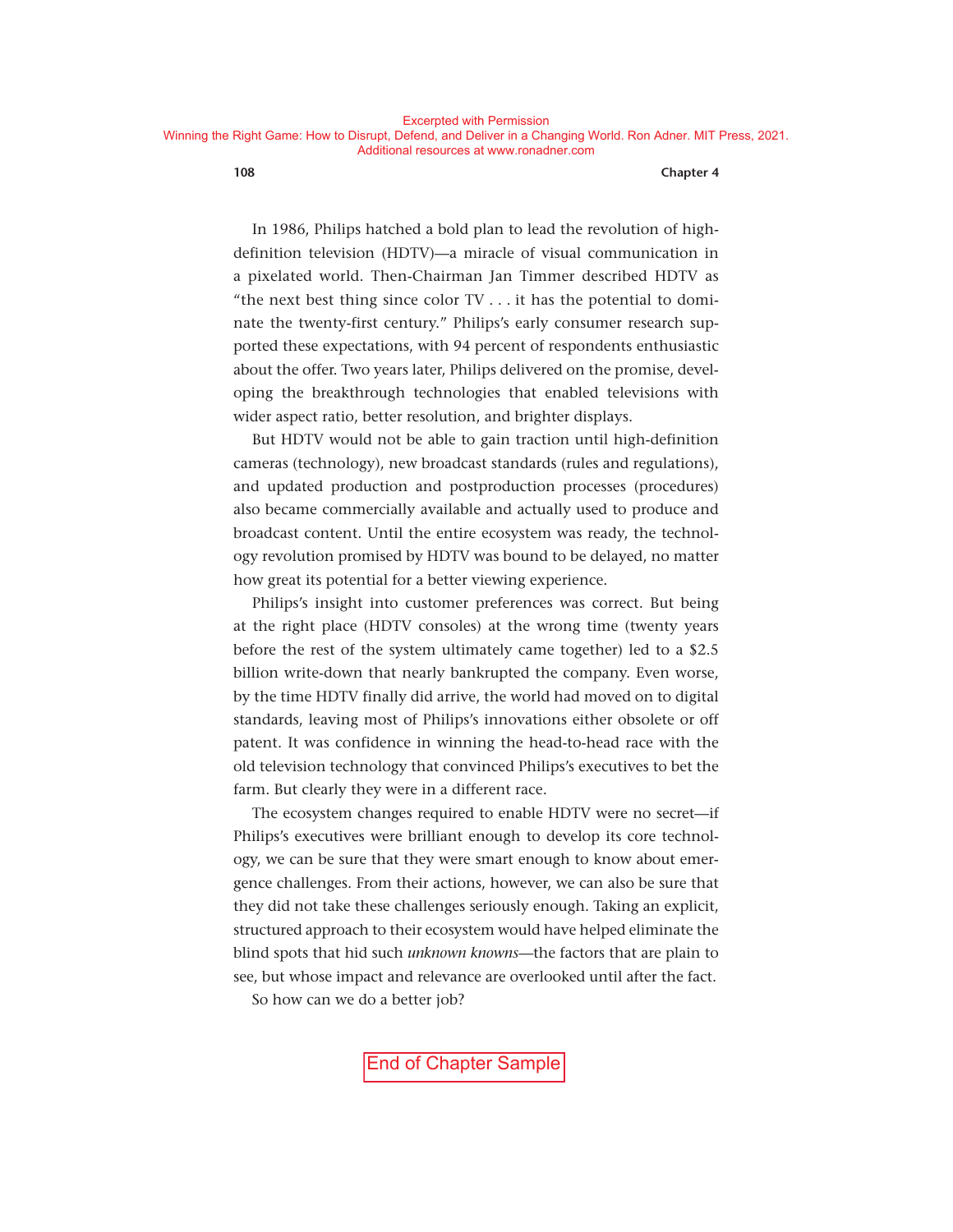In 1986, Philips hatched a bold plan to lead the revolution of highdefinition television (HDTV)—a miracle of visual communication in a pixelated world. Then-Chairman Jan Timmer described HDTV as "the next best thing since color TV . . . it has the potential to dominate the twenty-first century." Philips's early consumer research supported these expectations, with 94 percent of respondents enthusiastic about the offer. Two years later, Philips delivered on the promise, developing the breakthrough technologies that enabled televisions with wider aspect ratio, better resolution, and brighter displays.

But HDTV would not be able to gain traction until high- definition cameras (technology), new broadcast standards (rules and regulations), and updated production and postproduction processes (procedures) also became commercially available and actually used to produce and broadcast content. Until the entire ecosystem was ready, the technology revolution promised by HDTV was bound to be delayed, no matter how great its potential for a better viewing experience.

Philips's insight into customer preferences was correct. But being at the right place (HDTV consoles) at the wrong time (twenty years before the rest of the system ultimately came together) led to a \$2.5 billion write-down that nearly bankrupted the company. Even worse, by the time HDTV finally did arrive, the world had moved on to digital standards, leaving most of Philips's innovations either obsolete or off patent. It was confidence in winning the head-to-head race with the old television technology that convinced Philips's executives to bet the farm. But clearly they were in a different race.

The ecosystem changes required to enable HDTV were no secret—if Philips's executives were brilliant enough to develop its core technology, we can be sure that they were smart enough to know about emergence challenges. From their actions, however, we can also be sure that they did not take these challenges seriously enough. Taking an explicit, structured approach to their ecosystem would have helped eliminate the blind spots that hid such *unknown knowns*— the factors that are plain to see, but whose impact and relevance are overlooked until after the fact.

So how can we do a better job?

End of Chapter Sample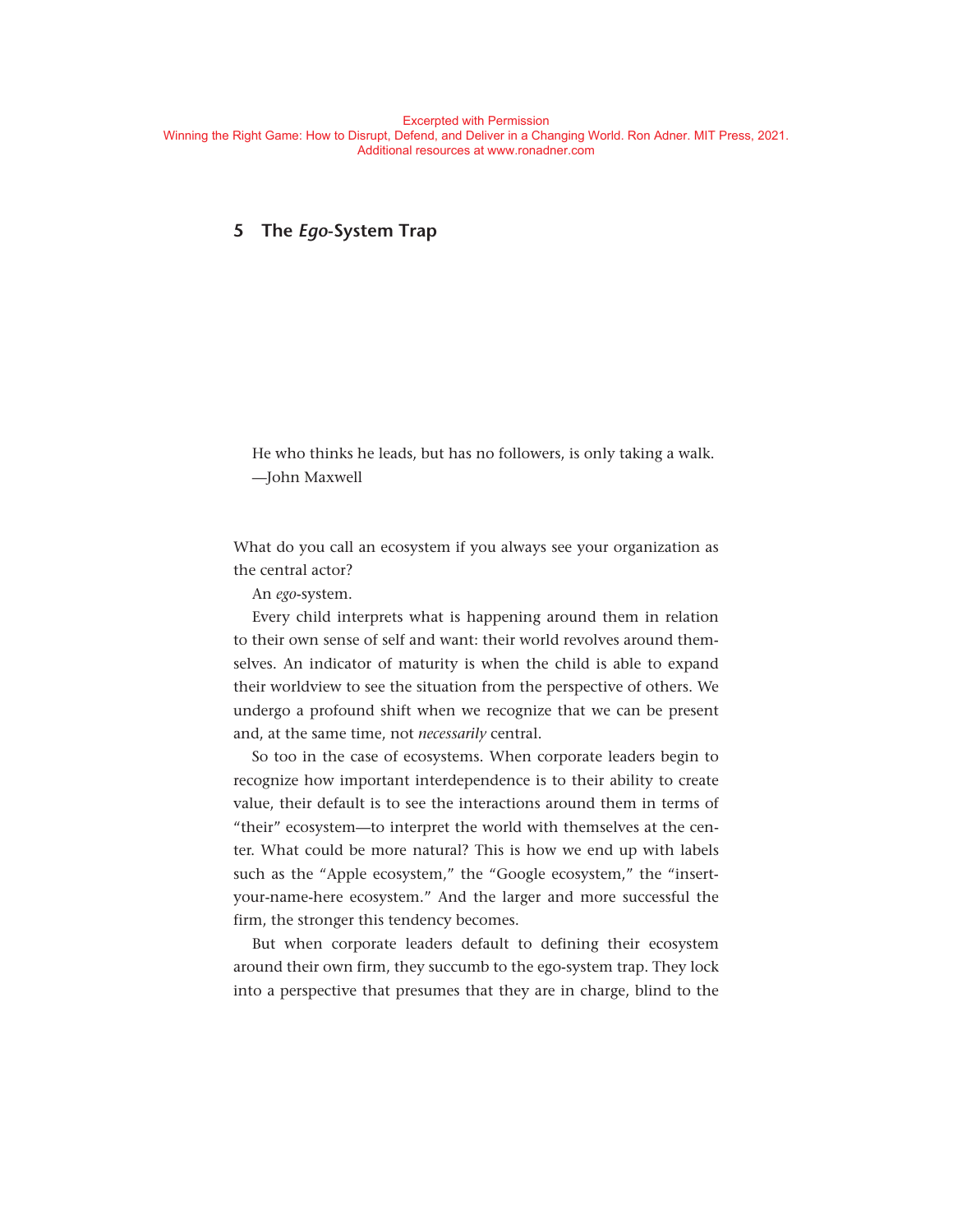# **5 The** *Ego***- System Trap**

He who thinks he leads, but has no followers, is only taking a walk. — John Maxwell

What do you call an ecosystem if you always see your organization as the central actor?

An *ego*- system.

Every child interprets what is happening around them in relation to their own sense of self and want: their world revolves around themselves. An indicator of maturity is when the child is able to expand their worldview to see the situation from the perspective of others. We undergo a profound shift when we recognize that we can be present and, at the same time, not *necessarily* central.

So too in the case of ecosystems. When corporate leaders begin to recognize how important interdependence is to their ability to create value, their default is to see the interactions around them in terms of "their" ecosystem— to interpret the world with themselves at the center. What could be more natural? This is how we end up with labels such as the "Apple ecosystem," the "Google ecosystem," the "insertyour-name-here ecosystem." And the larger and more successful the firm, the stronger this tendency becomes.

But when corporate leaders default to defining their ecosystem around their own firm, they succumb to the ego-system trap. They lock into a perspective that presumes that they are in charge, blind to the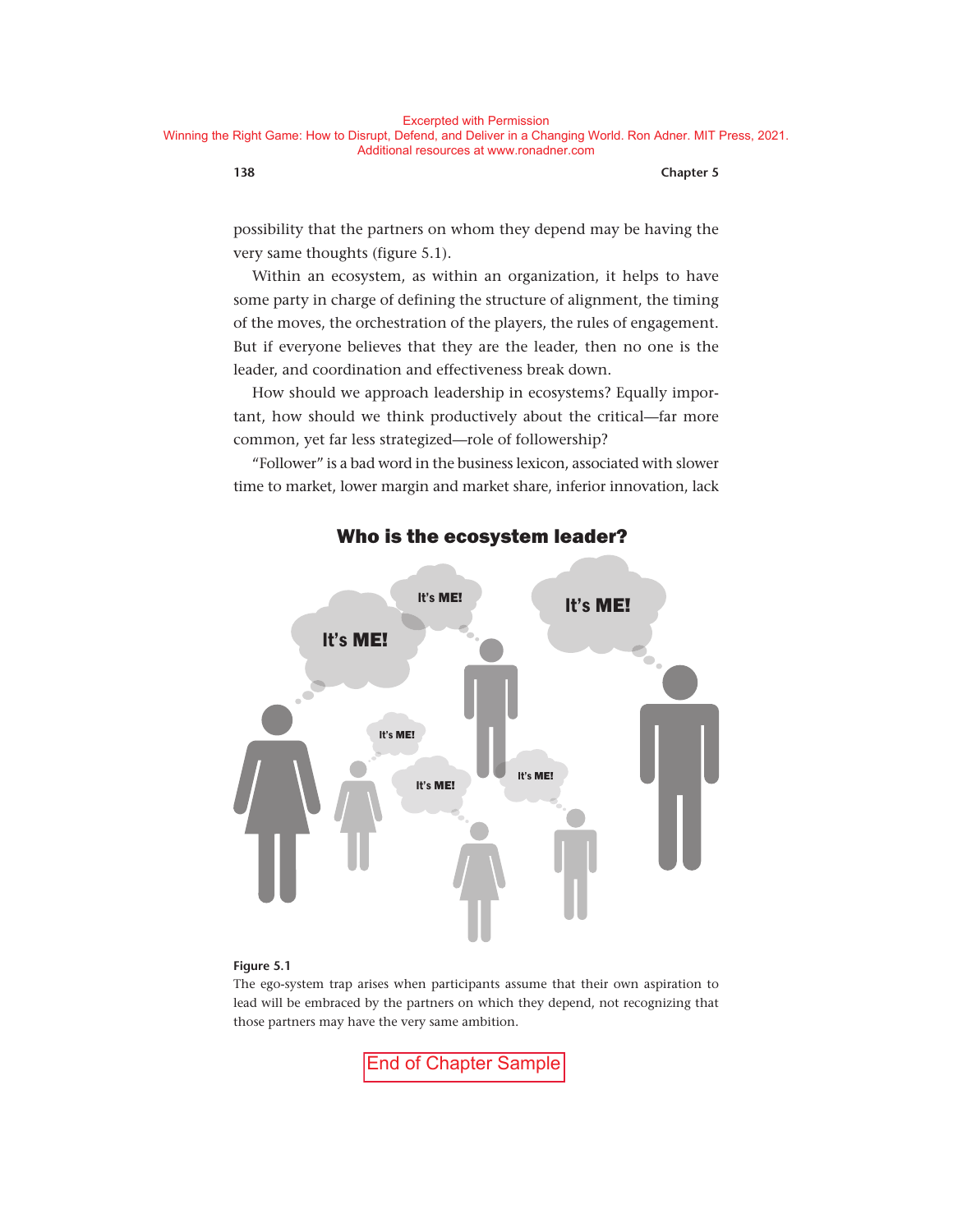possibility that the partners on whom they depend may be having the very same thoughts (figure 5.1).

Within an ecosystem, as within an organization, it helps to have some party in charge of defining the structure of alignment, the timing of the moves, the orchestration of the players, the rules of engagement. But if everyone believes that they are the leader, then no one is the leader, and coordination and effectiveness break down.

How should we approach leadership in ecosystems? Equally important, how should we think productively about the critical— far more common, yet far less strategized— role of followership?

"Follower" is a bad word in the business lexicon, associated with slower time to market, lower margin and market share, inferior innovation, lack



# Who is the ecosystem leader?

#### **Figure 5.1**

The ego-system trap arises when participants assume that their own aspiration to lead will be embraced by the partners on which they depend, not recognizing that those partners may have the very same ambition.

End of Chapter Sample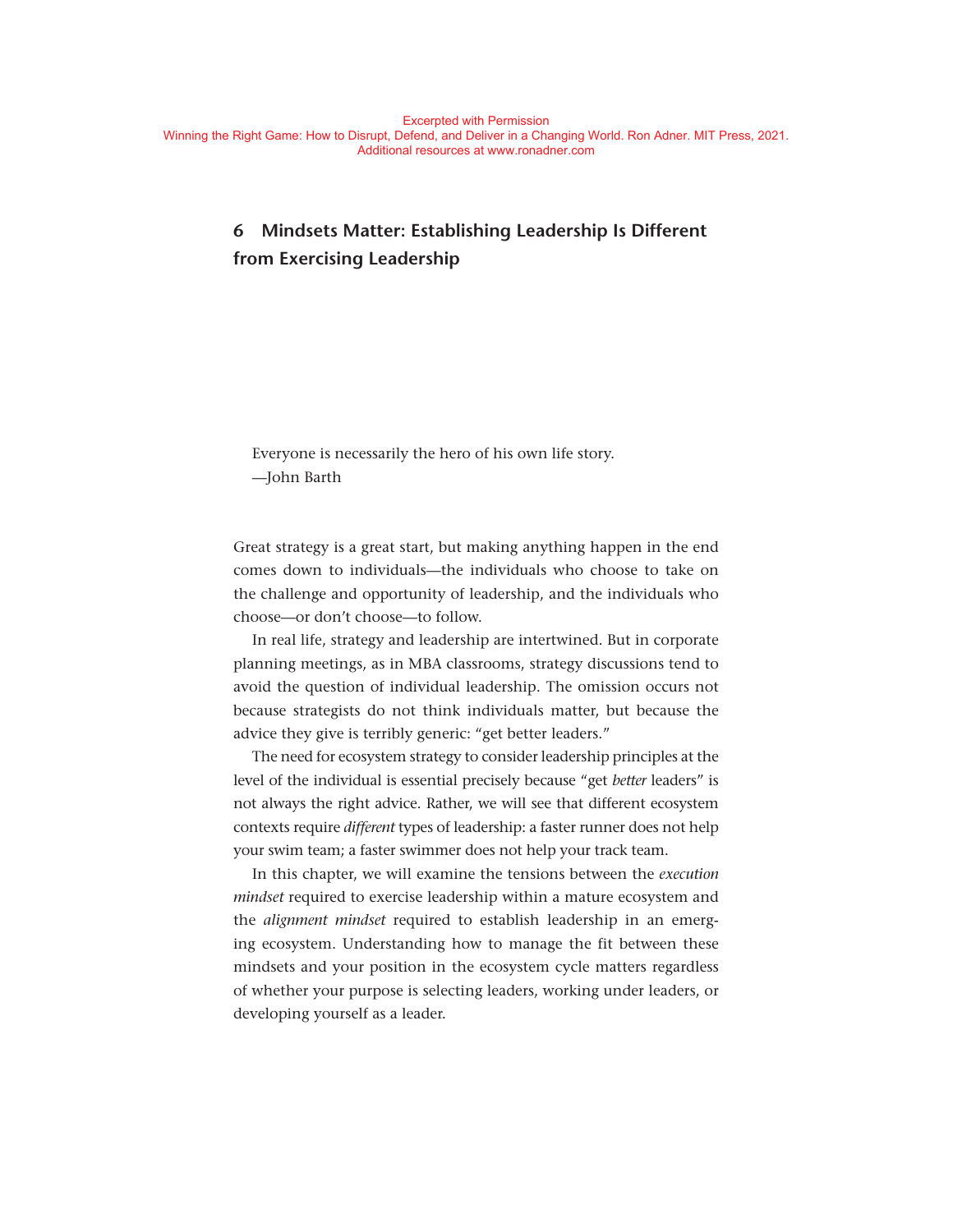# **6 Mindsets Matter: Establishing Leadership Is Different from Exercising Leadership**

Everyone is necessarily the hero of his own life story. — John Barth

Great strategy is a great start, but making anything happen in the end comes down to individuals— the individuals who choose to take on the challenge and opportunity of leadership, and the individuals who choose— or don't choose— to follow.

In real life, strategy and leadership are intertwined. But in corporate planning meetings, as in MBA classrooms, strategy discussions tend to avoid the question of individual leadership. The omission occurs not because strategists do not think individuals matter, but because the advice they give is terribly generic: "get better leaders."

The need for ecosystem strategy to consider leadership principles at the level of the individual is essential precisely because "get *better* leaders" is not always the right advice. Rather, we will see that different ecosystem contexts require *different* types of leadership: a faster runner does not help your swim team; a faster swimmer does not help your track team.

In this chapter, we will examine the tensions between the *execution mindset* required to exercise leadership within a mature ecosystem and the *alignment mindset* required to establish leadership in an emerging ecosystem. Understanding how to manage the fit between these mindsets and your position in the ecosystem cycle matters regardless of whether your purpose is selecting leaders, working under leaders, or developing yourself as a leader.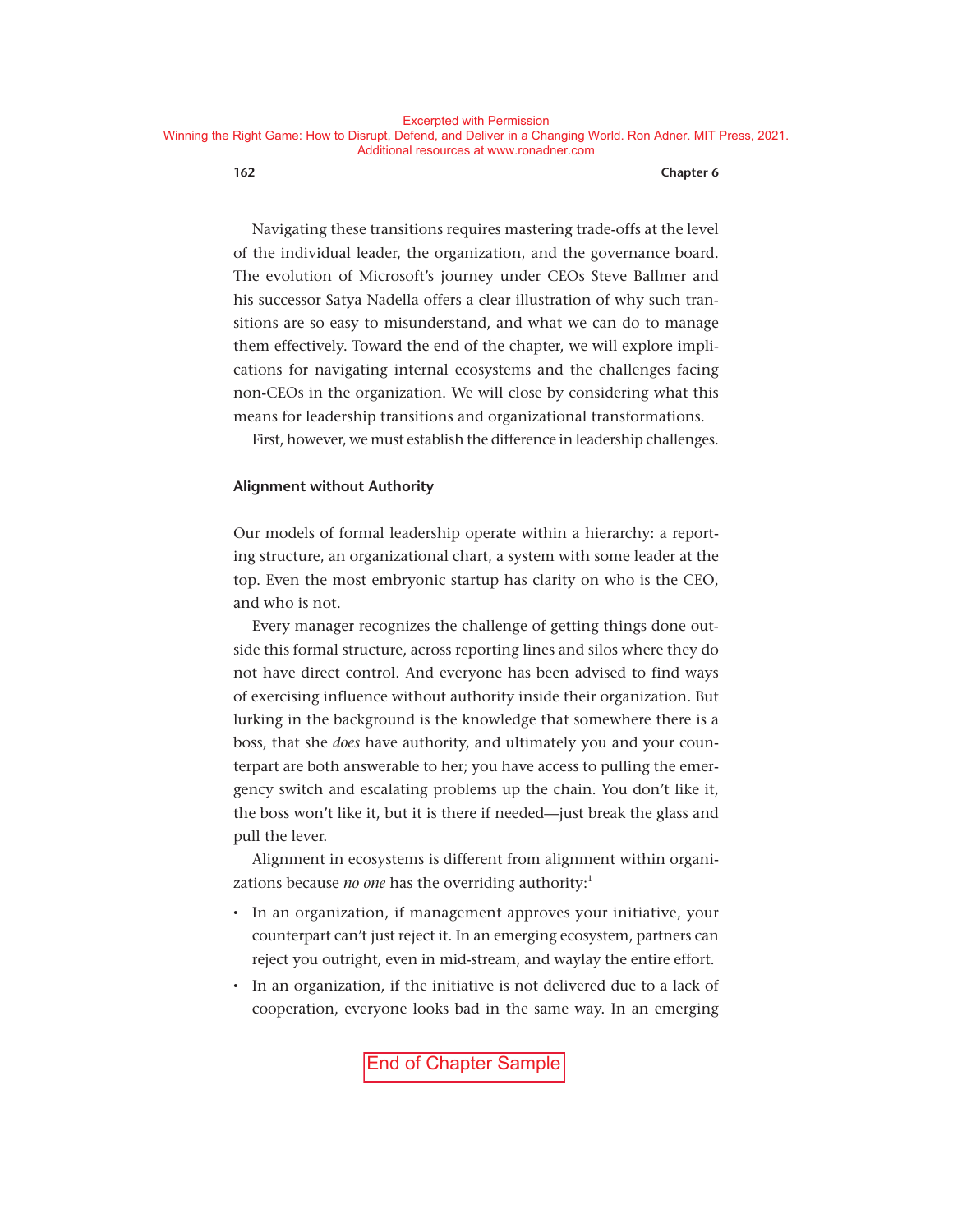Navigating these transitions requires mastering trade-offs at the level of the individual leader, the organization, and the governance board. The evolution of Microsoft's journey under CEOs Steve Ballmer and his successor Satya Nadella offers a clear illustration of why such transitions are so easy to misunderstand, and what we can do to manage them effectively. Toward the end of the chapter, we will explore implications for navigating internal ecosystems and the challenges facing non- CEOs in the organization. We will close by considering what this means for leadership transitions and organizational transformations.

First, however, we must establish the difference in leadership challenges.

#### **Alignment without Authority**

Our models of formal leadership operate within a hierarchy: a reporting structure, an organizational chart, a system with some leader at the top. Even the most embryonic startup has clarity on who is the CEO, and who is not.

Every manager recognizes the challenge of getting things done outside this formal structure, across reporting lines and silos where they do not have direct control. And everyone has been advised to find ways of exercising influence without authority inside their organization. But lurking in the background is the knowledge that somewhere there is a boss, that she *does* have authority, and ultimately you and your counterpart are both answerable to her; you have access to pulling the emergency switch and escalating problems up the chain. You don't like it, the boss won't like it, but it is there if needed—just break the glass and pull the lever.

Alignment in ecosystems is different from alignment within organizations because *no one* has the overriding authority:<sup>1</sup>

- In an organization, if management approves your initiative, your counterpart can't just reject it. In an emerging ecosystem, partners can reject you outright, even in mid-stream, and waylay the entire effort.
- In an organization, if the initiative is not delivered due to a lack of cooperation, everyone looks bad in the same way. In an emerging

End of Chapter Sample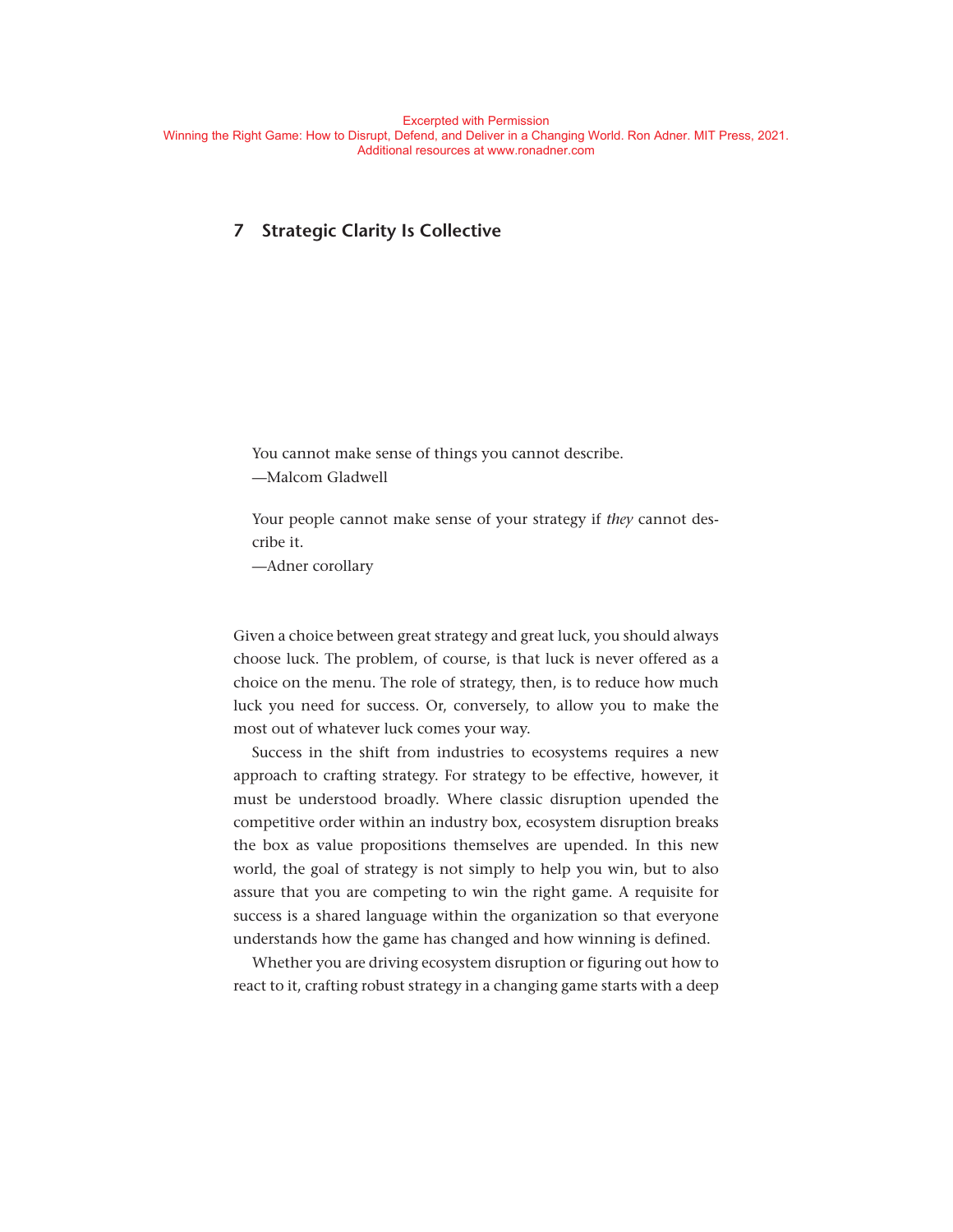# **7 Strategic Clarity Is Collective**

You cannot make sense of things you cannot describe. — Malcom Gladwell

Your people cannot make sense of your strategy if *they* cannot describe it.

— Adner corollary

Given a choice between great strategy and great luck, you should always choose luck. The problem, of course, is that luck is never offered as a choice on the menu. The role of strategy, then, is to reduce how much luck you need for success. Or, conversely, to allow you to make the most out of whatever luck comes your way.

Success in the shift from industries to ecosystems requires a new approach to crafting strategy. For strategy to be effective, however, it must be understood broadly. Where classic disruption upended the competitive order within an industry box, ecosystem disruption breaks the box as value propositions themselves are upended. In this new world, the goal of strategy is not simply to help you win, but to also assure that you are competing to win the right game. A requisite for success is a shared language within the organization so that everyone understands how the game has changed and how winning is defined.

Whether you are driving ecosystem disruption or figuring out how to react to it, crafting robust strategy in a changing game starts with a deep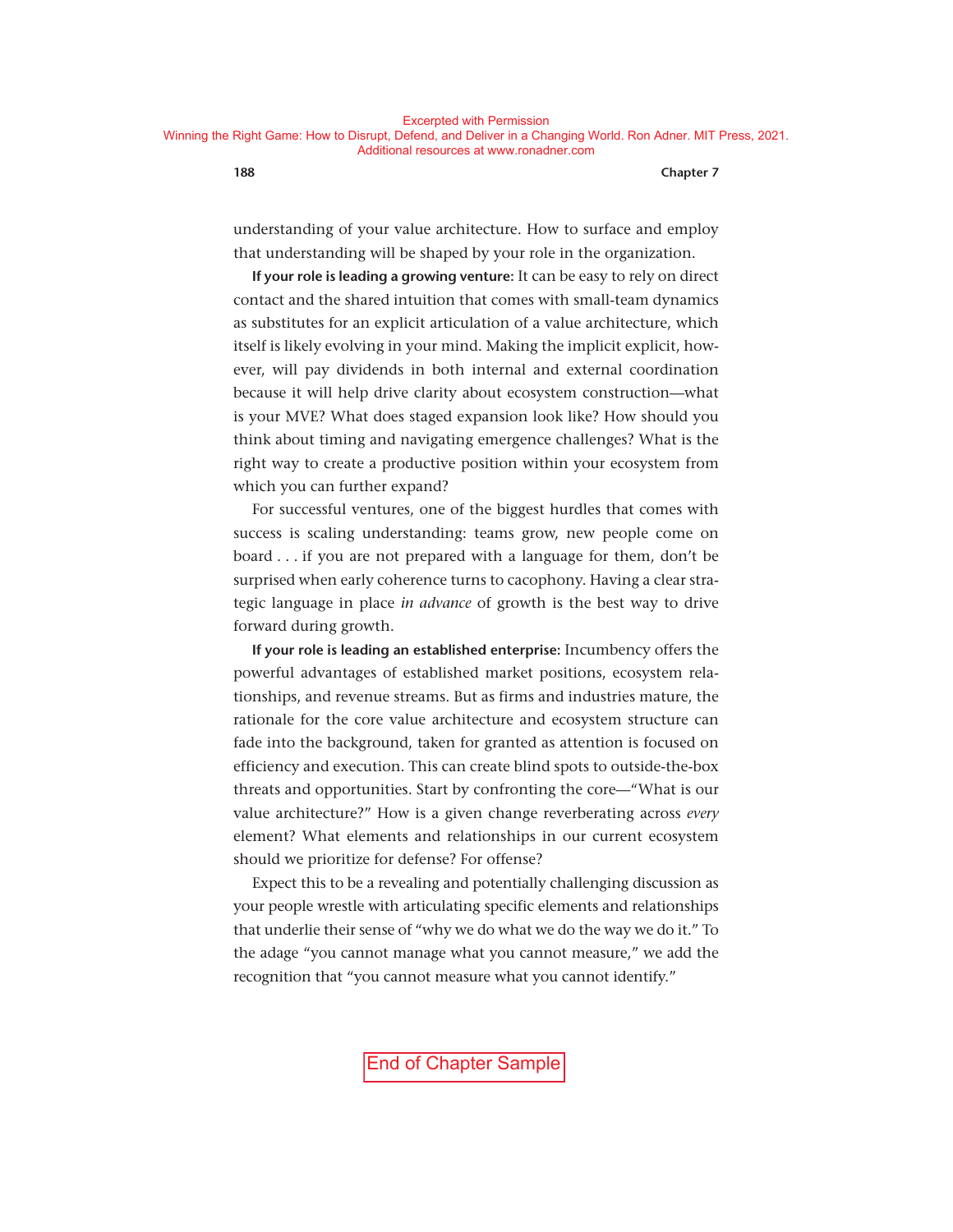understanding of your value architecture. How to surface and employ that understanding will be shaped by your role in the organization.

**If your role is leading a growing venture:** It can be easy to rely on direct contact and the shared intuition that comes with small-team dynamics as substitutes for an explicit articulation of a value architecture, which itself is likely evolving in your mind. Making the implicit explicit, however, will pay dividends in both internal and external coordination because it will help drive clarity about ecosystem construction— what is your MVE? What does staged expansion look like? How should you think about timing and navigating emergence challenges? What is the right way to create a productive position within your ecosystem from which you can further expand?

For successful ventures, one of the biggest hurdles that comes with success is scaling understanding: teams grow, new people come on board . . . if you are not prepared with a language for them, don't be surprised when early coherence turns to cacophony. Having a clear strategic language in place *in advance* of growth is the best way to drive forward during growth.

**If your role is leading an established enterprise:** Incumbency offers the powerful advantages of established market positions, ecosystem relationships, and revenue streams. But as firms and industries mature, the rationale for the core value architecture and ecosystem structure can fade into the background, taken for granted as attention is focused on efficiency and execution. This can create blind spots to outside-the-box threats and opportunities. Start by confronting the core— "What is our value architecture?" How is a given change reverberating across *every* element? What elements and relationships in our current ecosystem should we prioritize for defense? For offense?

Expect this to be a revealing and potentially challenging discussion as your people wrestle with articulating specific elements and relationships that underlie their sense of "why we do what we do the way we do it." To the adage "you cannot manage what you cannot measure," we add the recognition that "you cannot measure what you cannot identify."

End of Chapter Sample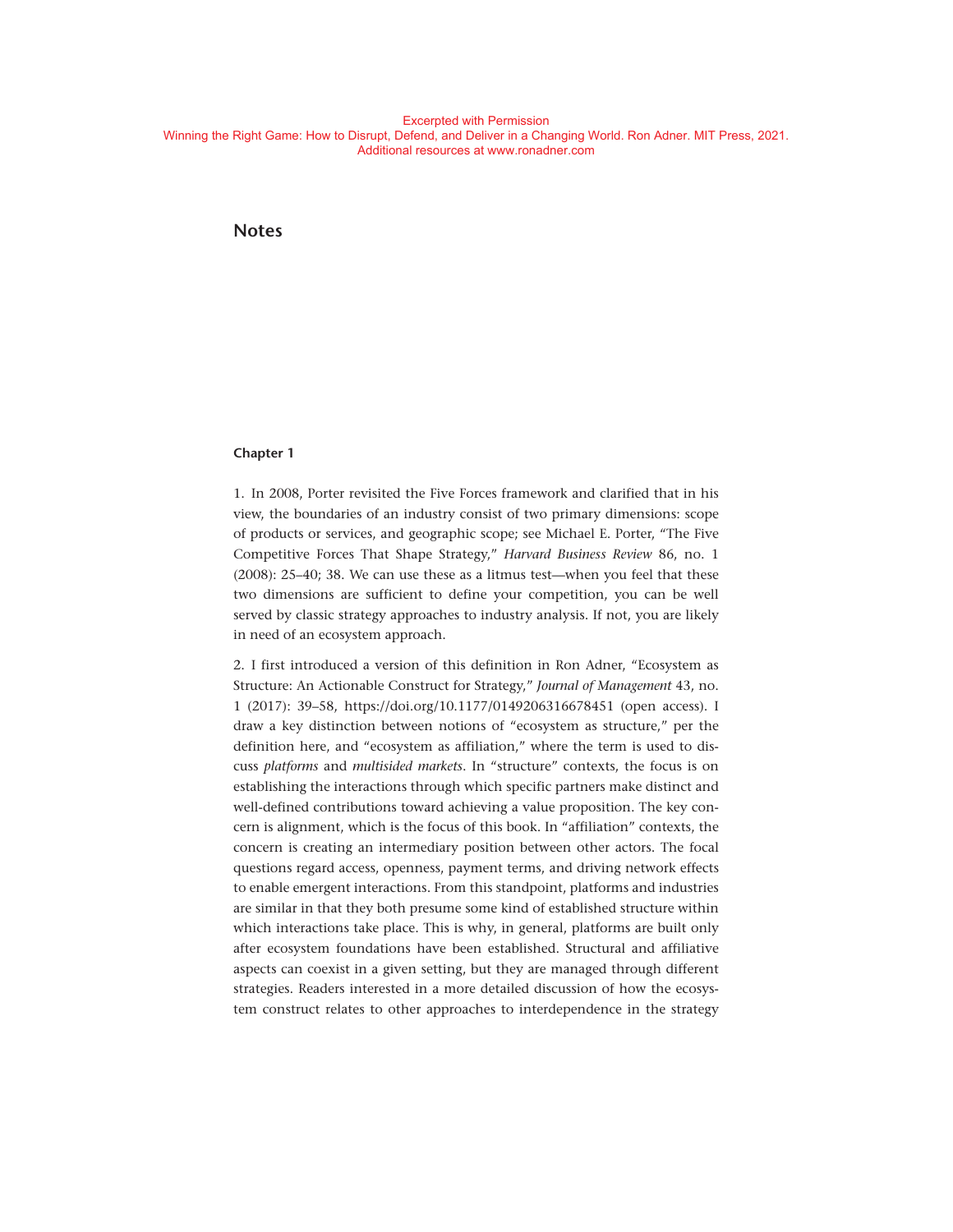#### **Notes**

#### **Chapter 1**

1. In 2008, Porter revisited the Five Forces framework and clarified that in his view, the boundaries of an industry consist of two primary dimensions: scope of products or services, and geographic scope; see Michael E. Porter, "The Five Competitive Forces That Shape Strategy," *Harvard Business Review* 86, no. 1 (2008): 25-40; 38. We can use these as a litmus test—when you feel that these two dimensions are sufficient to define your competition, you can be well served by classic strategy approaches to industry analysis. If not, you are likely in need of an ecosystem approach.

2. I first introduced a version of this definition in Ron Adner, "Ecosystem as Structure: An Actionable Construct for Strategy," *Journal of Management* 43, no. 1 (2017): 39– 58, https:// doi . org / 10 . 1177 / 0149206316678451 (open access). I draw a key distinction between notions of "ecosystem as structure," per the definition here, and "ecosystem as affiliation," where the term is used to discuss *platforms* and *multisided markets*. In "structure" contexts, the focus is on establishing the interactions through which specific partners make distinct and well- defined contributions toward achieving a value proposition. The key concern is alignment, which is the focus of this book. In "affiliation" contexts, the concern is creating an intermediary position between other actors. The focal questions regard access, openness, payment terms, and driving network effects to enable emergent interactions. From this standpoint, platforms and industries are similar in that they both presume some kind of established structure within which interactions take place. This is why, in general, platforms are built only after ecosystem foundations have been established. Structural and affiliative aspects can coexist in a given setting, but they are managed through different strategies. Readers interested in a more detailed discussion of how the ecosystem construct relates to other approaches to interdependence in the strategy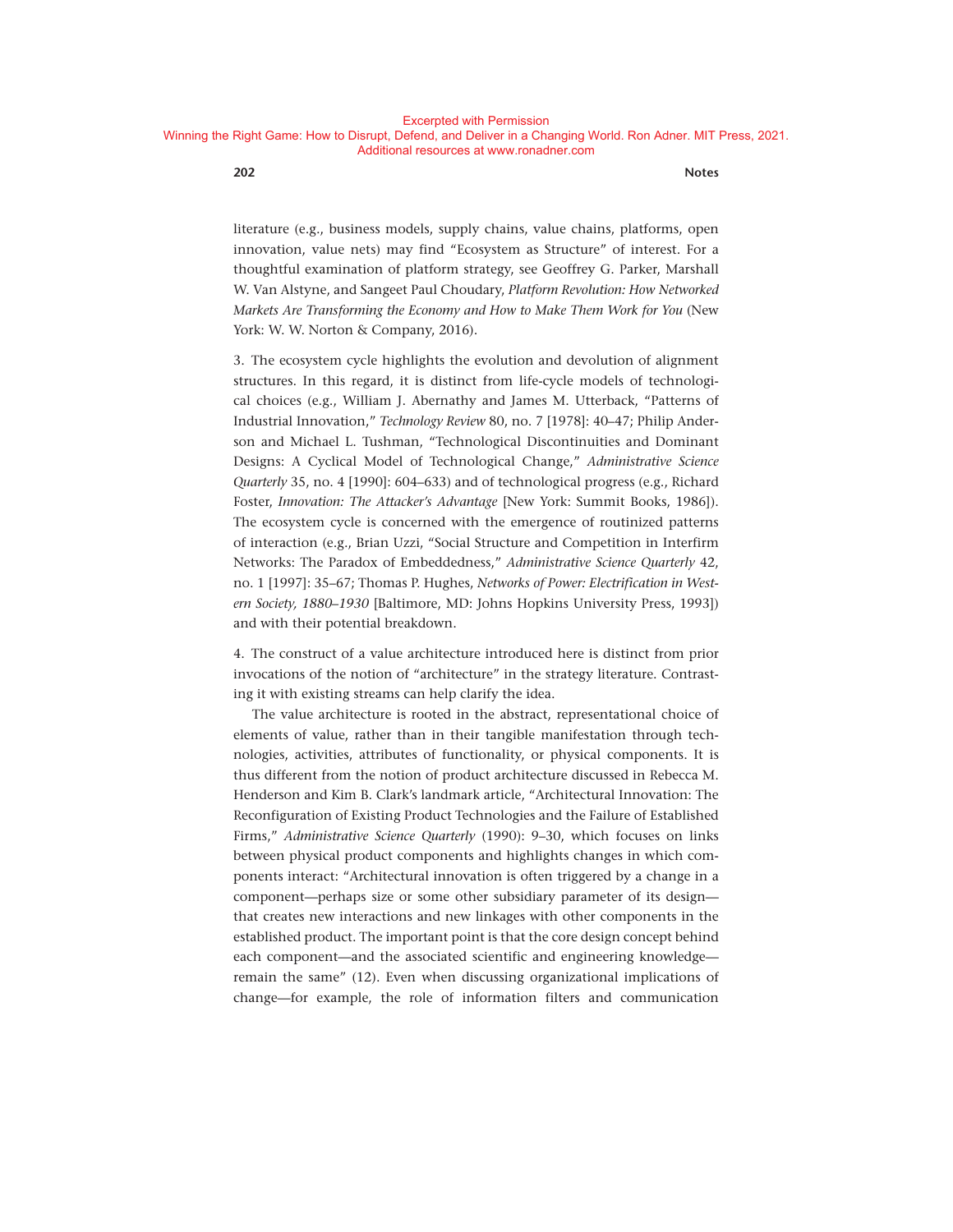**202 Notes**

literature (e.g., business models, supply chains, value chains, platforms, open innovation, value nets) may find "Ecosystem as Structure" of interest. For a thoughtful examination of platform strategy, see Geoffrey G. Parker, Marshall W. Van Alstyne, and Sangeet Paul Choudary, *Platform Revolution: How Networked Markets Are Transforming the Economy and How to Make Them Work for You* (New York: W. W. Norton & Company, 2016).

3. The ecosystem cycle highlights the evolution and devolution of alignment structures. In this regard, it is distinct from life-cycle models of technological choices (e.g., William J. Abernathy and James M. Utterback, "Patterns of Industrial Innovation," *Technology Review* 80, no. 7 [1978]: 40–47; Philip Anderson and Michael L. Tushman, "Technological Discontinuities and Dominant Designs: A Cyclical Model of Technological Change," *Administrative Science Quarterly* 35, no. 4 [1990]: 604–633) and of technological progress (e.g., Richard Foster, *Innovation: The Attacker's Advantage* [New York: Summit Books, 1986]). The ecosystem cycle is concerned with the emergence of routinized patterns of interaction (e.g., Brian Uzzi, "Social Structure and Competition in Interfirm Networks: The Paradox of Embeddedness," *Administrative Science Quarterly* 42, no. 1 [1997]: 35-67; Thomas P. Hughes, *Networks of Power: Electrification in Western Society, 1880– 1930* [Baltimore, MD: Johns Hopkins University Press, 1993]) and with their potential breakdown.

4. The construct of a value architecture introduced here is distinct from prior invocations of the notion of "architecture" in the strategy literature. Contrasting it with existing streams can help clarify the idea.

The value architecture is rooted in the abstract, representational choice of elements of value, rather than in their tangible manifestation through technologies, activities, attributes of functionality, or physical components. It is thus different from the notion of product architecture discussed in Rebecca M. Henderson and Kim B. Clark's landmark article, "Architectural Innovation: The Reconfiguration of Existing Product Technologies and the Failure of Established Firms," Administrative Science Quarterly (1990): 9-30, which focuses on links between physical product components and highlights changes in which components interact: "Architectural innovation is often triggered by a change in a component— perhaps size or some other subsidiary parameter of its design that creates new interactions and new linkages with other components in the established product. The important point is that the core design concept behind each component—and the associated scientific and engineering knowledge remain the same" (12). Even when discussing organizational implications of change— for example, the role of information filters and communication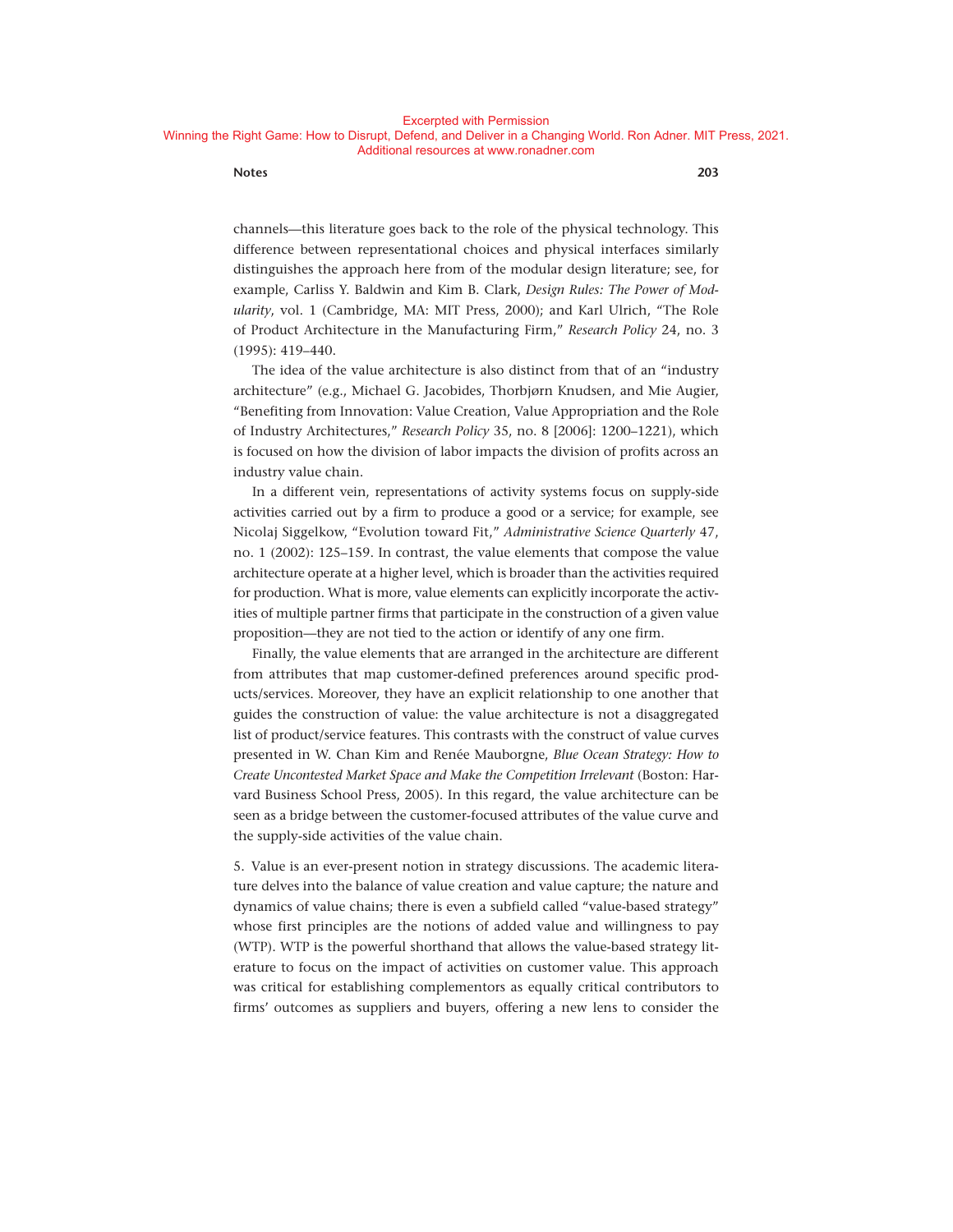#### Excerpted with Permission

#### Winning the Right Game: How to Disrupt, Defend, and Deliver in a Changing World. Ron Adner. MIT Press, 2021. Additional resources at www.ronadner.com

#### **Notes 203**

channels— this literature goes back to the role of the physical technology. This difference between representational choices and physical interfaces similarly distinguishes the approach here from of the modular design literature; see, for example, Carliss Y. Baldwin and Kim B. Clark, *Design Rules: The Power of Modularity*, vol. 1 (Cambridge, MA: MIT Press, 2000); and Karl Ulrich, "The Role of Product Architecture in the Manufacturing Firm," *Research Policy* 24, no. 3  $(1995): 419 - 440.$ 

The idea of the value architecture is also distinct from that of an "industry architecture" (e.g., Michael G. Jacobides, Thorbjørn Knudsen, and Mie Augier, "Benefiting from Innovation: Value Creation, Value Appropriation and the Role of Industry Architectures," *Research Policy* 35, no. 8 [2006]: 1200–1221), which is focused on how the division of labor impacts the division of profits across an industry value chain.

In a different vein, representations of activity systems focus on supply-side activities carried out by a firm to produce a good or a service; for example, see Nicolaj Siggelkow, "Evolution toward Fit," *Administrative Science Quarterly* 47, no. 1 (2002): 125– 159. In contrast, the value elements that compose the value architecture operate at a higher level, which is broader than the activities required for production. What is more, value elements can explicitly incorporate the activities of multiple partner firms that participate in the construction of a given value proposition— they are not tied to the action or identify of any one firm.

Finally, the value elements that are arranged in the architecture are different from attributes that map customer- defined preferences around specific products/services. Moreover, they have an explicit relationship to one another that guides the construction of value: the value architecture is not a disaggregated list of product/service features. This contrasts with the construct of value curves presented in W. Chan Kim and Renée Mauborgne, *Blue Ocean Strategy: How to Create Uncontested Market Space and Make the Competition Irrelevant* (Boston: Harvard Business School Press, 2005). In this regard, the value architecture can be seen as a bridge between the customer-focused attributes of the value curve and the supply-side activities of the value chain.

5. Value is an ever-present notion in strategy discussions. The academic literature delves into the balance of value creation and value capture; the nature and dynamics of value chains; there is even a subfield called "value-based strategy" whose first principles are the notions of added value and willingness to pay (WTP). WTP is the powerful shorthand that allows the value-based strategy literature to focus on the impact of activities on customer value. This approach was critical for establishing complementors as equally critical contributors to firms' outcomes as suppliers and buyers, offering a new lens to consider the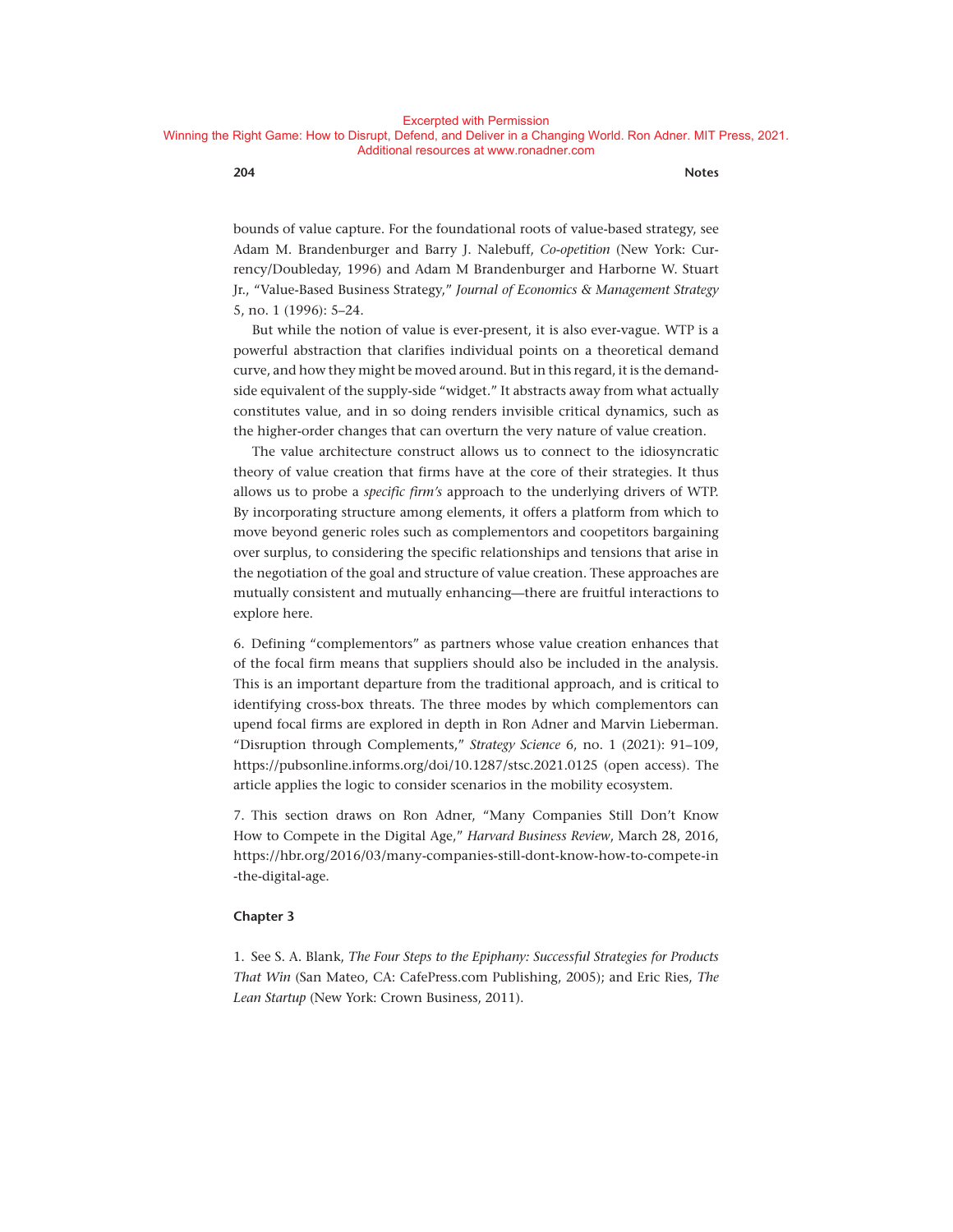**204 Notes**

bounds of value capture. For the foundational roots of value- based strategy, see Adam M. Brandenburger and Barry J. Nalebuff, *Co- opetition* (New York: Currency/Doubleday, 1996) and Adam M Brandenburger and Harborne W. Stuart Jr., "Value‐Based Business Strategy," *Journal of Economics & Management Strategy* 5, no. 1 (1996): 5-24.

But while the notion of value is ever-present, it is also ever-vague. WTP is a powerful abstraction that clarifies individual points on a theoretical demand curve, and how they might be moved around. But in this regard, it is the demandside equivalent of the supply-side "widget." It abstracts away from what actually constitutes value, and in so doing renders invisible critical dynamics, such as the higher- order changes that can overturn the very nature of value creation.

The value architecture construct allows us to connect to the idiosyncratic theory of value creation that firms have at the core of their strategies. It thus allows us to probe a *specific firm's* approach to the underlying drivers of WTP. By incorporating structure among elements, it offers a platform from which to move beyond generic roles such as complementors and coopetitors bargaining over surplus, to considering the specific relationships and tensions that arise in the negotiation of the goal and structure of value creation. These approaches are mutually consistent and mutually enhancing— there are fruitful interactions to explore here.

6. Defining "complementors" as partners whose value creation enhances that of the focal firm means that suppliers should also be included in the analysis. This is an important departure from the traditional approach, and is critical to identifying cross-box threats. The three modes by which complementors can upend focal firms are explored in depth in Ron Adner and Marvin Lieberman. "Disruption through Complements," Strategy Science 6, no. 1 (2021): 91-109, https://pubsonline.informs.org/doi/10.1287/stsc.2021.0125 (open access). The article applies the logic to consider scenarios in the mobility ecosystem.

7. This section draws on Ron Adner, "Many Companies Still Don't Know How to Compete in the Digital Age," *Harvard Business Review*, March 28, 2016, https://hbr.org/2016/03/many-companies-still-dont-know-how-to-compete -in -the-digital-age.

#### **Chapter 3**

1. See S. A. Blank, *The Four Steps to the Epiphany: Successful Strategies for Products That Win* (San Mateo, CA: CafePress . com Publishing, 2005); and Eric Ries, *The Lean Startup* (New York: Crown Business, 2011).